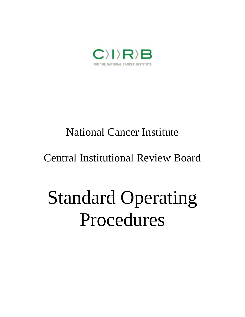

# National Cancer Institute

# Central Institutional Review Board

# Standard Operating Procedures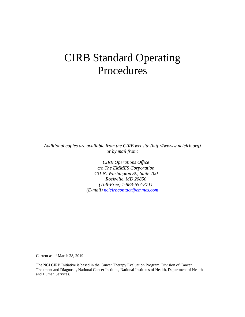# CIRB Standard Operating Procedures

*Additional copies are available from the CIRB website (http://wwww.ncicirb.org) or by mail from:*

> *CIRB Operations Office c/o The EMMES Corporation 401 N. Washington St., Suite 700 Rockville, MD 20850 (Toll-Free) 1-888-657-3711 (E-mail) [ncicirbcontact@emmes.com](mailto:ncicirbcontact@emmes.com)*

Current as of March 28, 2019

The NCI CIRB Initiative is based in the Cancer Therapy Evaluation Program, Division of Cancer Treatment and Diagnosis, National Cancer Institute, National Institutes of Health, Department of Health and Human Services.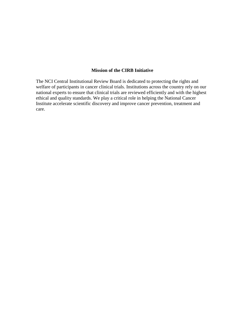## **Mission of the CIRB Initiative**

The NCI Central Institutional Review Board is dedicated to protecting the rights and welfare of participants in cancer clinical trials. Institutions across the country rely on our national experts to ensure that clinical trials are reviewed efficiently and with the highest ethical and quality standards. We play a critical role in helping the National Cancer Institute accelerate scientific discovery and improve cancer prevention, treatment and care.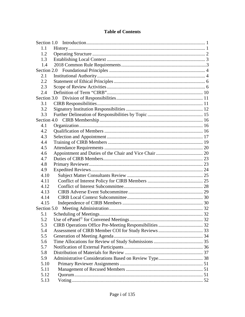# **Table of Contents**

| 1.1         |  |
|-------------|--|
| 1.2         |  |
| 1.3         |  |
| 1.4         |  |
|             |  |
| 2.1         |  |
| 2.2         |  |
| 2.3         |  |
| 2.4         |  |
|             |  |
| 3.1         |  |
| 3.2         |  |
| 3.3         |  |
| Section 4.0 |  |
| 4.1         |  |
| 4.2         |  |
| 4.3         |  |
| 4.4         |  |
| 4.5         |  |
| 4.6         |  |
| 4.7         |  |
| 4.8         |  |
| 4.9         |  |
| 4.10        |  |
| 4.11        |  |
| 4.12        |  |
| 4.13        |  |
| 4.14        |  |
| 4.15        |  |
|             |  |
| 5.1         |  |
| 5.2         |  |
| 5.3         |  |
| 5.4         |  |
| 5.5         |  |
| 5.6         |  |
| 5.7         |  |
| 5.8         |  |
| 5.9         |  |
| 5.10        |  |
| 5.11        |  |
| 5.12        |  |
| 5.13        |  |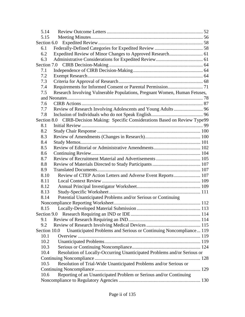| 5.14                                                                       |                                                                           |  |  |  |
|----------------------------------------------------------------------------|---------------------------------------------------------------------------|--|--|--|
| 5.15                                                                       |                                                                           |  |  |  |
|                                                                            |                                                                           |  |  |  |
| 6.1                                                                        |                                                                           |  |  |  |
| 6.2                                                                        | Expedited Review of Minor Changes to Approved Research 61                 |  |  |  |
| 6.3                                                                        |                                                                           |  |  |  |
|                                                                            |                                                                           |  |  |  |
| 7.1                                                                        |                                                                           |  |  |  |
| 7.2                                                                        |                                                                           |  |  |  |
| 7.3                                                                        |                                                                           |  |  |  |
| 7.4                                                                        |                                                                           |  |  |  |
| 7.5                                                                        | Research Involving Vulnerable Populations, Pregnant Women, Human Fetuses, |  |  |  |
|                                                                            |                                                                           |  |  |  |
| 7.6                                                                        |                                                                           |  |  |  |
| 7.7                                                                        | Review of Research Involving Adolescents and Young Adults  96             |  |  |  |
| 7.8                                                                        |                                                                           |  |  |  |
| Section 8.0                                                                | CIRB-Decision Making: Specific Considerations Based on Review Type99      |  |  |  |
| 8.1                                                                        |                                                                           |  |  |  |
| 8.2                                                                        |                                                                           |  |  |  |
| 8.3                                                                        |                                                                           |  |  |  |
| 8.4                                                                        |                                                                           |  |  |  |
| 8.5                                                                        |                                                                           |  |  |  |
| 8.6                                                                        |                                                                           |  |  |  |
| 8.7                                                                        |                                                                           |  |  |  |
| 8.8                                                                        |                                                                           |  |  |  |
| 8.9                                                                        |                                                                           |  |  |  |
| 8.10                                                                       | Review of CTEP Action Letters and Adverse Event Reports 107               |  |  |  |
| 8.11                                                                       |                                                                           |  |  |  |
| 8.12                                                                       |                                                                           |  |  |  |
| 8.13                                                                       |                                                                           |  |  |  |
| 8.14                                                                       | Potential Unanticipated Problems and/or Serious or Continuing             |  |  |  |
|                                                                            |                                                                           |  |  |  |
|                                                                            |                                                                           |  |  |  |
| Section 9.0                                                                |                                                                           |  |  |  |
| 9.1                                                                        |                                                                           |  |  |  |
| 9.2                                                                        |                                                                           |  |  |  |
| Section 10.0                                                               | Unanticipated Problems and Serious or Continuing Noncompliance 119        |  |  |  |
| 10.1                                                                       |                                                                           |  |  |  |
| 10.2                                                                       |                                                                           |  |  |  |
| 10.3                                                                       |                                                                           |  |  |  |
| 10.4                                                                       | Resolution of Locally-Occurring Unanticipated Problems and/or Serious or  |  |  |  |
|                                                                            |                                                                           |  |  |  |
| 10.5                                                                       | Resolution of Trial-Wide Unanticipated Problems and/or Serious or         |  |  |  |
|                                                                            |                                                                           |  |  |  |
| Reporting of an Unanticipated Problem or Serious and/or Continuing<br>10.6 |                                                                           |  |  |  |
|                                                                            |                                                                           |  |  |  |
|                                                                            |                                                                           |  |  |  |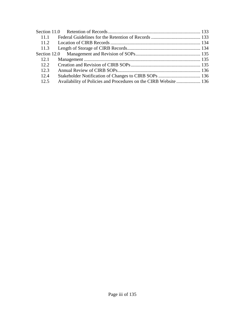| 11.1 |                                                                  |  |
|------|------------------------------------------------------------------|--|
|      |                                                                  |  |
|      |                                                                  |  |
|      |                                                                  |  |
| 12.1 |                                                                  |  |
| 12.2 |                                                                  |  |
| 12.3 |                                                                  |  |
| 12.4 |                                                                  |  |
| 12.5 | Availability of Policies and Procedures on the CIRB Website  136 |  |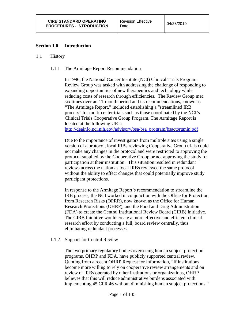#### <span id="page-6-0"></span>**Section 1.0 Introduction**

#### <span id="page-6-1"></span>1.1 History

#### 1.1.1 The Armitage Report Recommendation

In 1996, the National Cancer Institute (NCI) Clinical Trials Program Review Group was tasked with addressing the challenge of responding to expanding opportunities of new therapeutics and technology while reducing costs of research through efficiencies. The Review Group met six times over an 11-month period and its recommendations, known as "The Armitage Report," included establishing a "streamlined IRB process" for multi-center trials such as those coordinated by the NCI's Clinical Trials Cooperative Group Program. The Armitage Report is located at the following URL:

[http://deainfo.nci.nih.gov/advisory/bsa/bsa\\_program/bsactprgmin.pdf](http://deainfo.nci.nih.gov/advisory/bsa/bsa_program/bsactprgmin.pdf)

Due to the importance of investigators from multiple sites using a single version of a protocol, local IRBs reviewing Cooperative Group trials could not make any changes in the protocol and were restricted to approving the protocol supplied by the Cooperative Group or not approving the study for participation at their institution. This situation resulted in redundant reviews across the nation as local IRBs reviewed the same protocol without the ability to effect changes that could potentially improve study participant protections.

In response to the Armitage Report's recommendation to streamline the IRB process, the NCI worked in conjunction with the Office for Protection from Research Risks (OPRR), now known as the Office for Human Research Protections (OHRP), and the Food and Drug Administration (FDA) to create the Central Institutional Review Board (CIRB) Initiative. The CIRB Initiative would create a more effective and efficient clinical research effort by conducting a full, board review centrally, thus eliminating redundant processes.

#### 1.1.2 Support for Central Review

The two primary regulatory bodies overseeing human subject protection programs, OHRP and FDA, have publicly supported central review. Quoting from a recent OHRP Request for Information, "If institutions become more willing to rely on cooperative review arrangements and on review of IRBs operated by other institutions or organizations, OHRP believes that this will reduce administrative burdens associated with implementing 45 CFR 46 without diminishing human subject protections."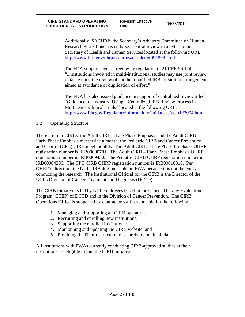Additionally, SACHRP, the Secretary's Advisory Committee on Human Research Protections has endorsed central review in a letter to the Secretary of Health and Human Services located at the following URL: [http://www.hhs.gov/ohrp/sachrp/sachrpletter091808.html.](http://www.hhs.gov/ohrp/sachrp/sachrpletter091808.html)

The FDA supports central review by regulation in 21 CFR 56.114, "...institutions involved in multi-institutional studies may use joint review, reliance upon the review of another qualified IRB, or similar arrangements aimed at avoidance of duplication of effort."

The FDA has also issued guidance in support of centralized review titled "Guidance for Industry: Using a Centralized IRB Review Process in Multicenter Clinical Trials" located at the following URL: [http://www.fda.gov/RegulatoryInformation/Guidances/ucm127004.htm.](http://www.fda.gov/RegulatoryInformation/Guidances/ucm127004.htm)

## <span id="page-7-0"></span>1.2 Operating Structure

There are four CIRBs: the Adult CIRB – Late Phase Emphasis and the Adult CIRB – Early Phase Emphasis meet twice a month; the Pediatric CIRB and Cancer Prevention and Control (CPC) CIRB meet monthly. The Adult CIRB – Late Phase Emphasis OHRP registration number is IRB00000781. The Adult CIRB – Early Phase Emphasis OHRP registration number is IRB0009430. The Pediatric CIRB OHRP registration number is IRB00004296. The CPC CIRB OHRP registration number is IRB00010018. Per OHRP's direction, the NCI CIRB does not hold an FWA because it is not the entity conducting the research. The Institutional Official for the CIRB is the Director of the NCI's Division of Cancer Treatment and Diagnosis (DCTD).

The CIRB Initiative is led by NCI employees based in the Cancer Therapy Evaluation Program (CTEP) of DCTD and in the Division of Cancer Prevention. The CIRB Operations Office is supported by contractor staff responsible for the following:

- 1. Managing and supporting all CIRB operations;
- 2. Recruiting and enrolling new institutions;
- 3. Supporting the enrolled institutions;
- 4. Maintaining and updating the CIRB website; and
- 5. Providing the IT infrastructure to securely maintain all data.

All institutions with FWAs currently conducting CIRB-approved studies at their institutions are eligible to join the CIRB Initiative.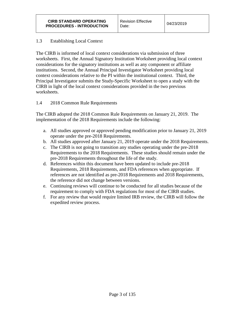# <span id="page-8-0"></span>1.3 Establishing Local Context

The CIRB is informed of local context considerations via submission of three worksheets. First, the Annual Signatory Institution Worksheet providing local context considerations for the signatory institutions as well as any component or affiliate institutions. Second, the Annual Principal Investigator Worksheet providing local context considerations relative to the PI within the institutional context. Third, the Principal Investigator submits the Study-Specific Worksheet to open a study with the CIRB in light of the local context considerations provided in the two previous worksheets.

# 1.4 2018 Common Rule Requirements

The CIRB adopted the 2018 Common Rule Requirements on January 21, 2019. The implementation of the 2018 Requirements include the following:

- a. All studies approved or approved pending modification prior to January 21, 2019 operate under the pre-2018 Requirements.
- b. All studies approved after January 21, 2019 operate under the 2018 Requirements.
- c. The CIRB is not going to transition any studies operating under the pre-2018 Requirements to the 2018 Requirements. These studies should remain under the pre-2018 Requirements throughout the life of the study.
- d. References within this document have been updated to include pre-2018 Requirements, 2018 Requirements, and FDA references when appropriate. If references are not identified as pre-2018 Requirements and 2018 Requirements, the reference did not change between versions.
- e. Continuing reviews will continue to be conducted for all studies because of the requirement to comply with FDA regulations for most of the CIRB studies.
- f. For any review that would require limited IRB review, the CIRB will follow the expedited review process.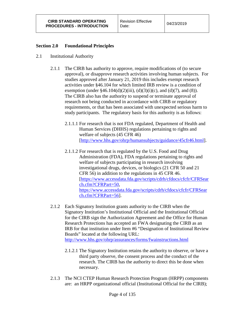## <span id="page-9-0"></span>**Section 2.0 Foundational Principles**

- <span id="page-9-1"></span>2.1 Institutional Authority
	- 2.1.1 The CIRB has authority to approve, require modifications of (to secure approval), or disapprove research activities involving human subjects. For studies approved after January 21, 2019 this includes exempt research activities under §46.104 for which limited IRB review is a condition of exemption (under  $§46.104(d)(2)(iii)$ ,  $(d)(3)(i)(c)$ , and  $(d)(7)$ , and  $(8)$ ). The CIRB also has the authority to suspend or terminate approval of research not being conducted in accordance with CIRB or regulatory requirements, or that has been associated with unexpected serious harm to study participants. The regulatory basis for this authority is as follows:
		- 2.1.1.1 For research that is not FDA regulated, Department of Health and Human Services (DHHS) regulations pertaining to rights and welfare of subjects (45 CFR 46) [\[http://www.hhs.gov/ohrp/humansubjects/guidance/45cfr46.html\]](http://www.hhs.gov/ohrp/humansubjects/guidance/45cfr46.html).
		- 2.1.1.2 For research that is regulated by the U.S. Food and Drug Administration (FDA), FDA regulations pertaining to rights and welfare of subjects participating in research involving investigational drugs, devices, or biologics (21 CFR 50 and 21 CFR 56) in addition to the regulations in 45 CFR 46. [\[https://www.accessdata.fda.gov/scripts/cdrh/cfdocs/cfcfr/CFRSear](https://www.accessdata.fda.gov/scripts/cdrh/cfdocs/cfcfr/CFRSearch.cfm?CFRPart=50) [ch.cfm?CFRPart=50,](https://www.accessdata.fda.gov/scripts/cdrh/cfdocs/cfcfr/CFRSearch.cfm?CFRPart=50) [https://www.accessdata.fda.gov/scripts/cdrh/cfdocs/cfcfr/CFRSear](https://www.accessdata.fda.gov/scripts/cdrh/cfdocs/cfcfr/CFRSearch.cfm?CFRPart=56) [ch.cfm?CFRPart=56\]](https://www.accessdata.fda.gov/scripts/cdrh/cfdocs/cfcfr/CFRSearch.cfm?CFRPart=56).
	- 2.1.2 Each Signatory Institution grants authority to the CIRB when the Signatory Institution's Institutional Official and the Institutional Official for the CIRB sign the Authorization Agreement and the Office for Human Research Protections has accepted an FWA designating the CIRB as an IRB for that institution under Item #6 "Designation of Institutional Review Boards" located at the following URL: <http://www.hhs.gov/ohrp/assurances/forms/fwainstructions.html>
		- 2.1.2.1 The Signatory Institution retains the authority to observe, or have a third party observe, the consent process and the conduct of the research. The CIRB has the authority to direct this be done when necessary.
	- 2.1.3 The NCI CTEP Human Research Protection Program (HRPP) components are: an HRPP organizational official (Institutional Official for the CIRB);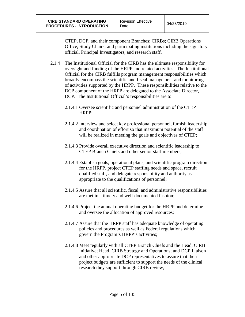CTEP, DCP, and their component Branches; CIRBs; CIRB Operations Office; Study Chairs; and participating institutions including the signatory official, Principal Investigators, and research staff.

- 2.1.4 The Institutional Official for the CIRB has the ultimate responsibility for oversight and funding of the HRPP and related activities. The Institutional Official for the CIRB fulfills program management responsibilities which broadly encompass the scientific and fiscal management and monitoring of activities supported by the HRPP. These responsibilities relative to the DCP component of the HRPP are delegated to the Associate Director, DCP. The Institutional Official's responsibilities are to:
	- 2.1.4.1 Oversee scientific and personnel administration of the CTEP HRPP;
	- 2.1.4.2 Interview and select key professional personnel, furnish leadership and coordination of effort so that maximum potential of the staff will be realized in meeting the goals and objectives of CTEP;
	- 2.1.4.3 Provide overall executive direction and scientific leadership to CTEP Branch Chiefs and other senior staff members;
	- 2.1.4.4 Establish goals, operational plans, and scientific program direction for the HRPP, project CTEP staffing needs and space, recruit qualified staff, and delegate responsibility and authority as appropriate to the qualifications of personnel;
	- 2.1.4.5 Assure that all scientific, fiscal, and administrative responsibilities are met in a timely and well-documented fashion;
	- 2.1.4.6 Project the annual operating budget for the HRPP and determine and oversee the allocation of approved resources;
	- 2.1.4.7 Assure that the HRPP staff has adequate knowledge of operating policies and procedures as well as Federal regulations which govern the Program's HRPP's activities;
	- 2.1.4.8 Meet regularly with all CTEP Branch Chiefs and the Head, CIRB Initiative; Head, CIRB Strategy and Operations; and DCP Liaison and other appropriate DCP representatives to assure that their project budgets are sufficient to support the needs of the clinical research they support through CIRB review;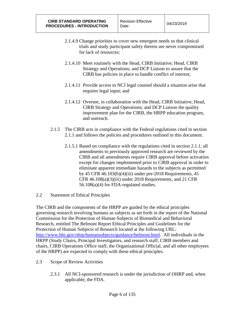- 2.1.4.9 Change priorities to cover new emergent needs so that clinical trials and study participant safety therein are never compromised for lack of resources;
- 2.1.4.10 Meet routinely with the Head, CIRB Initiative; Head, CIRB Strategy and Operations; and DCP Liaison to assure that the CIRB has policies in place to handle conflict of interest;
- 2.1.4.11 Provide access to NCI legal counsel should a situation arise that requires legal input; and
- 2.1.4.12 Oversee, in collaboration with the Head, CIRB Initiative; Head, CIRB Strategy and Operations; and DCP Liaison the quality improvement plan for the CIRB, the HRPP education program, and outreach.
- 2.1.5 The CIRB acts in compliance with the Federal regulations cited in section 2.1.1 and follows the policies and procedures outlined in this document.
	- 2.1.5.1 Based on compliance with the regulations cited in section 2.1.1, all amendments to previously approved research are reviewed by the CIRB and all amendments require CIRB approval before activation except for changes implemented prior to CIRB approval in order to eliminate apparent immediate hazards to the subjects as permitted by 45 CFR 46.103(b)(4)(iii) under pre-2018 Requirements, 45 CFR  $46.108(a)(3)(iii)$  under 2018 Requirements, and 21 CFR 56.108(a)(4) for FDA-regulated studies.
- <span id="page-11-0"></span>2.2 Statement of Ethical Principles

The CIRB and the components of the HRPP are guided by the ethical principles governing research involving humans as subjects as set forth in the report of the National Commission for the Protection of Human Subjects of Biomedical and Behavioral Research, entitled The Belmont Report Ethical Principles and Guidelines for the Protection of Human Subjects of Research located at the following URL: [http://www.hhs.gov/ohrp/humansubjects/guidance/belmont.html.](http://www.hhs.gov/ohrp/humansubjects/guidance/belmont.html) All individuals in the HRPP (Study Chairs, Principal Investigators, and research staff, CIRB members and chairs, CIRB Operations Office staff, the Organizational Official, and all other employees of the HRPP) are expected to comply with these ethical principles.

- <span id="page-11-1"></span>2.3 Scope of Review Activities
	- 2.3.1 All NCI-sponsored research is under the jurisdiction of OHRP and, when applicable, the FDA.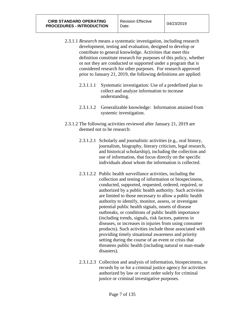- 2.3.1.1 *Research* means a systematic investigation, including research development, testing and evaluation, designed to develop or contribute to general knowledge. Activities that meet this definition constitute research for purposes of this policy, whether or not they are conducted or supported under a program that is considered research for other purposes. For research approved prior to January 21, 2019, the following definitions are applied:
	- 2.3.1.1.1 Systematic investigation: Use of a predefined plan to collect and analyze information to increase understanding.
	- 2.3.1.1.2 Generalizable knowledge: Information attained from systemic investigation.
- 2.3.1.2 The following activities reviewed after January 21, 2019 are deemed not to be research:
	- 2.3.1.2.1 Scholarly and journalistic activities (e.g., oral history, journalism, biography, literary criticism, legal research, and historical scholarship), including the collection and use of information, that focus directly on the specific individuals about whom the information is collected.
	- 2.3.1.2.2 Public health surveillance activities, including the collection and testing of information or biospecimens, conducted, supported, requested, ordered, required, or authorized by a public health authority. Such activities are limited to those necessary to allow a public health authority to identify, monitor, assess, or investigate potential public health signals, onsets of disease outbreaks, or conditions of public health importance (including trends, signals, risk factors, patterns in diseases, or increases in injuries from using consumer products). Such activities include those associated with providing timely situational awareness and priority setting during the course of an event or crisis that threatens public health (including natural or man-made disasters).
	- 2.3.1.2.3 Collection and analysis of information, biospecimens, or records by or for a criminal justice agency for activities authorized by law or court order solely for criminal justice or criminal investigative purposes.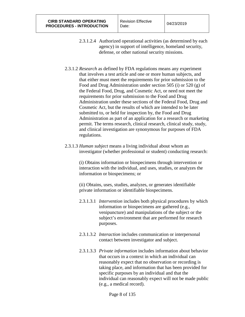- 2.3.1.2.4 Authorized operational activities (as determined by each agency) in support of intelligence, homeland security, defense, or other national security missions.
- 2.3.1.2 *Research* as defined by FDA regulations means any experiment that involves a test article and one or more human subjects, and that either must meet the requirements for prior submission to the Food and Drug Administration under section 505 (i) or 520 (g) of the Federal Food, Drug, and Cosmetic Act, or need not meet the requirements for prior submission to the Food and Drug Administration under these sections of the Federal Food, Drug and Cosmetic Act, but the results of which are intended to be later submitted to, or held for inspection by, the Food and Drug Administration as part of an application for a research or marketing permit. The terms research, clinical research, clinical study, study, and clinical investigation are synonymous for purposes of FDA regulations.
- 2.3.1.3 *Human subject* means a living individual about whom an investigator (whether professional or student) conducting research:

(i) Obtains information or biospecimens through intervention or interaction with the individual, and uses, studies, or analyzes the information or biospecimens; or

(ii) Obtains, uses, studies, analyzes, or generates identifiable private information or identifiable biospecimens.

- 2.3.1.3.1 *Intervention* includes both physical procedures by which information or biospecimens are gathered (e.g., venipuncture) and manipulations of the subject or the subject's environment that are performed for research purposes.
- 2.3.1.3.2 *Interaction* includes communication or interpersonal contact between investigator and subject.
- 2.3.1.3.3 *Private information* includes information about behavior that occurs in a context in which an individual can reasonably expect that no observation or recording is taking place, and information that has been provided for specific purposes by an individual and that the individual can reasonably expect will not be made public (e.g., a medical record).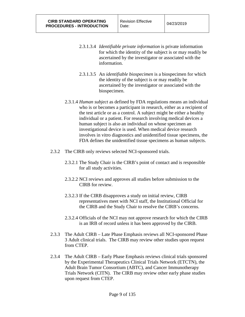- 2.3.1.3.4 *Identifiable private information* is private information for which the identity of the subject is or may readily be ascertained by the investigator or associated with the information.
- 2.3.1.3.5 An *identifiable biospecimen* is a biospecimen for which the identity of the subject is or may readily be ascertained by the investigator or associated with the biospecimen.
- 2.3.1.4 *Human subject* as defined by FDA regulations means an individual who is or becomes a participant in research, either as a recipient of the test article or as a control. A subject might be either a healthy individual or a patient. For research involving medical devices a human subject is also an individual on whose specimen an investigational device is used. When medical device research involves in vitro diagnostics and unidentified tissue specimens, the FDA defines the unidentified tissue specimens as human subjects.
- 2.3.2 The CIRB only reviews selected NCI-sponsored trials.
	- 2.3.2.1 The Study Chair is the CIRB's point of contact and is responsible for all study activities.
	- 2.3.2.2 NCI reviews and approves all studies before submission to the CIRB for review.
	- 2.3.2.3 If the CIRB disapproves a study on initial review, CIRB representatives meet with NCI staff, the Institutional Official for the CIRB and the Study Chair to resolve the CIRB's concerns.
	- 2.3.2.4 Officials of the NCI may not approve research for which the CIRB is an IRB of record unless it has been approved by the CIRB.
- 2.3.3 The Adult CIRB Late Phase Emphasis reviews all NCI-sponsored Phase 3 Adult clinical trials. The CIRB may review other studies upon request from CTEP.
- 2.3.4 The Adult CIRB Early Phase Emphasis reviews clinical trials sponsored by the Experimental Therapeutics Clinical Trials Network (ETCTN), the Adult Brain Tumor Consortium (ABTC), and Cancer Immunotherapy Trials Network (CITN). The CIRB may review other early phase studies upon request from CTEP.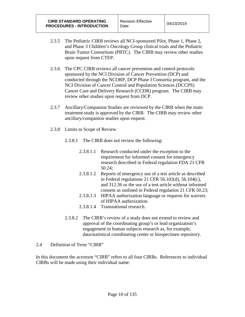- 2.3.5 The Pediatric CIRB reviews all NCI-sponsored Pilot, Phase 1, Phase 2, and Phase 3 Children's Oncology Group clinical trials and the Pediatric Brain Tumor Consortium (PBTC). The CIRB may review other studies upon request from CTEP.
- 2.3.6 The CPC CIRB reviews all cancer prevention and control protocols sponsored by the NCI Division of Cancer Prevention (DCP) and conducted through the NCORP, DCP Phase I Consortia program, and the NCI Division of Cancer Control and Population Sciences (DCCPS) Cancer Care and Delivery Research (CCDR) program. The CIRB may review other studies upon request from DCP.
- 2.3.7 Ancillary/Companion Studies are reviewed by the CIRB when the main treatment study is approved by the CIRB. The CIRB may review other ancillary/companion studies upon request.
- 2.3.8 Limits to Scope of Review
	- 2.3.8.1 The CIRB does not review the following:
		- 2.3.8.1.1 Research conducted under the exception to the requirement for informed consent for emergency research described in Federal regulation FDA 21 CFR 50.24;
		- 2.3.8.1.2 Reports of emergency use of a test article as described in Federal regulations 21 CFR 56.102(d), 56.104(c), and 312.36 or the use of a test article without informed consent as outlined in Federal regulation 21 CFR 50.23;
		- 2.3.8.1.3 HIPAA authorization language or requests for waivers of HIPAA authorization.
		- 2.3.8.1.4 Transnational research.
	- 2.3.8.2 The CIRB's review of a study does not extend to review and approval of the coordinating group's or lead organization's engagement in human subjects research as, for example, data/statistical coordinating center or biospecimen repository.
- <span id="page-15-0"></span>2.4 Definition of Term "CIRB"

In this document the acronym "CIRB" refers to all four CIRBs. References to individual CIRBs will be made using their individual name.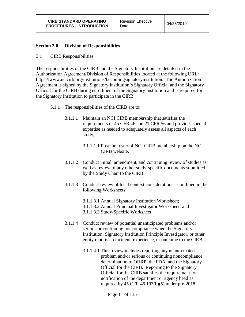# <span id="page-16-0"></span>**Section 3.0 Division of Responsibilities**

<span id="page-16-1"></span>3.1 CIRB Responsibilities

The responsibilities of the CIRB and the Signatory Institution are detailed in the Authorization Agreement/Division of Responsibilities located at the following URL: https://www.ncicirb.org/institutions/becomingsignatoryinstitution. The Authorization Agreement is signed by the Signatory Institution's Signatory Official and the Signatory Official for the CIRB during enrollment of the Signatory Institution and is required for the Signatory Institution to participate in the CIRB.

- 3.1.1 The responsibilities of the CIRB are to:
	- 3.1.1.1 Maintain an NCI CIRB membership that satisfies the requirements of 45 CFR 46 and 21 CFR 56 and provides special expertise as needed to adequately assess all aspects of each study;
		- 3.1.1.1.1 Post the roster of NCI CIRB membership on the NCI CIRB website.
	- 3.1.1.2 Conduct initial, amendment, and continuing review of studies as well as review of any other study-specific documents submitted by the Study Chair to the CIRB.
	- 3.1.1.3 Conduct review of local context considerations as outlined in the following Worksheets:
		- 3.1.1.3.1 Annual Signatory Institution Worksheet; 3.1.1.3.2 Annual Principal Investigator Worksheet; and 3.1.1.3.3 Study-Specific Worksheet.
	- 3.1.1.4 Conduct review of potential unanticipated problems and/or serious or continuing noncompliance when the Signatory Institution, Signatory Institution Principle Investigator, or other entity reports an incident, experience, or outcome to the CIRB;
		- 3.1.1.4.1 This review includes reporting any unanticipated problem and/or serious or continuing noncompliance determination to OHRP, the FDA, and the Signatory Official for the CIRB. Reporting to the Signatory Official for the CIRB satisfies the requirement for notification of the department or agency head as required by 45 CFR 46.103(b)(5) under pre-2018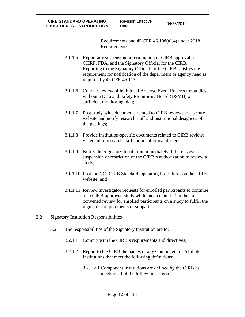Requirements and 45 CFR 46.108(a)(4) under 2018 Requirements.

- 3.1.1.5 Report any suspension or termination of CIRB approval to OHRP, FDA, and the Signatory Official for the CIRB. Reporting to the Signatory Official for the CIRB satisfies the requirement for notification of the department or agency head as required by 45 CFR 46.113;
- 3.1.1.6 Conduct review of individual Adverse Event Reports for studies without a Data and Safety Monitoring Board (DSMB) or sufficient monitoring plan;
- 3.1.1.7 Post study-wide documents related to CIRB reviews to a secure website and notify research staff and institutional designees of the postings;
- 3.1.1.8 Provide institution-specific documents related to CIRB reviews via email to research staff and institutional designees;
- 3.1.1.9 Notify the Signatory Institution immediately if there is ever a suspension or restriction of the CIRB's authorization to review a study;
- 3.1.1.10 Post the NCI CIRB Standard Operating Procedures on the CIRB website; and
- 3.1.1.11 Review investigator requests for enrolled participants to continue on a CIRB-approved study while incarcerated. Conduct a convened review for enrolled participants on a study to fulfill the regulatory requirements of subpart C.
- <span id="page-17-0"></span>3.2 Signatory Institution Responsibilities
	- 3.2.1 The responsibilities of the Signatory Institution are to:
		- 3.2.1.1 Comply with the CIRB's requirements and directives;
		- 3.2.1.2 Report to the CIRB the names of any Component or Affiliate Institutions that meet the following definitions:
			- 3.2.1.2.1 Component Institutions are defined by the CIRB as meeting all of the following criteria: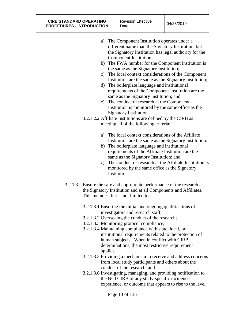- a) The Component Institution operates under a different name than the Signatory Institution, but the Signatory Institution has legal authority for the Component Institution;
- b) The FWA number for the Component Institution is the same as the Signatory Institution;
- c) The local context considerations of the Component Institution are the same as the Signatory Institution;
- d) The boilerplate language and institutional requirements of the Component Institution are the same as the Signatory Institution; and
- e) The conduct of research at the Component Institution is monitored by the same office as the Signatory Institution.
- 3.2.1.2.2 Affiliate Institutions are defined by the CIRB as meeting all of the following criteria:
	- a) The local context considerations of the Affiliate Institution are the same as the Signatory Institution.
	- b) The boilerplate language and institutional requirements of the Affiliate Institution are the same as the Signatory Institution; and
	- c) The conduct of research at the Affiliate Institution is monitored by the same office as the Signatory Institution.
- 3.2.1.3 Ensure the safe and appropriate performance of the research at the Signatory Institution and at all Components and Affiliates. This includes, but is not limited to:
	- 3.2.1.3.1 Ensuring the initial and ongoing qualifications of investigators and research staff;
	- 3.2.1.3.2 Overseeing the conduct of the research;
	- 3.2.1.3.3 Monitoring protocol compliance;
	- 3.2.1.3.4 Maintaining compliance with state, local, or institutional requirements related to the protection of human subjects. When in conflict with CIRB determinations, the most restrictive requirement applies;
	- 3.2.1.3.5 Providing a mechanism to receive and address concerns from local study participants and others about the conduct of the research; and
	- 3.2.1.3.6 Investigating, managing, and providing notification to the NCI CIRB of any study-specific incidence, experience, or outcome that appears to rise to the level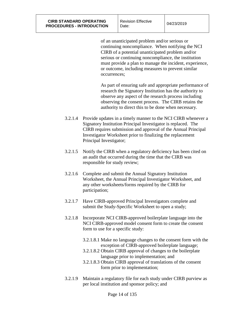of an unanticipated problem and/or serious or continuing noncompliance. When notifying the NCI CIRB of a potential unanticipated problem and/or serious or continuing noncompliance, the institution must provide a plan to manage the incident, experience, or outcome, including measures to prevent similar occurrences;

As part of ensuring safe and appropriate performance of research the Signatory Institution has the authority to observe any aspect of the research process including observing the consent process. The CIRB retains the authority to direct this to be done when necessary.

- 3.2.1.4 Provide updates in a timely manner to the NCI CIRB whenever a Signatory Institution Principal Investigator is replaced. The CIRB requires submission and approval of the Annual Principal Investigator Worksheet prior to finalizing the replacement Principal Investigator;
- 3.2.1.5 Notify the CIRB when a regulatory deficiency has been cited on an audit that occurred during the time that the CIRB was responsible for study review;
- 3.2.1.6 Complete and submit the Annual Signatory Institution Worksheet, the Annual Principal Investigator Worksheet, and any other worksheets/forms required by the CIRB for participation;
- 3.2.1.7 Have CIRB-approved Principal Investigators complete and submit the Study-Specific Worksheet to open a study;
- 3.2.1.8 Incorporate NCI CIRB-approved boilerplate language into the NCI CIRB-approved model consent form to create the consent form to use for a specific study:
	- 3.2.1.8.1 Make no language changes to the consent form with the exception of CIRB-approved boilerplate language;
	- 3.2.1.8.2 Obtain CIRB approval of changes to the boilerplate language prior to implementation; and
	- 3.2.1.8.3 Obtain CIRB approval of translations of the consent form prior to implementation;
- 3.2.1.9 Maintain a regulatory file for each study under CIRB purview as per local institution and sponsor policy; and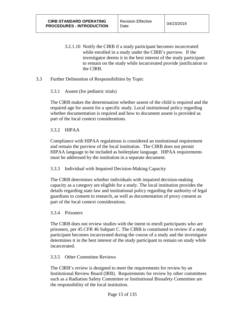- 3.2.1.10 Notify the CIRB if a study participant becomes incarcerated while enrolled in a study under the CIRB's purview. If the investigator deems it in the best interest of the study participant to remain on the study while incarcerated provide justification to the CIRB.
- <span id="page-20-0"></span>3.3 Further Delineation of Responsibilities by Topic
	- 3.3.1 Assent (for pediatric trials)

The CIRB makes the determination whether assent of the child is required and the required age for assent for a specific study. Local institutional policy regarding whether documentation is required and how to document assent is provided as part of the local context considerations.

3.3.2 HIPAA

Compliance with HIPAA regulations is considered an institutional requirement and remain the purview of the local institution. The CIRB does not permit HIPAA language to be included as boilerplate language. HIPAA requirements must be addressed by the institution in a separate document.

3.3.3 Individual with Impaired Decision-Making Capacity

The CIRB determines whether individuals with impaired decision-making capacity as a category are eligible for a study. The local institution provides the details regarding state law and institutional policy regarding the authority of legal guardians to consent to research, as well as documentation of proxy consent as part of the local context considerations.

3.3.4 Prisoners

The CIRB does not review studies with the intent to enroll participants who are prisoners, per 45 CFR 46 Subpart C. The CIRB is constituted to review if a study participant becomes incarcerated during the course of a study and the investigator determines it in the best interest of the study participant to remain on study while incarcerated.

## 3.3.5 Other Committee Reviews

The CIRB's review is designed to meet the requirements for review by an Institutional Review Board (IRB). Requirements for review by other committees such as a Radiation Safety Committee or Institutional Biosafety Committee are the responsibility of the local institution.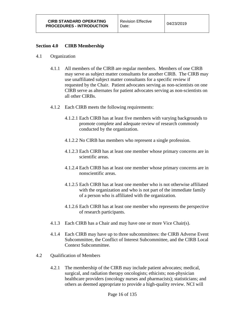#### <span id="page-21-0"></span>**Section 4.0 CIRB Membership**

- <span id="page-21-1"></span>4.1 Organization
	- 4.1.1 All members of the CIRB are regular members. Members of one CIRB may serve as subject matter consultants for another CIRB. The CIRB may use unaffiliated subject matter consultants for a specific review if requested by the Chair. Patient advocates serving as non-scientists on one CIRB serve as alternates for patient advocates serving as non-scientists on all other CIRBs.
	- 4.1.2 Each CIRB meets the following requirements:
		- 4.1.2.1 Each CIRB has at least five members with varying backgrounds to promote complete and adequate review of research commonly conducted by the organization.
		- 4.1.2.2 No CIRB has members who represent a single profession.
		- 4.1.2.3 Each CIRB has at least one member whose primary concerns are in scientific areas.
		- 4.1.2.4 Each CIRB has at least one member whose primary concerns are in nonscientific areas.
		- 4.1.2.5 Each CIRB has at least one member who is not otherwise affiliated with the organization and who is not part of the immediate family of a person who is affiliated with the organization.
		- 4.1.2.6 Each CIRB has at least one member who represents the perspective of research participants.
	- 4.1.3 Each CIRB has a Chair and may have one or more Vice Chair(s).
	- 4.1.4 Each CIRB may have up to three subcommittees: the CIRB Adverse Event Subcommittee, the Conflict of Interest Subcommittee, and the CIRB Local Context Subcommittee.
- <span id="page-21-2"></span>4.2 Qualification of Members
	- 4.2.1 The membership of the CIRB may include patient advocates; medical, surgical, and radiation therapy oncologists; ethicists; non-physician healthcare providers (oncology nurses and pharmacists); statisticians; and others as deemed appropriate to provide a high-quality review. NCI will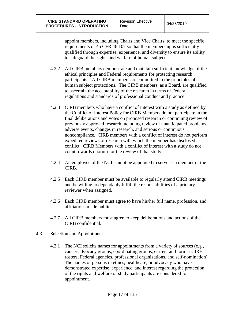appoint members, including Chairs and Vice Chairs, to meet the specific requirements of 45 CFR 46.107 so that the membership is sufficiently qualified through expertise, experience, and diversity to ensure its ability to safeguard the rights and welfare of human subjects.

- 4.2.2 All CIRB members demonstrate and maintain sufficient knowledge of the ethical principles and Federal requirements for protecting research participants. All CIRB members are committed to the principles of human subject protections. The CIRB members, as a Board, are qualified to ascertain the acceptability of the research in terms of Federal regulations and standards of professional conduct and practice.
- 4.2.3 CIRB members who have a conflict of interest with a study as defined by the Conflict of Interest Policy for CIRB Members do not participate in the final deliberations and votes on proposed research or continuing review of previously approved research including review of unanticipated problems, adverse events, changes in research, and serious or continuous noncompliance. CIRB members with a conflict of interest do not perform expedited reviews of research with which the member has disclosed a conflict. CIRB Members with a conflict of interest with a study do not count towards quorum for the review of that study.
- 4.2.4 An employee of the NCI cannot be appointed to serve as a member of the CIRB.
- 4.2.5 Each CIRB member must be available to regularly attend CIRB meetings and be willing to dependably fulfill the responsibilities of a primary reviewer when assigned.
- 4.2.6 Each CIRB member must agree to have his/her full name, profession, and affiliations made public.
- 4.2.7 All CIRB members must agree to keep deliberations and actions of the CIRB confidential.
- <span id="page-22-0"></span>4.3 Selection and Appointment
	- 4.3.1 The NCI solicits names for appointments from a variety of sources (e.g., cancer advocacy groups, coordinating groups, current and former CIRB rosters, Federal agencies, professional organizations, and self-nomination). The names of persons in ethics, healthcare, or advocacy who have demonstrated expertise, experience, and interest regarding the protection of the rights and welfare of study participants are considered for appointment.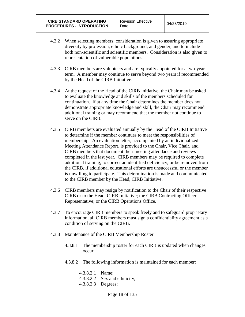- 4.3.2 When selecting members, consideration is given to assuring appropriate diversity by profession, ethnic background, and gender, and to include both non-scientific and scientific members. Consideration is also given to representation of vulnerable populations.
- 4.3.3 CIRB members are volunteers and are typically appointed for a two-year term. A member may continue to serve beyond two years if recommended by the Head of the CIRB Initiative.
- 4.3.4 At the request of the Head of the CIRB Initiative, the Chair may be asked to evaluate the knowledge and skills of the members scheduled for continuation. If at any time the Chair determines the member does not demonstrate appropriate knowledge and skill, the Chair may recommend additional training or may recommend that the member not continue to serve on the CIRB.
- 4.3.5 CIRB members are evaluated annually by the Head of the CIRB Initiative to determine if the member continues to meet the responsibilities of membership. An evaluation letter, accompanied by an individualized Meeting Attendance Report, is provided to the Chair, Vice Chair, and CIRB members that document their meeting attendance and reviews completed in the last year. CIRB members may be required to complete additional training, to correct an identified deficiency, or be removed from the CIRB, if additional educational efforts are unsuccessful or the member is unwilling to participate. This determination is made and communicated to the CIRB member by the Head, CIRB Initiative.
- 4.3.6 CIRB members may resign by notification to the Chair of their respective CIRB or to the Head, CIRB Initiative; the CIRB Contracting Officer Representative; or the CIRB Operations Office.
- 4.3.7 To encourage CIRB members to speak freely and to safeguard proprietary information, all CIRB members must sign a confidentiality agreement as a condition of serving on the CIRB.
- 4.3.8 Maintenance of the CIRB Membership Roster
	- 4.3.8.1 The membership roster for each CIRB is updated when changes occur.
	- 4.3.8.2 The following information is maintained for each member:
		- 4.3.8.2.1 Name; 4.3.8.2.2 Sex and ethnicity; 4.3.8.2.3 Degrees;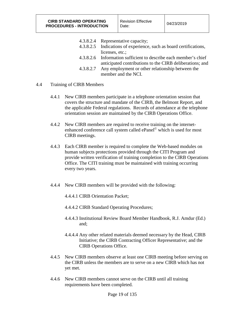- 4.3.8.2.4 Representative capacity;
- 4.3.8.2.5 Indications of experience, such as board certifications, licenses, etc.;
- 4.3.8.2.6 Information sufficient to describe each member's chief anticipated contributions to the CIRB deliberations; and
- 4.3.8.2.7 Any employment or other relationship between the member and the NCI.

## <span id="page-24-0"></span>4.4 Training of CIRB Members

- 4.4.1 New CIRB members participate in a telephone orientation session that covers the structure and mandate of the CIRB, the Belmont Report, and the applicable Federal regulations. Records of attendance at the telephone orientation session are maintained by the CIRB Operations Office.
- 4.4.2 New CIRB members are required to receive training on the internetenhanced conference call system called ePanel© which is used for most CIRB meetings.
- 4.4.3 Each CIRB member is required to complete the Web-based modules on human subjects protections provided through the CITI Program and provide written verification of training completion to the CIRB Operations Office. The CITI training must be maintained with training occurring every two years.
- 4.4.4 New CIRB members will be provided with the following:
	- 4.4.4.1 CIRB Orientation Packet;
	- 4.4.4.2 CIRB Standard Operating Procedures;
	- 4.4.4.3 Institutional Review Board Member Handbook, R.J. Amdur (Ed.) and;
	- 4.4.4.4 Any other related materials deemed necessary by the Head, CIRB Initiative; the CIRB Contracting Officer Representative; and the CIRB Operations Office.
- 4.4.5 New CIRB members observe at least one CIRB meeting before serving on the CIRB unless the members are to serve on a new CIRB which has not yet met.
- 4.4.6 New CIRB members cannot serve on the CIRB until all training requirements have been completed.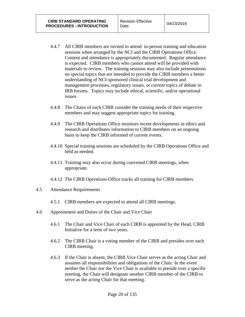- 4.4.7 All CIRB members are invited to attend in-person training and education sessions when arranged by the NCI and the CIRB Operations Office. Content and attendance is appropriately documented. Regular attendance is expected. CIRB members who cannot attend will be provided with materials to review. The training sessions may also include presentations on special topics that are intended to provide the CIRB members a better understanding of NCI-sponsored clinical trial development and management processes, regulatory issues, or current topics of debate in IRB forums. Topics may include ethical, scientific, and/or operational issues.
- 4.4.8 The Chairs of each CIRB consider the training needs of their respective members and may suggest appropriate topics for training.
- 4.4.9 The CIRB Operations Office monitors recent developments in ethics and research and distributes information to CIRB members on an ongoing basis to keep the CIRB informed of current events.
- 4.4.10 Special training sessions are scheduled by the CIRB Operations Office and held as needed.
- 4.4.11 Training may also occur during convened CIRB meetings, when appropriate.
- 4.4.12 The CIRB Operations Office tracks all training for CIRB members.
- <span id="page-25-0"></span>4.5 Attendance Requirements
	- 4.5.1 CIRB members are expected to attend all CIRB meetings.
- <span id="page-25-1"></span>4.6 Appointment and Duties of the Chair and Vice Chair
	- 4.6.1 The Chair and Vice Chair of each CIRB is appointed by the Head, CIRB Initiative for a term of two years.
	- 4.6.2 The CIRB Chair is a voting member of the CIRB and presides over each CIRB meeting.
	- 4.6.3 If the Chair is absent, the CIRB Vice Chair serves as the acting Chair and assumes all responsibilities and obligations of the Chair. In the event neither the Chair nor the Vice Chair is available to preside over a specific meeting, the Chair will designate another CIRB member of the CIRB to serve as the acting Chair for that meeting.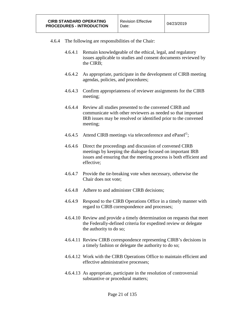- 4.6.4 The following are responsibilities of the Chair:
	- 4.6.4.1 Remain knowledgeable of the ethical, legal, and regulatory issues applicable to studies and consent documents reviewed by the CIRB;
	- 4.6.4.2 As appropriate, participate in the development of CIRB meeting agendas, policies, and procedures;
	- 4.6.4.3 Confirm appropriateness of reviewer assignments for the CIRB meeting;
	- 4.6.4.4 Review all studies presented to the convened CIRB and communicate with other reviewers as needed so that important IRB issues may be resolved or identified prior to the convened meeting;
	- 4.6.4.5 Attend CIRB meetings via teleconference and ePanel<sup>®</sup>;
	- 4.6.4.6 Direct the proceedings and discussion of convened CIRB meetings by keeping the dialogue focused on important IRB issues and ensuring that the meeting process is both efficient and effective;
	- 4.6.4.7 Provide the tie-breaking vote when necessary, otherwise the Chair does not vote;
	- 4.6.4.8 Adhere to and administer CIRB decisions;
	- 4.6.4.9 Respond to the CIRB Operations Office in a timely manner with regard to CIRB correspondence and processes;
	- 4.6.4.10 Review and provide a timely determination on requests that meet the Federally-defined criteria for expedited review or delegate the authority to do so;
	- 4.6.4.11 Review CIRB correspondence representing CIRB's decisions in a timely fashion or delegate the authority to do so;
	- 4.6.4.12 Work with the CIRB Operations Office to maintain efficient and effective administrative processes;
	- 4.6.4.13 As appropriate, participate in the resolution of controversial substantive or procedural matters;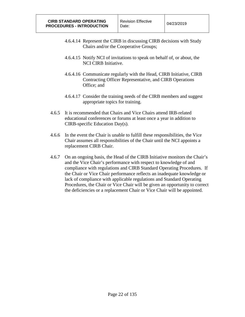- 4.6.4.14 Represent the CIRB in discussing CIRB decisions with Study Chairs and/or the Cooperative Groups;
- 4.6.4.15 Notify NCI of invitations to speak on behalf of, or about, the NCI CIRB Initiative.
- 4.6.4.16 Communicate regularly with the Head, CIRB Initiative, CIRB Contracting Officer Representative, and CIRB Operations Office; and
- 4.6.4.17 Consider the training needs of the CIRB members and suggest appropriate topics for training.
- 4.6.5 It is recommended that Chairs and Vice Chairs attend IRB-related educational conferences or forums at least once a year in addition to CIRB-specific Education Day(s).
- 4.6.6 In the event the Chair is unable to fulfill these responsibilities, the Vice Chair assumes all responsibilities of the Chair until the NCI appoints a replacement CIRB Chair.
- 4.6.7 On an ongoing basis, the Head of the CIRB Initiative monitors the Chair's and the Vice Chair's performance with respect to knowledge of and compliance with regulations and CIRB Standard Operating Procedures. If the Chair or Vice Chair performance reflects an inadequate knowledge or lack of compliance with applicable regulations and Standard Operating Procedures, the Chair or Vice Chair will be given an opportunity to correct the deficiencies or a replacement Chair or Vice Chair will be appointed.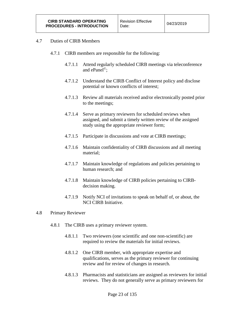#### <span id="page-28-0"></span>4.7 Duties of CIRB Members

- 4.7.1 CIRB members are responsible for the following:
	- 4.7.1.1 Attend regularly scheduled CIRB meetings via teleconference and ePanel©;
	- 4.7.1.2 Understand the CIRB Conflict of Interest policy and disclose potential or known conflicts of interest;
	- 4.7.1.3 Review all materials received and/or electronically posted prior to the meetings;
	- 4.7.1.4 Serve as primary reviewers for scheduled reviews when assigned, and submit a timely written review of the assigned study using the appropriate reviewer form;
	- 4.7.1.5 Participate in discussions and vote at CIRB meetings;
	- 4.7.1.6 Maintain confidentiality of CIRB discussions and all meeting material;
	- 4.7.1.7 Maintain knowledge of regulations and policies pertaining to human research; and
	- 4.7.1.8 Maintain knowledge of CIRB policies pertaining to CIRBdecision making.
	- 4.7.1.9 Notify NCI of invitations to speak on behalf of, or about, the NCI CIRB Initiative.

#### <span id="page-28-1"></span>4.8 Primary Reviewer

- 4.8.1 The CIRB uses a primary reviewer system.
	- 4.8.1.1 Two reviewers (one scientific and one non-scientific) are required to review the materials for initial reviews.
	- 4.8.1.2 One CIRB member, with appropriate expertise and qualifications, serves as the primary reviewer for continuing review and for review of changes in research.
	- 4.8.1.3 Pharmacists and statisticians are assigned as reviewers for initial reviews. They do not generally serve as primary reviewers for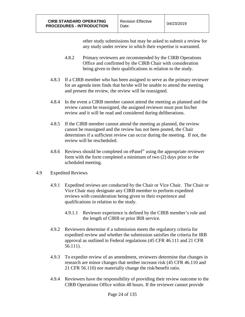other study submissions but may be asked to submit a review for any study under review in which their expertise is warranted.

- 4.8.2 Primary reviewers are recommended by the CIRB Operations Office and confirmed by the CIRB Chair with consideration being given to their qualifications in relation to the study.
- 4.8.3 If a CIRB member who has been assigned to serve as the primary reviewer for an agenda item finds that he/she will be unable to attend the meeting and present the review, the review will be reassigned.
- 4.8.4 In the event a CIRB member cannot attend the meeting as planned and the review cannot be reassigned, the assigned reviewer must post his/her review and it will be read and considered during deliberations.
- 4.8.5 If the CIRB member cannot attend the meeting as planned, the review cannot be reassigned and the review has not been posted, the Chair determines if a sufficient review can occur during the meeting. If not, the review will be rescheduled.
- 4.8.6 Reviews should be completed on ePanel<sup>©</sup> using the appropriate reviewer form with the form completed a minimum of two (2) days prior to the scheduled meeting.
- <span id="page-29-0"></span>4.9 Expedited Reviews
	- 4.9.1 Expedited reviews are conducted by the Chair or Vice Chair. The Chair or Vice Chair may designate any CIRB member to perform expedited reviews with consideration being given to their experience and qualifications in relation to the study.
		- 4.9.1.1 Reviewer experience is defined by the CIRB member's role and the length of CIRB or prior IRB service.
	- 4.9.2 Reviewers determine if a submission meets the regulatory criteria for expedited review and whether the submission satisfies the criteria for IRB approval as outlined in Federal regulations (45 CFR 46.111 and 21 CFR 56.111).
	- 4.9.3 To expedite review of an amendment, reviewers determine that changes in research are minor changes that neither increase risk (45 CFR 46.110 and 21 CFR 56.110) nor materially change the risk/benefit ratio.
	- 4.9.4 Reviewers have the responsibility of providing their review outcome to the CIRB Operations Office within 48 hours. If the reviewer cannot provide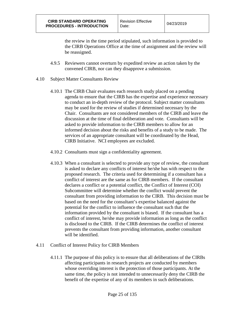the review in the time period stipulated, such information is provided to the CIRB Operations Office at the time of assignment and the review will be reassigned.

- 4.9.5 Reviewers cannot overturn by expedited review an action taken by the convened CIRB, nor can they disapprove a submission.
- <span id="page-30-0"></span>4.10 Subject Matter Consultants Review
	- 4.10.1 The CIRB Chair evaluates each research study placed on a pending agenda to ensure that the CIRB has the expertise and experience necessary to conduct an in-depth review of the protocol. Subject matter consultants may be used for the review of studies if determined necessary by the Chair. Consultants are not considered members of the CIRB and leave the discussion at the time of final deliberation and vote. Consultants will be asked to provide information to the CIRB members to allow for an informed decision about the risks and benefits of a study to be made. The services of an appropriate consultant will be coordinated by the Head, CIRB Initiative. NCI employees are excluded.
	- 4.10.2 Consultants must sign a confidentiality agreement.
	- 4.10.3 When a consultant is selected to provide any type of review, the consultant is asked to declare any conflicts of interest he/she has with respect to the proposed research. The criteria used for determining if a consultant has a conflict of interest are the same as for CIRB members. If the consultant declares a conflict or a potential conflict, the Conflict of Interest (COI) Subcommittee will determine whether the conflict would prevent the consultant from providing information to the CIRB. This decision must be based on the need for the consultant's expertise balanced against the potential for the conflict to influence the consultant such that the information provided by the consultant is biased. If the consultant has a conflict of interest, he/she may provide information as long as the conflict is disclosed to the CIRB. If the CIRB determines the conflict of interest prevents the consultant from providing information, another consultant will be identified.
- <span id="page-30-1"></span>4.11 Conflict of Interest Policy for CIRB Members
	- 4.11.1 The purpose of this policy is to ensure that all deliberations of the CIRBs affecting participants in research projects are conducted by members whose overriding interest is the protection of those participants. At the same time, the policy is not intended to unnecessarily deny the CIRB the benefit of the expertise of any of its members in such deliberations.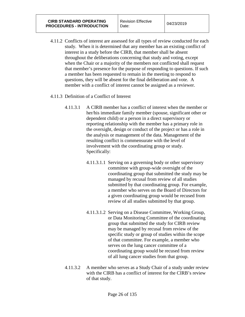- 4.11.2 Conflicts of interest are assessed for all types of review conducted for each study. When it is determined that any member has an existing conflict of interest in a study before the CIRB, that member shall be absent throughout the deliberations concerning that study and voting, except when the Chair or a majority of the members not conflicted shall request that member's presence for the purpose of responding to questions. If such a member has been requested to remain in the meeting to respond to questions, they will be absent for the final deliberation and vote. A member with a conflict of interest cannot be assigned as a reviewer.
- 4.11.3 Definition of a Conflict of Interest
	- 4.11.3.1 A CIRB member has a conflict of interest when the member or her/his immediate family member (spouse, significant other or dependent child) or a person in a direct supervisory or reporting relationship with the member has a primary role in the oversight, design or conduct of the project or has a role in the analysis or management of the data. Management of the resulting conflict is commensurate with the level of involvement with the coordinating group or study. Specifically:
		- 4.11.3.1.1 Serving on a governing body or other supervisory committee with group-wide oversight of the coordinating group that submitted the study may be managed by recusal from review of all studies submitted by that coordinating group. For example, a member who serves on the Board of Directors for a given coordinating group would be recused from review of all studies submitted by that group.
		- 4.11.3.1.2 Serving on a Disease Committee, Working Group, or Data Monitoring Committee of the coordinating group that submitted the study for CIRB review may be managed by recusal from review of the specific study or group of studies within the scope of that committee. For example, a member who serves on the lung cancer committee of a coordinating group would be recused from review of all lung cancer studies from that group.
	- 4.11.3.2 A member who serves as a Study Chair of a study under review with the CIRB has a conflict of interest for the CIRB's review of that study.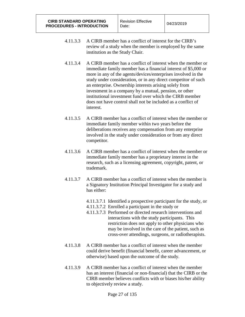- 4.11.3.3 A CIRB member has a conflict of interest for the CIRB's review of a study when the member is employed by the same institution as the Study Chair.
- 4.11.3.4 A CIRB member has a conflict of interest when the member or immediate family member has a financial interest of \$5,000 or more in any of the agents/devices/enterprises involved in the study under consideration, or in any direct competitor of such an enterprise. Ownership interests arising solely from investment in a company by a mutual, pension, or other institutional investment fund over which the CIRB member does not have control shall not be included as a conflict of interest.
- 4.11.3.5 A CIRB member has a conflict of interest when the member or immediate family member within two years before the deliberations receives any compensation from any enterprise involved in the study under consideration or from any direct competitor.
- 4.11.3.6 A CIRB member has a conflict of interest when the member or immediate family member has a proprietary interest in the research, such as a licensing agreement, copyright, patent, or trademark.
- 4.11.3.7 A CIRB member has a conflict of interest when the member is a Signatory Institution Principal Investigator for a study and has either:
	- 4.11.3.7.1 Identified a prospective participant for the study, or
	- 4.11.3.7.2 Enrolled a participant in the study or
	- 4.11.3.7.3 Performed or directed research interventions and interactions with the study participants. This restriction does not apply to other physicians who may be involved in the care of the patient, such as cross-over attendings, surgeons, or radiotherapists.
- 4.11.3.8 A CIRB member has a conflict of interest when the member could derive benefit (financial benefit, career advancement, or otherwise) based upon the outcome of the study.
- 4.11.3.9 A CIRB member has a conflict of interest when the member has an interest (financial or non-financial) that the CIRB or the CIRB member believes conflicts with or biases his/her ability to objectively review a study.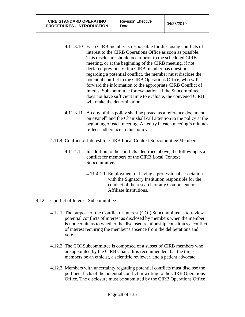- 4.11.3.10 Each CIRB member is responsible for disclosing conflicts of interest to the CIRB Operations Office as soon as possible. This disclosure should occur prior to the scheduled CIRB meeting, or at the beginning of the CIRB meeting, if not declared previously. If a CIRB member has questions regarding a potential conflict, the member must disclose the potential conflict to the CIRB Operations Office, who will forward the information to the appropriate CIRB Conflict of Interest Subcommittee for evaluation. If the Subcommittee does not have sufficient time to evaluate, the convened CIRB will make the determination.
- 4.11.3.11 A copy of this policy shall be posted as a reference document on ePanel© and the Chair shall call attention to the policy at the beginning of each meeting. An entry in each meeting's minutes reflects adherence to this policy.
- 4.11.4 Conflict of Interest for CIRB Local Context Subcommittee Members
	- 4.11.4.1 In addition to the conflicts identified above, the following is a conflict for members of the CIRB Local Context Subcommittee.
		- 4.11.4.1.1 Employment or having a professional association with the Signatory Institution responsible for the conduct of the research or any Component or Affiliate Institutions.
- <span id="page-33-0"></span>4.12 Conflict of Interest Subcommittee
	- 4.12.1 The purpose of the Conflict of Interest (COI) Subcommittee is to review potential conflicts of interest as disclosed by members when the member is not certain as to whether the disclosed relationship constitutes a conflict of interest requiring the member's absence from the deliberations and vote.
	- 4.12.2 The COI Subcommittee is composed of a subset of CIRB members who are appointed by the CIRB Chair. It is recommended that the three members be an ethicist, a scientific reviewer, and a patient advocate.
	- 4.12.3 Members with uncertainty regarding potential conflicts must disclose the pertinent facts of the potential conflict in writing to the CIRB Operations Office. The disclosure must be submitted by the CIRB Operations Office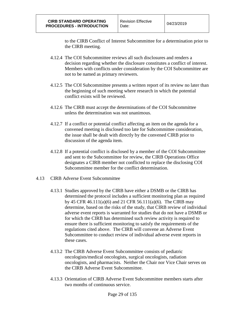to the CIRB Conflict of Interest Subcommittee for a determination prior to the CIRB meeting.

- 4.12.4 The COI Subcommittee reviews all such disclosures and renders a decision regarding whether the disclosure constitutes a conflict of interest. Members with conflicts under consideration by the COI Subcommittee are not to be named as primary reviewers.
- 4.12.5 The COI Subcommittee presents a written report of its review no later than the beginning of such meeting where research in which the potential conflict exists will be reviewed.
- 4.12.6 The CIRB must accept the determinations of the COI Subcommittee unless the determination was not unanimous.
- 4.12.7 If a conflict or potential conflict affecting an item on the agenda for a convened meeting is disclosed too late for Subcommittee consideration, the issue shall be dealt with directly by the convened CIRB prior to discussion of the agenda item.
- 4.12.8 If a potential conflict is disclosed by a member of the COI Subcommittee and sent to the Subcommittee for review, the CIRB Operations Office designates a CIRB member not conflicted to replace the disclosing COI Subcommittee member for the conflict determination.
- <span id="page-34-0"></span>4.13 CIRB Adverse Event Subcommittee
	- 4.13.1 Studies approved by the CIRB have either a DSMB or the CIRB has determined the protocol includes a sufficient monitoring plan as required by 45 CFR 46.111(a)(6) and 21 CFR 56.111(a)(6). The CIRB may determine, based on the risks of the study, that CIRB review of individual adverse event reports is warranted for studies that do not have a DSMB or for which the CIRB has determined such review activity is required to ensure there is sufficient monitoring to satisfy the requirements of the regulations cited above. The CIRB will convene an Adverse Event Subcommittee to conduct review of individual adverse event reports in these cases.
	- 4.13.2 The CIRB Adverse Event Subcommittee consists of pediatric oncologists/medical oncologists, surgical oncologists, radiation oncologists, and pharmacists. Neither the Chair nor Vice Chair serves on the CIRB Adverse Event Subcommittee.
	- 4.13.3 Orientation of CIRB Adverse Event Subcommittee members starts after two months of continuous service.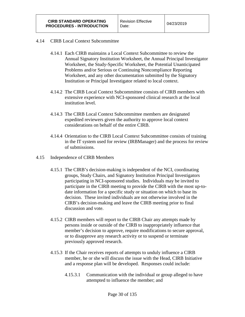#### <span id="page-35-0"></span>4.14 CIRB Local Context Subcommittee

- 4.14.1 Each CIRB maintains a Local Context Subcommittee to review the Annual Signatory Institution Worksheet, the Annual Principal Investigator Worksheet, the Study-Specific Worksheet, the Potential Unanticipated Problems and/or Serious or Continuing Noncompliance Reporting Worksheet, and any other documentation submitted by the Signatory Institution or Principal Investigator related to local context.
- 4.14.2 The CIRB Local Context Subcommittee consists of CIRB members with extensive experience with NCI-sponsored clinical research at the local institution level.
- 4.14.3 The CIRB Local Context Subcommittee members are designated expedited reviewers given the authority to approve local context considerations on behalf of the entire CIRB.
- 4.14.4 Orientation to the CIRB Local Context Subcommittee consists of training in the IT system used for review (IRBManager) and the process for review of submissions.
- <span id="page-35-1"></span>4.15 Independence of CIRB Members
	- 4.15.1 The CIRB's decision-making is independent of the NCI, coordinating groups, Study Chairs, and Signatory Institution Principal Investigators participating in NCI-sponsored studies. Individuals may be invited to participate in the CIRB meeting to provide the CIRB with the most up-todate information for a specific study or situation on which to base its decision. These invited individuals are not otherwise involved in the CIRB's decision-making and leave the CIRB meeting prior to final discussion and vote.
	- 4.15.2 CIRB members will report to the CIRB Chair any attempts made by persons inside or outside of the CIRB to inappropriately influence that member's decision to approve, require modifications to secure approval, or to disapprove any research activity or to suspend or terminate previously approved research.
	- 4.15.3 If the Chair receives reports of attempts to unduly influence a CIRB member, he or she will discuss the issue with the Head, CIRB Initiative and a response plan will be developed. Responses could include:
		- 4.15.3.1 Communication with the individual or group alleged to have attempted to influence the member; and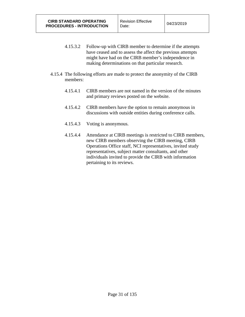- 4.15.3.2 Follow-up with CIRB member to determine if the attempts have ceased and to assess the affect the previous attempts might have had on the CIRB member's independence in making determinations on that particular research.
- 4.15.4 The following efforts are made to protect the anonymity of the CIRB members:
	- 4.15.4.1 CIRB members are not named in the version of the minutes and primary reviews posted on the website.
	- 4.15.4.2 CIRB members have the option to remain anonymous in discussions with outside entities during conference calls.
	- 4.15.4.3 Voting is anonymous.
	- 4.15.4.4 Attendance at CIRB meetings is restricted to CIRB members, new CIRB members observing the CIRB meeting, CIRB Operations Office staff, NCI representatives, invited study representatives, subject matter consultants, and other individuals invited to provide the CIRB with information pertaining to its reviews.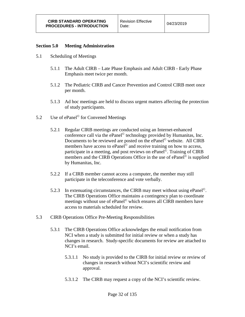## **Section 5.0 Meeting Administration**

- 5.1 Scheduling of Meetings
	- 5.1.1 The Adult CIRB Late Phase Emphasis and Adult CIRB Early Phase Emphasis meet twice per month.
	- 5.1.2 The Pediatric CIRB and Cancer Prevention and Control CIRB meet once per month.
	- 5.1.3 Ad hoc meetings are held to discuss urgent matters affecting the protection of study participants.
- 5.2 Use of ePanel<sup>©</sup> for Convened Meetings
	- 5.2.1 Regular CIRB meetings are conducted using an Internet-enhanced conference call via the ePanel© technology provided by Humanitas, Inc. Documents to be reviewed are posted on the ePanel© website. All CIRB members have access to ePanel<sup>o</sup> and receive training on how to access, participate in a meeting, and post reviews on ePanel©. Training of CIRB members and the CIRB Operations Office in the use of ePanel© is supplied by Humanitas, Inc.
	- 5.2.2 If a CIRB member cannot access a computer, the member may still participate in the teleconference and vote verbally.
	- 5.2.3 In extenuating circumstances, the CIRB may meet without using ePanel<sup> $\odot$ </sup>. The CIRB Operations Office maintains a contingency plan to coordinate meetings without use of ePanel© which ensures all CIRB members have access to materials scheduled for review.
- 5.3 CIRB Operations Office Pre-Meeting Responsibilities
	- 5.3.1 The CIRB Operations Office acknowledges the email notification from NCI when a study is submitted for initial review or when a study has changes in research. Study-specific documents for review are attached to NCI's email.
		- 5.3.1.1 No study is provided to the CIRB for initial review or review of changes in research without NCI's scientific review and approval.
		- 5.3.1.2 The CIRB may request a copy of the NCI's scientific review.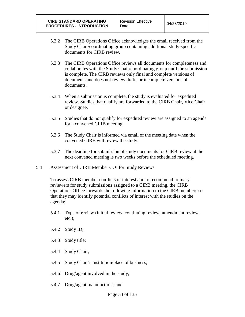- 5.3.2 The CIRB Operations Office acknowledges the email received from the Study Chair/coordinating group containing additional study-specific documents for CIRB review.
- 5.3.3 The CIRB Operations Office reviews all documents for completeness and collaborates with the Study Chair/coordinating group until the submission is complete. The CIRB reviews only final and complete versions of documents and does not review drafts or incomplete versions of documents.
- 5.3.4 When a submission is complete, the study is evaluated for expedited review. Studies that qualify are forwarded to the CIRB Chair, Vice Chair, or designee.
- 5.3.5 Studies that do not qualify for expedited review are assigned to an agenda for a convened CIRB meeting.
- 5.3.6 The Study Chair is informed via email of the meeting date when the convened CIRB will review the study.
- 5.3.7 The deadline for submission of study documents for CIRB review at the next convened meeting is two weeks before the scheduled meeting.
- 5.4 Assessment of CIRB Member COI for Study Reviews

To assess CIRB member conflicts of interest and to recommend primary reviewers for study submissions assigned to a CIRB meeting, the CIRB Operations Office forwards the following information to the CIRB members so that they may identify potential conflicts of interest with the studies on the agenda:

- 5.4.1 Type of review (initial review, continuing review, amendment review, etc.);
- 5.4.2 Study ID;
- 5.4.3 Study title;
- 5.4.4 Study Chair;
- 5.4.5 Study Chair's institution/place of business;
- 5.4.6 Drug/agent involved in the study;
- 5.4.7 Drug/agent manufacturer; and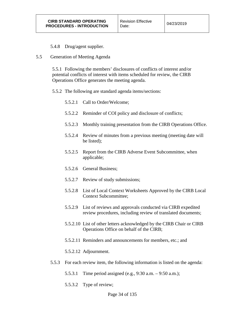5.4.8 Drug/agent supplier.

5.5 Generation of Meeting Agenda

5.5.1 Following the members' disclosures of conflicts of interest and/or potential conflicts of interest with items scheduled for review, the CIRB Operations Office generates the meeting agenda.

- 5.5.2 The following are standard agenda items/sections:
	- 5.5.2.1 Call to Order/Welcome;
	- 5.5.2.2 Reminder of COI policy and disclosure of conflicts;
	- 5.5.2.3 Monthly training presentation from the CIRB Operations Office.
	- 5.5.2.4 Review of minutes from a previous meeting (meeting date will be listed);
	- 5.5.2.5 Report from the CIRB Adverse Event Subcommittee, when applicable;
	- 5.5.2.6 General Business;
	- 5.5.2.7 Review of study submissions;
	- 5.5.2.8 List of Local Context Worksheets Approved by the CIRB Local Context Subcommittee;
	- 5.5.2.9 List of reviews and approvals conducted via CIRB expedited review procedures, including review of translated documents;
	- 5.5.2.10 List of other letters acknowledged by the CIRB Chair or CIRB Operations Office on behalf of the CIRB;
	- 5.5.2.11 Reminders and announcements for members, etc.; and

5.5.2.12 Adjournment.

- 5.5.3 For each review item, the following information is listed on the agenda:
	- 5.5.3.1 Time period assigned (e.g., 9:30 a.m. 9:50 a.m.);
	- 5.5.3.2 Type of review;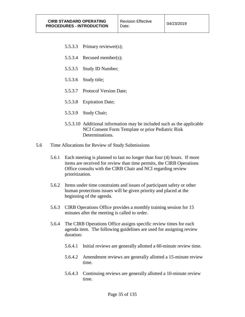- 5.5.3.3 Primary reviewer(s);
- 5.5.3.4 Recused member(s);
- 5.5.3.5 Study ID Number;
- 5.5.3.6 Study title;
- 5.5.3.7 Protocol Version Date;
- 5.5.3.8 Expiration Date;
- 5.5.3.9 Study Chair;
- 5.5.3.10 Additional information may be included such as the applicable NCI Consent Form Template or prior Pediatric Risk Determinations.
- 5.6 Time Allocations for Review of Study Submissions
	- 5.6.1 Each meeting is planned to last no longer than four (4) hours. If more items are received for review than time permits, the CIRB Operations Office consults with the CIRB Chair and NCI regarding review prioritization.
	- 5.6.2 Items under time constraints and issues of participant safety or other human protections issues will be given priority and placed at the beginning of the agenda.
	- 5.6.3 CIRB Operations Office provides a monthly training session for 15 minutes after the meeting is called to order.
	- 5.6.4 The CIRB Operations Office assigns specific review times for each agenda item. The following guidelines are used for assigning review duration:
		- 5.6.4.1 Initial reviews are generally allotted a 60-minute review time.
		- 5.6.4.2 Amendment reviews are generally allotted a 15-minute review time.
		- 5.6.4.3 Continuing reviews are generally allotted a 10-minute review time.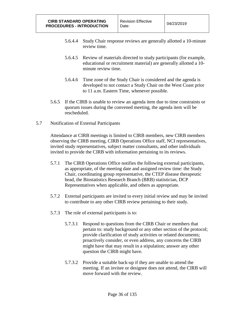- 5.6.4.4 Study Chair response reviews are generally allotted a 10-minute review time.
- 5.6.4.5 Review of materials directed to study participants (for example, educational or recruitment material) are generally allotted a 10 minute review time.
- 5.6.4.6 Time zone of the Study Chair is considered and the agenda is developed to not contact a Study Chair on the West Coast prior to 11 a.m. Eastern Time, whenever possible.
- 5.6.5 If the CIRB is unable to review an agenda item due to time constraints or quorum issues during the convened meeting, the agenda item will be rescheduled.
- 5.7 Notification of External Participants

Attendance at CIRB meetings is limited to CIRB members, new CIRB members observing the CIRB meeting, CIRB Operations Office staff, NCI representatives, invited study representatives, subject matter consultants, and other individuals invited to provide the CIRB with information pertaining to its reviews.

- 5.7.1 The CIRB Operations Office notifies the following external participants, as appropriate, of the meeting date and assigned review time: the Study Chair, coordinating group representative, the CTEP disease therapeutic head, the Biostatistics Research Branch (BRB) statistician, DCP Representatives when applicable, and others as appropriate.
- 5.7.2 External participants are invited to every initial review and may be invited to contribute to any other CIRB review pertaining to their study.
- 5.7.3 The role of external participants is to:
	- 5.7.3.1 Respond to questions from the CIRB Chair or members that pertain to: study background or any other section of the protocol; provide clarification of study activities or related documents; proactively consider, or even address, any concerns the CIRB might have that may result in a stipulation; answer any other question the CIRB might have.
	- 5.7.3.2 Provide a suitable back-up if they are unable to attend the meeting. If an invitee or designee does not attend, the CIRB will move forward with the review.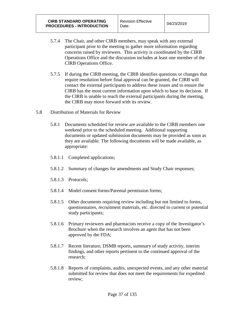- 5.7.4 The Chair, and other CIRB members, may speak with any external participant prior to the meeting to gather more information regarding concerns raised by reviewers. This activity is coordinated by the CIRB Operations Office and the discussion includes at least one member of the CIRB Operations Office.
- 5.7.5 If during the CIRB meeting, the CIRB identifies questions or changes that require resolution before final approval can be granted, the CIRB will contact the external participants to address these issues and to ensure the CIRB has the most current information upon which to base its decision. If the CIRB is unable to reach the external participants during the meeting, the CIRB may move forward with its review.
- 5.8 Distribution of Materials for Review
	- 5.8.1 Documents scheduled for review are available to the CIRB members one weekend prior to the scheduled meeting. Additional supporting documents or updated submission documents may be provided as soon as they are available. The following documents will be made available, as appropriate:
	- 5.8.1.1 Completed applications;
	- 5.8.1.2 Summary of changes for amendments and Study Chair responses;
	- 5.8.1.3 Protocols;
	- 5.8.1.4 Model consent forms/Parental permission forms;
	- 5.8.1.5 Other documents requiring review including but not limited to forms, questionnaires, recruitment materials, etc. directed to current or potential study participants;
	- 5.8.1.6 Primary reviewers and pharmacists receive a copy of the Investigator's Brochure when the research involves an agent that has not been approved by the FDA;
	- 5.8.1.7 Recent literature, DSMB reports, summary of study activity, interim findings, and other reports pertinent to the continued approval of the research;
	- 5.8.1.8 Reports of complaints, audits, unexpected events, and any other material submitted for review that does not meet the requirements for expedited review;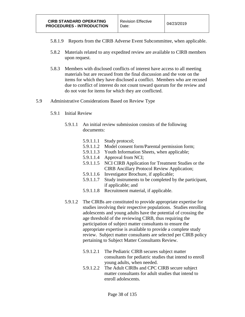- 5.8.1.9 Reports from the CIRB Adverse Event Subcommittee, when applicable.
- 5.8.2 Materials related to any expedited review are available to CIRB members upon request.
- 5.8.3 Members with disclosed conflicts of interest have access to all meeting materials but are recused from the final discussion and the vote on the items for which they have disclosed a conflict. Members who are recused due to conflict of interest do not count toward quorum for the review and do not vote for items for which they are conflicted.

#### 5.9 Administrative Considerations Based on Review Type

- 5.9.1 Initial Review
	- 5.9.1.1 An initial review submission consists of the following documents:
		- 5.9.1.1.1 Study protocol;
		- 5.9.1.1.2 Model consent form/Parental permission form;
		- 5.9.1.1.3 Youth Information Sheets, when applicable;
		- 5.9.1.1.4 Approval from NCI;
		- 5.9.1.1.5 NCI CIRB Application for Treatment Studies or the CIRB Ancillary Protocol Review Application;
		- 5.9.1.1.6 Investigator Brochure, if applicable;
		- 5.9.1.1.7 Study instruments to be completed by the participant, if applicable; and
		- 5.9.1.1.8 Recruitment material, if applicable.
	- 5.9.1.2 The CIRBs are constituted to provide appropriate expertise for studies involving their respective populations. Studies enrolling adolescents and young adults have the potential of crossing the age threshold of the reviewing CIRB, thus requiring the participation of subject matter consultants to ensure the appropriate expertise is available to provide a complete study review. Subject matter consultants are selected per CIRB policy pertaining to Subject Matter Consultants Review.
		- 5.9.1.2.1 The Pediatric CIRB secures subject matter consultants for pediatric studies that intend to enroll young adults, when needed.
		- 5.9.1.2.2 The Adult CIRBs and CPC CIRB secure subject matter consultants for adult studies that intend to enroll adolescents.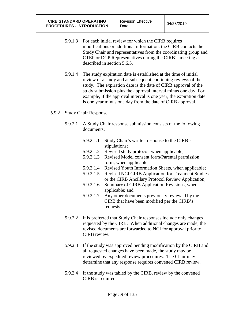- 5.9.1.3 For each initial review for which the CIRB requires modifications or additional information, the CIRB contacts the Study Chair and representatives from the coordinating group and CTEP or DCP Representatives during the CIRB's meeting as described in section 5.6.5.
- 5.9.1.4 The study expiration date is established at the time of initial review of a study and at subsequent continuing reviews of the study. The expiration date is the date of CIRB approval of the study submission plus the approval interval minus one day. For example, if the approval interval is one year, the expiration date is one year minus one day from the date of CIRB approval.

#### 5.9.2 Study Chair Response

- 5.9.2.1 A Study Chair response submission consists of the following documents:
	- 5.9.2.1.1 Study Chair's written response to the CIRB's stipulations;
	- 5.9.2.1.2 Revised study protocol, when applicable;
	- 5.9.2.1.3 Revised Model consent form/Parental permission form, when applicable;
	- 5.9.2.1.4 Revised Youth Information Sheets, when applicable;
	- 5.9.2.1.5 Revised NCI CIRB Application for Treatment Studies or the CIRB Ancillary Protocol Review Application;
	- 5.9.2.1.6 Summary of CIRB Application Revisions, when applicable; and
	- 5.9.2.1.7 Any other documents previously reviewed by the CIRB that have been modified per the CIRB's requests.
- 5.9.2.2 It is preferred that Study Chair responses include only changes requested by the CIRB. When additional changes are made, the revised documents are forwarded to NCI for approval prior to CIRB review.
- 5.9.2.3 If the study was approved pending modification by the CIRB and all requested changes have been made, the study may be reviewed by expedited review procedures. The Chair may determine that any response requires convened CIRB review.
- 5.9.2.4 If the study was tabled by the CIRB, review by the convened CIRB is required.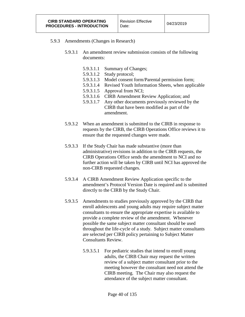- 5.9.3 Amendments (Changes in Research)
	- 5.9.3.1 An amendment review submission consists of the following documents:
		- 5.9.3.1.1 Summary of Changes;
		- 5.9.3.1.2 Study protocol;
		- 5.9.3.1.3 Model consent form/Parental permission form;
		- 5.9.3.1.4 Revised Youth Information Sheets, when applicable
		- 5.9.3.1.5 Approval from NCI;
		- 5.9.3.1.6 CIRB Amendment Review Application; and
		- 5.9.3.1.7 Any other documents previously reviewed by the CIRB that have been modified as part of the amendment.
	- 5.9.3.2 When an amendment is submitted to the CIRB in response to requests by the CIRB, the CIRB Operations Office reviews it to ensure that the requested changes were made.
	- 5.9.3.3 If the Study Chair has made substantive (more than administrative) revisions in addition to the CIRB requests, the CIRB Operations Office sends the amendment to NCI and no further action will be taken by CIRB until NCI has approved the non-CIRB requested changes.
	- 5.9.3.4 A CIRB Amendment Review Application specific to the amendment's Protocol Version Date is required and is submitted directly to the CIRB by the Study Chair.
	- 5.9.3.5 Amendments to studies previously approved by the CIRB that enroll adolescents and young adults may require subject matter consultants to ensure the appropriate expertise is available to provide a complete review of the amendment. Whenever possible the same subject matter consultant should be used throughout the life-cycle of a study. Subject matter consultants are selected per CIRB policy pertaining to Subject Matter Consultants Review.
		- 5.9.3.5.1 For pediatric studies that intend to enroll young adults, the CIRB Chair may request the written review of a subject matter consultant prior to the meeting however the consultant need not attend the CIRB meeting. The Chair may also request the attendance of the subject matter consultant.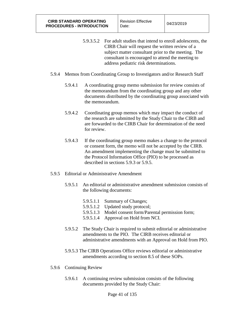- 5.9.3.5.2 For adult studies that intend to enroll adolescents, the CIRB Chair will request the written review of a subject matter consultant prior to the meeting. The consultant is encouraged to attend the meeting to address pediatric risk determinations.
- 5.9.4 Memos from Coordinating Group to Investigators and/or Research Staff
	- 5.9.4.1 A coordinating group memo submission for review consists of the memorandum from the coordinating group and any other documents distributed by the coordinating group associated with the memorandum.
	- 5.9.4.2 Coordinating group memos which may impact the conduct of the research are submitted by the Study Chair to the CIRB and are forwarded to the CIRB Chair for determination of the need for review.
	- 5.9.4.3 If the coordinating group memo makes a change to the protocol or consent form, the memo will not be accepted by the CIRB. An amendment implementing the change must be submitted to the Protocol Information Office (PIO) to be processed as described in sections 5.9.3 or 5.9.5.
- 5.9.5 Editorial or Administrative Amendment
	- 5.9.5.1 An editorial or administrative amendment submission consists of the following documents:
		- 5.9.5.1.1 Summary of Changes;
		- 5.9.5.1.2 Updated study protocol;
		- 5.9.5.1.3 Model consent form/Parental permission form;
		- 5.9.5.1.4 Approval on Hold from NCI.
	- 5.9.5.2 The Study Chair is required to submit editorial or administrative amendments to the PIO. The CIRB receives editorial or administrative amendments with an Approval on Hold from PIO.
	- 5.9.5.3 The CIRB Operations Office reviews editorial or administrative amendments according to section 8.5 of these SOPs.
- 5.9.6 Continuing Review
	- 5.9.6.1 A continuing review submission consists of the following documents provided by the Study Chair: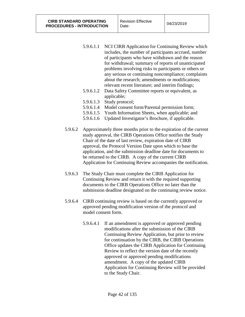- 5.9.6.1.1 NCI CIRB Application for Continuing Review which includes, the number of participants accrued, number of participants who have withdrawn and the reason for withdrawal; summary of reports of unanticipated problems involving risks to participants or others or any serious or continuing noncompliance; complaints about the research; amendments or modifications; relevant recent literature; and interim findings;
- 5.9.6.1.2 Data Safety Committee reports or equivalent, as applicable;
- 5.9.6.1.3 Study protocol;
- 5.9.6.1.4 Model consent form/Parental permission form;
- 5.9.6.1.5 Youth Information Sheets, when applicable; and
- 5.9.6.1.6 Updated Investigator's Brochure, if applicable.
- 5.9.6.2 Approximately three months prior to the expiration of the current study approval, the CIRB Operations Office notifies the Study Chair of the date of last review, expiration date of CIRB approval, the Protocol Version Date upon which to base the application, and the submission deadline date for documents to be returned to the CIRB. A copy of the current CIRB Application for Continuing Review accompanies the notification.
- 5.9.6.3 The Study Chair must complete the CIRB Application for Continuing Review and return it with the required supporting documents to the CIRB Operations Office no later than the submission deadline designated on the continuing review notice.
- 5.9.6.4 CIRB continuing review is based on the currently approved or approved pending modification version of the protocol and model consent form.
	- 5.9.6.4.1 If an amendment is approved or approved pending modifications after the submission of the CIRB Continuing Review Application, but prior to review for continuation by the CIRB, the CIRB Operations Office updates the CIRB Application for Continuing Review to reflect the version date of the recently approved or approved pending modifications amendment. A copy of the updated CIRB Application for Continuing Review will be provided to the Study Chair.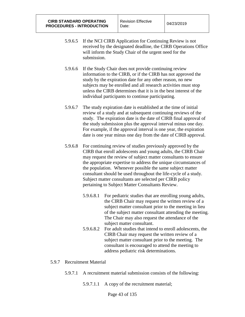- 5.9.6.5 If the NCI CIRB Application for Continuing Review is not received by the designated deadline, the CIRB Operations Office will inform the Study Chair of the urgent need for the submission.
- 5.9.6.6 If the Study Chair does not provide continuing review information to the CIRB, or if the CIRB has not approved the study by the expiration date for any other reason, no new subjects may be enrolled and all research activities must stop unless the CIRB determines that it is in the best interest of the individual participants to continue participating.
- 5.9.6.7 The study expiration date is established at the time of initial review of a study and at subsequent continuing reviews of the study. The expiration date is the date of CIRB final approval of the study submission plus the approval interval minus one day. For example, if the approval interval is one year, the expiration date is one year minus one day from the date of CIRB approval.
- 5.9.6.8 For continuing review of studies previously approved by the CIRB that enroll adolescents and young adults, the CIRB Chair may request the review of subject matter consultants to ensure the appropriate expertise to address the unique circumstances of the population. Whenever possible the same subject matter consultant should be used throughout the life-cycle of a study. Subject matter consultants are selected per CIRB policy pertaining to Subject Matter Consultants Review.
	- 5.9.6.8.1 For pediatric studies that are enrolling young adults, the CIRB Chair may request the written review of a subject matter consultant prior to the meeting in lieu of the subject matter consultant attending the meeting. The Chair may also request the attendance of the subject matter consultant.
	- 5.9.6.8.2 For adult studies that intend to enroll adolescents, the CIRB Chair may request the written review of a subject matter consultant prior to the meeting. The consultant is encouraged to attend the meeting to address pediatric risk determinations.
- 5.9.7 Recruitment Material
	- 5.9.7.1 A recruitment material submission consists of the following:
		- 5.9.7.1.1 A copy of the recruitment material;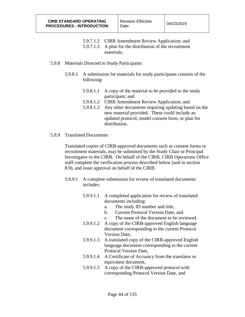- 5.9.7.1.2 CIRB Amendment Review Application; and
- 5.9.7.1.3 A plan for the distribution of the recruitment materials.
- 5.9.8 Materials Directed to Study Participants
	- 5.9.8.1 A submission for materials for study participants consists of the following:
		- 5.9.8.1.1 A copy of the material to be provided to the study participant; and
		- 5.9.8.1.2 CIRB Amendment Review Application; and
		- 5.9.8.1.3 Any other documents requiring updating based on the new material provided. These could include an updated protocol, model consent form, or plan for distribution.
- 5.9.9 Translated Documents

Translated copies of CIRB-approved documents such as consent forms or recruitment materials, may be submitted by the Study Chair or Principal Investigator to the CIRB. On behalf of the CIRB, CIRB Operations Office staff complete the verification process described below (and in section 8.9), and issue approval on behalf of the CIRB.

- 5.9.9.1 A complete submission for review of translated documents includes:
	- 5.9.9.1.1 A completed application for review of translated documents including:
		- a. The study ID number and title,
		- b. Current Protocol Version Date, and
		- c. The name of the document to be reviewed.
	- 5.9.9.1.2 A copy of the CIRB-approved English language document corresponding to the current Protocol Version Date,
	- 5.9.9.1.3 A translated copy of the CIRB-approved English language document corresponding to the current Protocol Version Date,
	- 5.9.9.1.4 A Certificate of Accuracy from the translator or equivalent document,
	- 5.9.9.1.5 A copy of the CIRB-approved protocol with corresponding Protocol Version Date, and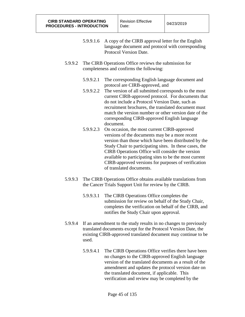- 5.9.9.1.6 A copy of the CIRB approval letter for the English language document and protocol with corresponding Protocol Version Date.
- 5.9.9.2 The CIRB Operations Office reviews the submission for completeness and confirms the following:
	- 5.9.9.2.1 The corresponding English language document and protocol are CIRB-approved, and
	- 5.9.9.2.2 The version of all submitted corresponds to the most current CIRB-approved protocol. For documents that do not include a Protocol Version Date, such as recruitment brochures, the translated document must match the version number or other version date of the corresponding CIRB-approved English language document.
	- 5.9.9.2.3 On occasion, the most current CIRB-approved versions of the documents may be a more recent version than those which have been distributed by the Study Chair to participating sites. In these cases, the CIRB Operations Office will consider the version available to participating sites to be the most current CIRB-approved versions for purposes of verification of translated documents.
- 5.9.9.3 The CIRB Operations Office obtains available translations from the Cancer Trials Support Unit for review by the CIRB.
	- 5.9.9.3.1 The CIRB Operations Office completes the submission for review on behalf of the Study Chair, completes the verification on behalf of the CIRB, and notifies the Study Chair upon approval.
- 5.9.9.4 If an amendment to the study results in no changes to previously translated documents except for the Protocol Version Date, the existing CIRB-approved translated document may continue to be used.
	- 5.9.9.4.1 The CIRB Operations Office verifies there have been no changes to the CIRB-approved English language version of the translated documents as a result of the amendment and updates the protocol version date on the translated document, if applicable. This verification and review may be completed by the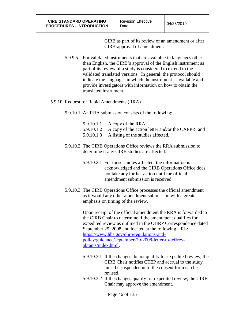CIRB as part of its review of an amendment or after CIRB-approval of amendment.

5.9.9.5 For validated instruments that are available in languages other than English, the CIRB's approval of the English instrument as part of its review of a study is considered to extend to the validated translated versions. In general, the protocol should indicate the languages in which the instrument is available and provide investigators with information on how to obtain the translated instrument.

#### 5.9.10 Request for Rapid Amendments (RRA)

- 5.9.10.1 An RRA submission consists of the following:
	- 5.9.10.1.1 A copy of the RRA;
	- 5.9.10.1.2 A copy of the action letter and/or the CAEPR; and
	- 5.9.10.1.3 A listing of the studies affected.
- 5.9.10.2 The CIRB Operations Office reviews the RRA submission to determine if any CIRB studies are affected.
	- 5.9.10.2.1 For those studies affected, the information is acknowledged and the CIRB Operations Office does not take any further action until the official amendment submission is received.
- 5.9.10.3 The CIRB Operations Office processes the official amendment as it would any other amendment submission with a greater emphasis on timing of the review.

Upon receipt of the official amendment the RRA is forwarded to the CIRB Chair to determine if the amendment qualifies for expedited review as outlined in the OHRP Correspondence dated September 29, 2008 and located at the following URL: [https://www.hhs.gov/ohrp/regulations-and](https://www.hhs.gov/ohrp/regulations-and-policy/guidance/september-29-2008-letter-to-jeffrey-abrams/index.html)[policy/guidance/september-29-2008-letter-to-jeffrey](https://www.hhs.gov/ohrp/regulations-and-policy/guidance/september-29-2008-letter-to-jeffrey-abrams/index.html)[abrams/index.html.](https://www.hhs.gov/ohrp/regulations-and-policy/guidance/september-29-2008-letter-to-jeffrey-abrams/index.html)

- 5.9.10.3.1 If the changes do not qualify for expedited review, the CIRB Chair notifies CTEP and accrual to the study must be suspended until the consent form can be revised.
- 5.9.10.3.2 If the changes qualify for expedited review, the CIRB Chair may approve the amendment.

Page 46 of 135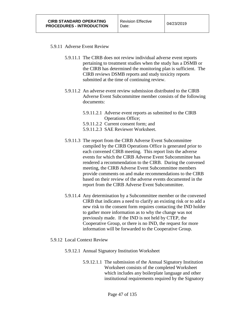#### 5.9.11 Adverse Event Review

- 5.9.11.1 The CIRB does not review individual adverse event reports pertaining to treatment studies when the study has a DSMB or the CIRB has determined the monitoring plan is sufficient. The CIRB reviews DSMB reports and study toxicity reports submitted at the time of continuing review.
- 5.9.11.2 An adverse event review submission distributed to the CIRB Adverse Event Subcommittee member consists of the following documents:
	- 5.9.11.2.1 Adverse event reports as submitted to the CIRB Operations Office;
	- 5.9.11.2.2 Current consent form; and
	- 5.9.11.2.3 SAE Reviewer Worksheet.
- 5.9.11.3 The report from the CIRB Adverse Event Subcommittee compiled by the CIRB Operations Office is generated prior to each convened CIRB meeting. This report lists the adverse events for which the CIRB Adverse Event Subcommittee has rendered a recommendation to the CIRB. During the convened meeting, the CIRB Adverse Event Subcommittee members provide comments on and make recommendations to the CIRB based on their review of the adverse events documented in the report from the CIRB Adverse Event Subcommittee.
- 5.9.11.4 Any determination by a Subcommittee member or the convened CIRB that indicates a need to clarify an existing risk or to add a new risk to the consent form requires contacting the IND holder to gather more information as to why the change was not previously made. If the IND is not held by CTEP, the Cooperative Group, or there is no IND, the request for more information will be forwarded to the Cooperative Group.

## 5.9.12 Local Context Review

- 5.9.12.1 Annual Signatory Institution Worksheet
	- 5.9.12.1.1 The submission of the Annual Signatory Institution Worksheet consists of the completed Worksheet which includes any boilerplate language and other institutional requirements required by the Signatory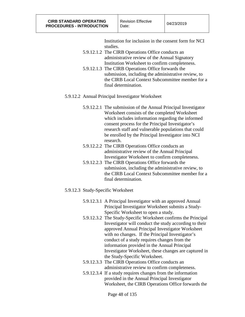Institution for inclusion in the consent form for NCI studies.

- 5.9.12.1.2 The CIRB Operations Office conducts an administrative review of the Annual Signatory Institution Worksheet to confirm completeness.
- 5.9.12.1.3 The CIRB Operations Office forwards the submission, including the administrative review, to the CIRB Local Context Subcommittee member for a final determination.
- 5.9.12.2 Annual Principal Investigator Worksheet
	- 5.9.12.2.1 The submission of the Annual Principal Investigator Worksheet consists of the completed Worksheet which includes information regarding the informed consent process for the Principal Investigator's research staff and vulnerable populations that could be enrolled by the Principal Investigator into NCI research.
	- 5.9.12.2.2 The CIRB Operations Office conducts an administrative review of the Annual Principal Investigator Worksheet to confirm completeness.
	- 5.9.12.2.3 The CIRB Operations Office forwards the submission, including the administrative review, to the CIRB Local Context Subcommittee member for a final determination.
- 5.9.12.3 Study-Specific Worksheet
	- 5.9.12.3.1 A Principal Investigator with an approved Annual Principal Investigator Worksheet submits a Study-Specific Worksheet to open a study.
	- 5.9.12.3.2 The Study-Specific Worksheet confirms the Principal Investigator will conduct the study according to their approved Annual Principal Investigator Worksheet with no changes. If the Principal Investigator's conduct of a study requires changes from the information provided in the Annual Principal Investigator Worksheet, these changes are captured in the Study-Specific Worksheet.
	- 5.9.12.3.3 The CIRB Operations Office conducts an administrative review to confirm completeness.
	- 5.9.12.3.4 If a study requires changes from the information provided in the Annual Principal Investigator Worksheet, the CIRB Operations Office forwards the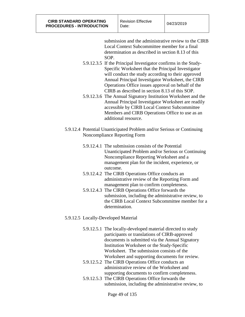submission and the administrative review to the CIRB Local Context Subcommittee member for a final determination as described in section 8.13 of this SOP.

- 5.9.12.3.5 If the Principal Investigator confirms in the Study-Specific Worksheet that the Principal Investigator will conduct the study according to their approved Annual Principal Investigator Worksheet, the CIRB Operations Office issues approval on behalf of the CIRB as described in section 8.13 of this SOP.
- 5.9.12.3.6 The Annual Signatory Institution Worksheet and the Annual Principal Investigator Worksheet are readily accessible by CIRB Local Context Subcommittee Members and CIRB Operations Office to use as an additional resource.
- 5.9.12.4 Potential Unanticipated Problem and/or Serious or Continuing Noncompliance Reporting Form
	- 5.9.12.4.1 The submission consists of the Potential Unanticipated Problem and/or Serious or Continuing Noncompliance Reporting Worksheet and a management plan for the incident, experience, or outcome.
	- 5.9.12.4.2 The CIRB Operations Office conducts an administrative review of the Reporting Form and management plan to confirm completeness.
	- 5.9.12.4.3 The CIRB Operations Office forwards the submission, including the administrative review, to the CIRB Local Context Subcommittee member for a determination.
- 5.9.12.5 Locally-Developed Material
	- 5.9.12.5.1 The locally-developed material directed to study participants or translations of CIRB-approved documents is submitted via the Annual Signatory Institution Worksheet or the Study-Specific Worksheet. The submission consists of the Worksheet and supporting documents for review.
	- 5.9.12.5.2 The CIRB Operations Office conducts an administrative review of the Worksheet and supporting documents to confirm completeness.
	- 5.9.12.5.3 The CIRB Operations Office forwards the submission, including the administrative review, to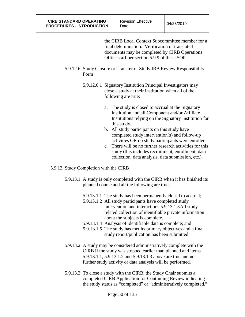the CIRB Local Context Subcommittee member for a final determination. Verification of translated documents may be completed by CIRB Operations Office staff per section 5.9.9 of these SOPs.

- 5.9.12.6 Study Closure or Transfer of Study IRB Review Responsibility Form
	- 5.9.12.6.1 Signatory Institution Principal Investigators may close a study at their institution when all of the following are true:
		- a. The study is closed to accrual at the Signatory Institution and all Component and/or Affiliate Institutions relying on the Signatory Institution for this study.
		- b. All study participants on this study have completed study intervention(s) and follow-up activities OR no study participants were enrolled.
		- c. There will be no further research activities for this study (this includes recruitment, enrollment, data collection, data analysis, data submission, etc.).
- 5.9.13 Study Completion with the CIRB
	- 5.9.13.1 A study is only completed with the CIRB when it has finished its planned course and all the following are true:
		- 5.9.13.1.1 The study has been permanently closed to accrual;
		- 5.9.13.1.2 All study participants have completed study intervention and interactions.5.9.13.1.3All studyrelated collection of identifiable private information about the subjects is complete.
		- 5.9.13.1.4 Analysis of identifiable data is complete; and
		- 5.9.13.1.5 The study has met its primary objectives and a final study report/publication has been submitted
	- 5.9.13.2 A study may be considered administratively complete with the CIRB if the study was stopped earlier than planned and items 5.9.13.1.1, 5.9.13.1.2 and 5.9.13.1.3 above are true and no further study activity or data analysis will be performed.
	- 5.9.13.3 To close a study with the CIRB, the Study Chair submits a completed CIRB Application for Continuing Review indicating the study status as "completed" or "administratively completed."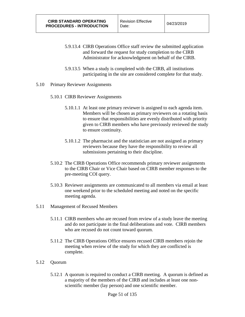- 5.9.13.4 CIRB Operations Office staff review the submitted application and forward the request for study completion to the CIRB Administrator for acknowledgment on behalf of the CIRB.
- 5.9.13.5 When a study is completed with the CIRB, all institutions participating in the site are considered complete for that study.
- 5.10 Primary Reviewer Assignments
	- 5.10.1 CIRB Reviewer Assignments
		- 5.10.1.1 At least one primary reviewer is assigned to each agenda item. Members will be chosen as primary reviewers on a rotating basis to ensure that responsibilities are evenly distributed with priority given to CIRB members who have previously reviewed the study to ensure continuity.
		- 5.10.1.2 The pharmacist and the statistician are not assigned as primary reviewers because they have the responsibility to review all submissions pertaining to their discipline.
	- 5.10.2 The CIRB Operations Office recommends primary reviewer assignments to the CIRB Chair or Vice Chair based on CIRB member responses to the pre-meeting COI query.
	- 5.10.3 Reviewer assignments are communicated to all members via email at least one weekend prior to the scheduled meeting and noted on the specific meeting agenda.
- 5.11 Management of Recused Members
	- 5.11.1 CIRB members who are recused from review of a study leave the meeting and do not participate in the final deliberations and vote. CIRB members who are recused do not count toward quorum.
	- 5.11.2 The CIRB Operations Office ensures recused CIRB members rejoin the meeting when review of the study for which they are conflicted is complete.
- 5.12 Quorum
	- 5.12.1 A quorum is required to conduct a CIRB meeting. A quorum is defined as a majority of the members of the CIRB and includes at least one nonscientific member (lay person) and one scientific member.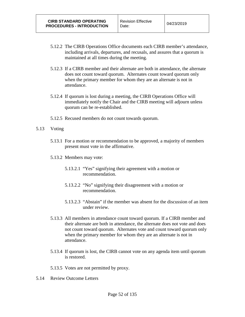- 5.12.2 The CIRB Operations Office documents each CIRB member's attendance, including arrivals, departures, and recusals, and assures that a quorum is maintained at all times during the meeting.
- 5.12.3 If a CIRB member and their alternate are both in attendance, the alternate does not count toward quorum. Alternates count toward quorum only when the primary member for whom they are an alternate is not in attendance.
- 5.12.4 If quorum is lost during a meeting, the CIRB Operations Office will immediately notify the Chair and the CIRB meeting will adjourn unless quorum can be re-established.
- 5.12.5 Recused members do not count towards quorum.
- 5.13 Voting
	- 5.13.1 For a motion or recommendation to be approved, a majority of members present must vote in the affirmative.
	- 5.13.2 Members may vote:
		- 5.13.2.1 "Yes" signifying their agreement with a motion or recommendation.
		- 5.13.2.2 "No" signifying their disagreement with a motion or recommendation.
		- 5.13.2.3 "Abstain" if the member was absent for the discussion of an item under review.
	- 5.13.3 All members in attendance count toward quorum. If a CIRB member and their alternate are both in attendance, the alternate does not vote and does not count toward quorum. Alternates vote and count toward quorum only when the primary member for whom they are an alternate is not in attendance.
	- 5.13.4 If quorum is lost, the CIRB cannot vote on any agenda item until quorum is restored.
	- 5.13.5 Votes are not permitted by proxy.
- 5.14 Review Outcome Letters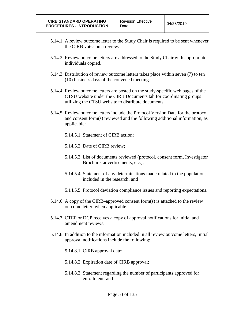- 5.14.1 A review outcome letter to the Study Chair is required to be sent whenever the CIRB votes on a review.
- 5.14.2 Review outcome letters are addressed to the Study Chair with appropriate individuals copied.
- 5.14.3 Distribution of review outcome letters takes place within seven (7) to ten (10) business days of the convened meeting.
- 5.14.4 Review outcome letters are posted on the study-specific web pages of the CTSU website under the CIRB Documents tab for coordinating groups utilizing the CTSU website to distribute documents.
- 5.14.5 Review outcome letters include the Protocol Version Date for the protocol and consent form(s) reviewed and the following additional information, as applicable:
	- 5.14.5.1 Statement of CIRB action;
	- 5.14.5.2 Date of CIRB review;
	- 5.14.5.3 List of documents reviewed (protocol, consent form, Investigator Brochure, advertisements, etc.);
	- 5.14.5.4 Statement of any determinations made related to the populations included in the research; and
	- 5.14.5.5 Protocol deviation compliance issues and reporting expectations.
- 5.14.6 A copy of the CIRB–approved consent form(s) is attached to the review outcome letter, when applicable.
- 5.14.7 CTEP or DCP receives a copy of approval notifications for initial and amendment reviews.
- 5.14.8 In addition to the information included in all review outcome letters, initial approval notifications include the following:
	- 5.14.8.1 CIRB approval date;
	- 5.14.8.2 Expiration date of CIRB approval;
	- 5.14.8.3 Statement regarding the number of participants approved for enrollment; and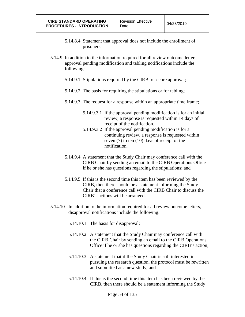- 5.14.8.4 Statement that approval does not include the enrollment of prisoners.
- 5.14.9 In addition to the information required for all review outcome letters, approval pending modification and tabling notifications include the following:
	- 5.14.9.1 Stipulations required by the CIRB to secure approval;
	- 5.14.9.2 The basis for requiring the stipulations or for tabling;
	- 5.14.9.3 The request for a response within an appropriate time frame;
		- 5.14.9.3.1 If the approval pending modification is for an initial review, a response is requested within 14 days of receipt of the notification.
		- 5.14.9.3.2 If the approval pending modification is for a continuing review, a response is requested within seven (7) to ten (10) days of receipt of the notification.
	- 5.14.9.4 A statement that the Study Chair may conference call with the CIRB Chair by sending an email to the CIRB Operations Office if he or she has questions regarding the stipulations; and
	- 5.14.9.5 If this is the second time this item has been reviewed by the CIRB, then there should be a statement informing the Study Chair that a conference call with the CIRB Chair to discuss the CIRB's actions will be arranged.
- 5.14.10 In addition to the information required for all review outcome letters, disapproval notifications include the following:
	- 5.14.10.1 The basis for disapproval;
	- 5.14.10.2 A statement that the Study Chair may conference call with the CIRB Chair by sending an email to the CIRB Operations Office if he or she has questions regarding the CIRB's action;
	- 5.14.10.3 A statement that if the Study Chair is still interested in pursuing the research question, the protocol must be rewritten and submitted as a new study; and
	- 5.14.10.4 If this is the second time this item has been reviewed by the CIRB, then there should be a statement informing the Study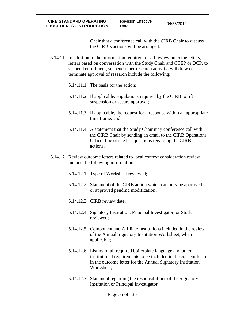Chair that a conference call with the CIRB Chair to discuss the CIRB's actions will be arranged.

- 5.14.11 In addition to the information required for all review outcome letters, letters based on conversation with the Study Chair and CTEP or DCP, to suspend enrollment, suspend other research activity, withdraw or terminate approval of research include the following:
	- 5.14.11.1 The basis for the action;
	- 5.14.11.2 If applicable, stipulations required by the CIRB to lift suspension or secure approval;
	- 5.14.11.3 If applicable, the request for a response within an appropriate time frame; and
	- 5.14.11.4 A statement that the Study Chair may conference call with the CIRB Chair by sending an email to the CIRB Operations Office if he or she has questions regarding the CIRB's actions.
- 5.14.12 Review outcome letters related to local context consideration review include the following information:
	- 5.14.12.1 Type of Worksheet reviewed;
	- 5.14.12.2 Statement of the CIRB action which can only be approved or approved pending modification;
	- 5.14.12.3 CIRB review date;
	- 5.14.12.4 Signatory Institution, Principal Investigator, or Study reviewed;
	- 5.14.12.5 Component and Affiliate Institutions included in the review of the Annual Signatory Institution Worksheet, when applicable;
	- 5.14.12.6 Listing of all required boilerplate language and other institutional requirements to be included in the consent form in the outcome letter for the Annual Signatory Institution Worksheet;
	- 5.14.12.7 Statement regarding the responsibilities of the Signatory Institution or Principal Investigator.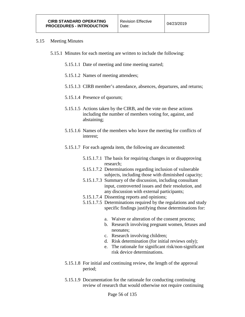# 5.15 Meeting Minutes

- 5.15.1 Minutes for each meeting are written to include the following:
	- 5.15.1.1 Date of meeting and time meeting started;
		- 5.15.1.2 Names of meeting attendees;
		- 5.15.1.3 CIRB member's attendance, absences, departures, and returns;
		- 5.15.1.4 Presence of quorum;
		- 5.15.1.5 Actions taken by the CIRB, and the vote on these actions including the number of members voting for, against, and abstaining;
		- 5.15.1.6 Names of the members who leave the meeting for conflicts of interest;
		- 5.15.1.7 For each agenda item, the following are documented:
			- 5.15.1.7.1 The basis for requiring changes in or disapproving research;
			- 5.15.1.7.2 Determinations regarding inclusion of vulnerable subjects, including those with diminished capacity;
			- 5.15.1.7.3 Summary of the discussion, including consultant input, controverted issues and their resolution, and any discussion with external participants;
			- 5.15.1.7.4 Dissenting reports and opinions;
			- 5.15.1.7.5 Determinations required by the regulations and study specific findings justifying those determinations for:
				- a. Waiver or alteration of the consent process;
				- b. Research involving pregnant women, fetuses and neonates;
				- c. Research involving children;
				- d. Risk determination (for initial reviews only);
				- e. The rationale for significant risk/non-significant risk device determinations.
	- 5.15.1.8 For initial and continuing review, the length of the approval period;
	- 5.15.1.9 Documentation for the rationale for conducting continuing review of research that would otherwise not require continuing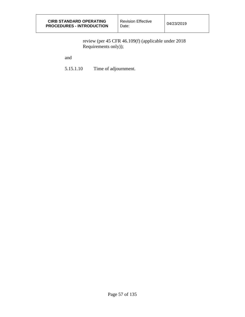review (per 45 CFR 46.109(f) (applicable under 2018 Requirements only));

and

5.15.1.10 Time of adjournment.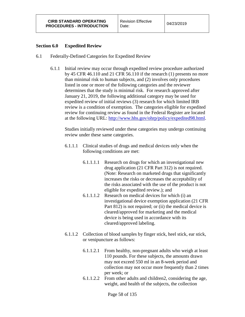### **Section 6.0 Expedited Review**

- 6.1 Federally-Defined Categories for Expedited Review
	- 6.1.1 Initial review may occur through expedited review procedure authorized by 45 CFR 46.110 and 21 CFR 56.110 if the research (1) presents no more than minimal risk to human subjects, and (2) involves only procedures listed in one or more of the following categories and the reviewer determines that the study is minimal risk. For research approved after January 21, 2019, the following additional category may be used for expedited review of initial reviews (3) research for which limited IRB review is a condition of exemption. The categories eligible for expedited review for continuing review as found in the Federal Register are located at the following URL: [http://www.hhs.gov/ohrp/policy/expedited98.html.](http://www.hhs.gov/ohrp/policy/expedited98.html)

Studies initially reviewed under these categories may undergo continuing review under these same categories.

- 6.1.1.1 Clinical studies of drugs and medical devices only when the following conditions are met:
	- 6.1.1.1.1 Research on drugs for which an investigational new drug application (21 CFR Part 312) is not required. (Note: Research on marketed drugs that significantly increases the risks or decreases the acceptability of the risks associated with the use of the product is not eligible for expedited review.); and
	- 6.1.1.1.2 Research on medical devices for which (i) an investigational device exemption application (21 CFR Part 812) is not required; or (ii) the medical device is cleared/approved for marketing and the medical device is being used in accordance with its cleared/approved labeling.
- 6.1.1.2 Collection of blood samples by finger stick, heel stick, ear stick, or venipuncture as follows:
	- 6.1.1.2.1 From healthy, non-pregnant adults who weigh at least 110 pounds. For these subjects, the amounts drawn may not exceed 550 ml in an 8-week period and collection may not occur more frequently than 2 times per week; or
	- 6.1.1.2.2 From other adults and children2, considering the age, weight, and health of the subjects, the collection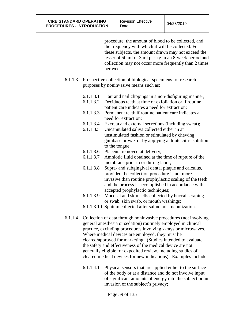procedure, the amount of blood to be collected, and the frequency with which it will be collected. For these subjects, the amount drawn may not exceed the lesser of 50 ml or 3 ml per kg in an 8-week period and collection may not occur more frequently than 2 times per week.

- 6.1.1.3 Prospective collection of biological specimens for research purposes by noninvasive means such as:
	- 6.1.1.3.1 Hair and nail clippings in a non-disfiguring manner;
	- 6.1.1.3.2 Deciduous teeth at time of exfoliation or if routine patient care indicates a need for extraction;
	- 6.1.1.3.3 Permanent teeth if routine patient care indicates a need for extraction;
	- 6.1.1.3.4 Excreta and external secretions (including sweat);
	- 6.1.1.3.5 Uncannulated saliva collected either in an unstimulated fashion or stimulated by chewing gumbase or wax or by applying a dilute citric solution to the tongue;
	- 6.1.1.3.6 Placenta removed at delivery;
	- 6.1.1.3.7 Amniotic fluid obtained at the time of rupture of the membrane prior to or during labor;
	- 6.1.1.3.8 Supra- and subgingival dental plaque and calculus, provided the collection procedure is not more invasive than routine prophylactic scaling of the teeth and the process is accomplished in accordance with accepted prophylactic techniques;
	- 6.1.1.3.9 Mucosal and skin cells collected by buccal scraping or swab, skin swab, or mouth washings;
	- 6.1.1.3.10 Sputum collected after saline mist nebulization.
- 6.1.1.4 Collection of data through noninvasive procedures (not involving general anesthesia or sedation) routinely employed in clinical practice, excluding procedures involving x-rays or microwaves. Where medical devices are employed, they must be cleared/approved for marketing. (Studies intended to evaluate the safety and effectiveness of the medical device are not generally eligible for expedited review, including studies of cleared medical devices for new indications). Examples include:
	- 6.1.1.4.1 Physical sensors that are applied either to the surface of the body or at a distance and do not involve input of significant amounts of energy into the subject or an invasion of the subject's privacy;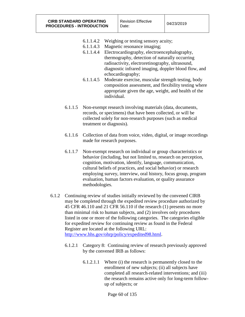- 6.1.1.4.2 Weighing or testing sensory acuity;
- 6.1.1.4.3 Magnetic resonance imaging;
- 6.1.1.4.4 Electrocardiography, electroencephalography, thermography, detection of naturally occurring radioactivity, electroretinography, ultrasound, diagnostic infrared imaging, doppler blood flow, and echocardiography;
- 6.1.1.4.5 Moderate exercise, muscular strength testing, body composition assessment, and flexibility testing where appropriate given the age, weight, and health of the individual.
- 6.1.1.5 Non-exempt research involving materials (data, documents, records, or specimens) that have been collected, or will be collected solely for non-research purposes (such as medical treatment or diagnosis).
- 6.1.1.6 Collection of data from voice, video, digital, or image recordings made for research purposes.
- 6.1.1.7 Non-exempt research on individual or group characteristics or behavior (including, but not limited to, research on perception, cognition, motivation, identify, language, communication, cultural beliefs of practices, and social behavior) or research employing survey, interview, oral history, focus group, program evaluation, human factors evaluation, or quality assurance methodologies.
- 6.1.2 Continuing review of studies initially reviewed by the convened CIRB may be completed through the expedited review procedure authorized by 45 CFR 46.110 and 21 CFR 56.110 if the research (1) presents no more than minimal risk to human subjects, and (2) involves only procedures listed in one or more of the following categories. The categories eligible for expedited review for continuing review as found in the Federal Register are located at the following URL: [http://www.hhs.gov/ohrp/policy/expedited98.html.](http://www.hhs.gov/ohrp/policy/expedited98.html)
	- 6.1.2.1 Category 8: Continuing review of research previously approved by the convened IRB as follows:
		- 6.1.2.1.1 Where (i) the research is permanently closed to the enrollment of new subjects; (ii) all subjects have completed all research-related interventions; and (iii) the research remains active only for long-term followup of subjects; or

Page 60 of 135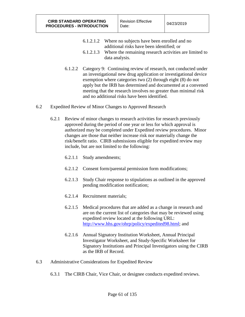- 6.1.2.1.2 Where no subjects have been enrolled and no additional risks have been identified; or
- 6.1.2.1.3 Where the remaining research activities are limited to data analysis.
- 6.1.2.2 Category 9: Continuing review of research, not conducted under an investigational new drug application or investigational device exemption where categories two (2) through eight (8) do not apply but the IRB has determined and documented at a convened meeting that the research involves no greater than minimal risk and no additional risks have been identified.
- 6.2 Expedited Review of Minor Changes to Approved Research
	- 6.2.1 Review of minor changes to research activities for research previously approved during the period of one year or less for which approval is authorized may be completed under Expedited review procedures. Minor changes are those that neither increase risk nor materially change the risk/benefit ratio. CIRB submissions eligible for expedited review may include, but are not limited to the following:
		- 6.2.1.1 Study amendments;
		- 6.2.1.2 Consent form/parental permission form modifications;
		- 6.2.1.3 Study Chair response to stipulations as outlined in the approved pending modification notification;
		- 6.2.1.4 Recruitment materials;
		- 6.2.1.5 Medical procedures that are added as a change in research and are on the current list of categories that may be reviewed using expedited review located at the following URL: [http://www.hhs.gov/ohrp/policy/expedited98.html;](http://www.hhs.gov/ohrp/policy/expedited98.html) and
		- 6.2.1.6 Annual Signatory Institution Worksheet, Annual Principal Investigator Worksheet, and Study-Specific Worksheet for Signatory Institutions and Principal Investigators using the CIRB as the IRB of Record.
- 6.3 Administrative Considerations for Expedited Review
	- 6.3.1 The CIRB Chair, Vice Chair, or designee conducts expedited reviews.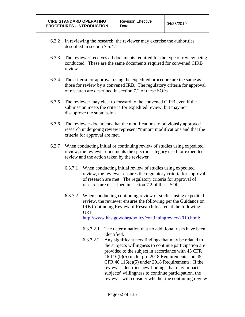- 6.3.2 In reviewing the research, the reviewer may exercise the authorities described in section 7.5.4.1.
- 6.3.3 The reviewer receives all documents required for the type of review being conducted. These are the same documents required for convened CIRB review.
- 6.3.4 The criteria for approval using the expedited procedure are the same as those for review by a convened IRB. The regulatory criteria for approval of research are described in section 7.2 of these SOPs.
- 6.3.5 The reviewer may elect to forward to the convened CIRB even if the submission meets the criteria for expedited review, but may not disapprove the submission.
- 6.3.6 The reviewer documents that the modifications to previously approved research undergoing review represent "minor" modifications and that the criteria for approval are met.
- 6.3.7 When conducting initial or continuing review of studies using expedited review, the reviewer documents the specific category used for expedited review and the action taken by the reviewer.
	- 6.3.7.1 When conducting initial review of studies using expedited review, the reviewer ensures the regulatory criteria for approval of research are met. The regulatory criteria for approval of research are described in section 7.2 of these SOPs.
	- 6.3.7.2 When conducting continuing review of studies using expedited review, the reviewer ensures the following per the Guidance on IRB Continuing Review of Research located at the following URL:

[http://www.hhs.gov/ohrp/policy/continuingreview2010.html:](http://www.hhs.gov/ohrp/policy/continuingreview2010.html)

- 6.3.7.2.1 The determination that no additional risks have been identified.
- 6.3.7.2.2 Any significant new findings that may be related to the subjects willingness to continue participation are provided to the subject in accordance with 45 CFR 46.116(b)(5) under pre-2018 Requirements and 45 CFR 46.116(c)(5) under 2018 Requirements. If the reviewer identifies new findings that may impact subjects' willingness to continue participation, the reviewer will consider whether the continuing review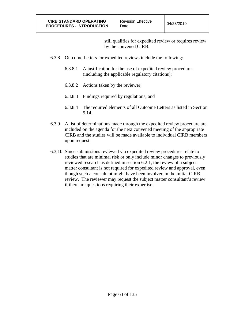still qualifies for expedited review or requires review by the convened CIRB.

- 6.3.8 Outcome Letters for expedited reviews include the following:
	- 6.3.8.1 A justification for the use of expedited review procedures (including the applicable regulatory citations);
	- 6.3.8.2 Actions taken by the reviewer;
	- 6.3.8.3 Findings required by regulations; and
	- 6.3.8.4 The required elements of all Outcome Letters as listed in Section 5.14.
- 6.3.9 A list of determinations made through the expedited review procedure are included on the agenda for the next convened meeting of the appropriate CIRB and the studies will be made available to individual CIRB members upon request.
- 6.3.10 Since submissions reviewed via expedited review procedures relate to studies that are minimal risk or only include minor changes to previously reviewed research as defined in section 6.2.1, the review of a subject matter consultant is not required for expedited review and approval, even though such a consultant might have been involved in the initial CIRB review. The reviewer may request the subject matter consultant's review if there are questions requiring their expertise.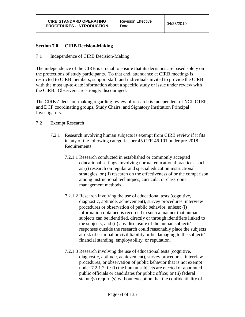## **Section 7.0 CIRB Decision-Making**

7.1 Independence of CIRB Decision-Making

The independence of the CIRB is crucial to ensure that its decisions are based solely on the protections of study participants. To that end, attendance at CIRB meetings is restricted to CIRB members, support staff, and individuals invited to provide the CIRB with the most up-to-date information about a specific study or issue under review with the CIRB. Observers are strongly discouraged.

The CIRBs' decision-making regarding review of research is independent of NCI, CTEP, and DCP coordinating groups, Study Chairs, and Signatory Institution Principal Investigators.

- 7.2 Exempt Research
	- 7.2.1 Research involving human subjects is exempt from CIRB review if it fits in any of the following categories per 45 CFR 46.101 under pre-2018 Requirements:
		- 7.2.1.1 Research conducted in established or commonly accepted educational settings, involving normal educational practices, such as (i) research on regular and special education instructional strategies, or (ii) research on the effectiveness of or the comparison among instructional techniques, curricula, or classroom management methods.
		- 7.2.1.2 Research involving the use of educational tests (cognitive, diagnostic, aptitude, achievement), survey procedures, interview procedures or observation of public behavior, unless: (i) information obtained is recorded in such a manner that human subjects can be identified, directly or through identifiers linked to the subjects; and (ii) any disclosure of the human subjects' responses outside the research could reasonably place the subjects at risk of criminal or civil liability or be damaging to the subjects' financial standing, employability, or reputation.
		- 7.2.1.3 Research involving the use of educational tests (cognitive, diagnostic, aptitude, achievement), survey procedures, interview procedures, or observation of public behavior that is not exempt under 7.2.1.2, if: (i) the human subjects are elected or appointed public officials or candidates for public office; or (ii) federal statute(s) require(s) without exception that the confidentiality of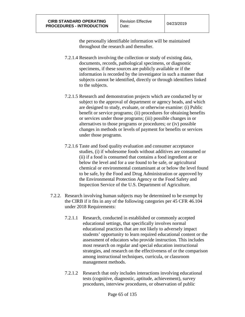the personally identifiable information will be maintained throughout the research and thereafter.

- 7.2.1.4 Research involving the collection or study of existing data, documents, records, pathological specimens, or diagnostic specimens, if these sources are publicly available or if the information is recorded by the investigator in such a manner that subjects cannot be identified, directly or through identifiers linked to the subjects.
- 7.2.1.5 Research and demonstration projects which are conducted by or subject to the approval of department or agency heads, and which are designed to study, evaluate, or otherwise examine: (i) Public benefit or service programs; (ii) procedures for obtaining benefits or services under those programs; (iii) possible changes in or alternatives to those programs or procedures; or (iv) possible changes in methods or levels of payment for benefits or services under those programs.
- 7.2.1.6 Taste and food quality evaluation and consumer acceptance studies, (i) if wholesome foods without additives are consumed or (ii) if a food is consumed that contains a food ingredient at or below the level and for a use found to be safe, or agricultural chemical or environmental contaminant at or below the level found to be safe, by the Food and Drug Administration or approved by the Environmental Protection Agency or the Food Safety and Inspection Service of the U.S. Department of Agriculture.
- 7.2.2. Research involving human subjects may be determined to be exempt by the CIRB if it fits in any of the following categories per 45 CFR 46.104 under 2018 Requirements:
	- 7.2.1.1 Research, conducted in established or commonly accepted educational settings, that specifically involves normal educational practices that are not likely to adversely impact students' opportunity to learn required educational content or the assessment of educators who provide instruction. This includes most research on regular and special education instructional strategies, and research on the effectiveness of or the comparison among instructional techniques, curricula, or classroom management methods.
	- 7.2.1.2 Research that only includes interactions involving educational tests (cognitive, diagnostic, aptitude, achievement), survey procedures, interview procedures, or observation of public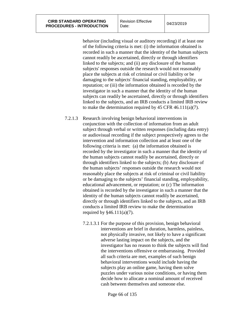behavior (including visual or auditory recording) if at least one of the following criteria is met: (i) the information obtained is recorded in such a manner that the identity of the human subjects cannot readily be ascertained, directly or through identifiers linked to the subjects; and (ii) any disclosure of the human subjects' responses outside the research would not reasonably place the subjects at risk of criminal or civil liability or be damaging to the subjects' financial standing, employability, or reputation; or (iii) the information obtained is recorded by the investigator in such a manner that the identity of the human subjects can readily be ascertained, directly or through identifiers linked to the subjects, and an IRB conducts a limited IRB review to make the determination required by 45 CFR 46.111(a)(7).

- 7.2.1.3 Research involving benign behavioral interventions in conjunction with the collection of information from an adult subject through verbal or written responses (including data entry) or audiovisual recording if the subject prospectively agrees to the intervention and information collection and at least one of the following criteria is met: (a) the information obtained is recorded by the investigator in such a manner that the identity of the human subjects cannot readily be ascertained, directly or through identifiers linked to the subjects; (b) Any disclosure of the human subjects' responses outside the research would not reasonably place the subjects at risk of criminal or civil liability or be damaging to the subjects' financial standing, employability, educational advancement, or reputation; or (c) The information obtained is recorded by the investigator in such a manner that the identity of the human subjects cannot readily be ascertained, directly or through identifiers linked to the subjects, and an IRB conducts a limited IRB review to make the determination required by  $§46.111(a)(7)$ .
	- 7.2.1.3.1 For the purpose of this provision, benign behavioral interventions are brief in duration, harmless, painless, not physically invasive, not likely to have a significant adverse lasting impact on the subjects, and the investigator has no reason to think the subjects will find the interventions offensive or embarrassing. Provided all such criteria are met, examples of such benign behavioral interventions would include having the subjects play an online game, having them solve puzzles under various noise conditions, or having them decide how to allocate a nominal amount of received cash between themselves and someone else.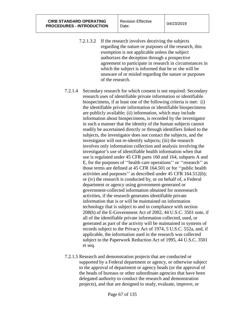**CIRB STANDARD OPERATING PROCEDURES - INTRODUCTION**

- 7.2.1.3.2 If the research involves deceiving the subjects regarding the nature or purposes of the research, this exemption is not applicable unless the subject authorizes the deception through a prospective agreement to participate in research in circumstances in which the subject is informed that he or she will be unaware of or misled regarding the nature or purposes of the research.
- 7.2.1.4 Secondary research for which consent is not required: Secondary research uses of identifiable private information or identifiable biospecimens, if at least one of the following criteria is met: (i) the identifiable private information or identifiable biospecimens are publicly available; (ii) information, which may include information about biospecimens, is recorded by the investigator in such a manner that the identity of the human subjects cannot readily be ascertained directly or through identifiers linked to the subjects, the investigator does not contact the subjects, and the investigator will not re-identify subjects; (iii) the research involves only information collection and analysis involving the investigator's use of identifiable health information when that use is regulated under 45 CFR parts 160 and 164, subparts A and E, for the purposes of ''health care operations'' or ''research'' as those terms are defined at 45 CFR 164.501 or for ''public health activities and purposes'' as described under 45 CFR 164.512(b); or (iv) the research is conducted by, or on behalf of, a Federal department or agency using government-generated or government-collected information obtained for nonresearch activities, if the research generates identifiable private information that is or will be maintained on information technology that is subject to and in compliance with section 208(b) of the E-Government Act of 2002, 44 U.S.C. 3501 note, if all of the identifiable private information collected, used, or generated as part of the activity will be maintained in systems of records subject to the Privacy Act of 1974, 5 U.S.C. 552a, and, if applicable, the information used in the research was collected subject to the Paperwork Reduction Act of 1995, 44 U.S.C. 3501 et seq.
- 7.2.1.5 Research and demonstration projects that are conducted or supported by a Federal department or agency, or otherwise subject to the approval of department or agency heads (or the approval of the heads of bureaus or other subordinate agencies that have been delegated authority to conduct the research and demonstration projects), and that are designed to study, evaluate, improve, or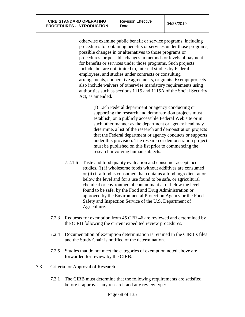otherwise examine public benefit or service programs, including procedures for obtaining benefits or services under those programs, possible changes in or alternatives to those programs or procedures, or possible changes in methods or levels of payment for benefits or services under those programs. Such projects include, but are not limited to, internal studies by Federal employees, and studies under contracts or consulting arrangements, cooperative agreements, or grants. Exempt projects also include waivers of otherwise mandatory requirements using authorities such as sections 1115 and 1115A of the Social Security Act, as amended.

> (i) Each Federal department or agency conducting or supporting the research and demonstration projects must establish, on a publicly accessible Federal Web site or in such other manner as the department or agency head may determine, a list of the research and demonstration projects that the Federal department or agency conducts or supports under this provision. The research or demonstration project must be published on this list prior to commencing the research involving human subjects.

- 7.2.1.6 Taste and food quality evaluation and consumer acceptance studies, (i) if wholesome foods without additives are consumed or (ii) if a food is consumed that contains a food ingredient at or below the level and for a use found to be safe, or agricultural chemical or environmental contaminant at or below the level found to be safe, by the Food and Drug Administration or approved by the Environmental Protection Agency or the Food Safety and Inspection Service of the U.S. Department of Agriculture.
- 7.2.3 Requests for exemption from 45 CFR 46 are reviewed and determined by the CIRB following the current expedited review procedures.
- 7.2.4 Documentation of exemption determination is retained in the CIRB's files and the Study Chair is notified of the determination.
- 7.2.5 Studies that do not meet the categories of exemption noted above are forwarded for review by the CIRB.
- 7.3 Criteria for Approval of Research
	- 7.3.1 The CIRB must determine that the following requirements are satisfied before it approves any research and any review type: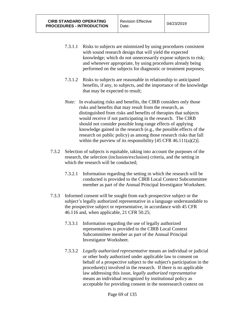- 7.3.1.1 Risks to subjects are minimized by using procedures consistent with sound research design that will yield the expected knowledge; which do not unnecessarily expose subjects to risk; and whenever appropriate, by using procedures already being performed on the subjects for diagnostic or treatment purposes;
- 7.3.1.2 Risks to subjects are reasonable in relationship to anticipated benefits, if any, to subjects, and the importance of the knowledge that may be expected to result;
- *Note:* In evaluating risks and benefits, the CIRB considers only those risks and benefits that may result from the research, as distinguished from risks and benefits of therapies that subjects would receive if not participating in the research. The CIRB should not consider possible long-range effects of applying knowledge gained in the research (e.g., the possible effects of the research on public policy) as among those research risks that fall within the purview of its responsibility  $[45 \text{ CFR } 46.111(a)(2)].$
- 7.3.2 Selection of subjects is equitable, taking into account the purposes of the research, the selection (inclusion/exclusion) criteria, and the setting in which the research will be conducted:
	- 7.3.2.1 Information regarding the setting in which the research will be conducted is provided to the CIRB Local Context Subcommittee member as part of the Annual Principal Investigator Worksheet.
- 7.3.3 Informed consent will be sought from each prospective subject or the subject's legally authorized representative in a language understandable to the prospective subject or representative, in accordance with 45 CFR 46.116 and, when applicable, 21 CFR 50.25;
	- 7.3.3.1 Information regarding the use of legally authorized representatives is provided to the CIRB Local Context Subcommittee member as part of the Annual Principal Investigator Worksheet.
	- 7.3.3.2 *Legally authorized representative* means an individual or judicial or other body authorized under applicable law to consent on behalf of a prospective subject to the subject's participation in the procedure(s) involved in the research. If there is no applicable law addressing this issue, *legally authorized representative*  means an individual recognized by institutional policy as acceptable for providing consent in the nonresearch context on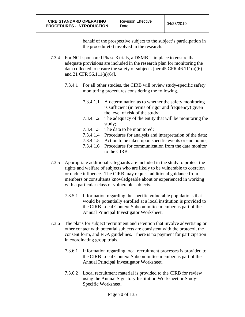behalf of the prospective subject to the subject's participation in the procedure(s) involved in the research.

- 7.3.4 For NCI-sponsored Phase 3 trials, a DSMB is in place to ensure that adequate provisions are included in the research plan for monitoring the data collected to ensure the safety of subjects [per 45 CFR 46.111(a)(6) and 21 CFR 56.111(a)(6)].
	- 7.3.4.1 For all other studies, the CIRB will review study-specific safety monitoring procedures considering the following.
		- 7.3.4.1.1 A determination as to whether the safety monitoring is sufficient (in terms of rigor and frequency) given the level of risk of the study;
		- 7.3.4.1.2 The adequacy of the entity that will be monitoring the study;
		- 7.3.4.1.3 The data to be monitored;
		- 7.3.4.1.4 Procedures for analysis and interpretation of the data;
		- 7.3.4.1.5 Action to be taken upon specific events or end points;
		- 7.3.4.1.6 Procedures for communication from the data monitor to the CIRB.
- 7.3.5 Appropriate additional safeguards are included in the study to protect the rights and welfare of subjects who are likely to be vulnerable to coercion or undue influence. The CIRB may request additional guidance from members or consultants knowledgeable about or experienced in working with a particular class of vulnerable subjects.
	- 7.3.5.1 Information regarding the specific vulnerable populations that would be potentially enrolled at a local institution is provided to the CIRB Local Context Subcommittee member as part of the Annual Principal Investigator Worksheet.
- 7.3.6 The plans for subject recruitment and retention that involve advertising or other contact with potential subjects are consistent with the protocol, the consent form, and FDA guidelines. There is no payment for participation in coordinating group trials.
	- 7.3.6.1 Information regarding local recruitment processes is provided to the CIRB Local Context Subcommittee member as part of the Annual Principal Investigator Worksheet.
	- 7.3.6.2 Local recruitment material is provided to the CIRB for review using the Annual Signatory Institution Worksheet or Study-Specific Worksheet.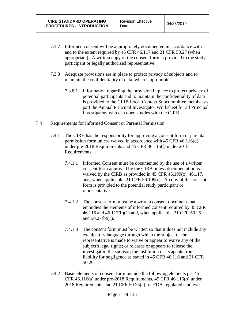- 7.3.7 Informed consent will be appropriately documented in accordance with and to the extent required by 45 CFR 46.117 and 21 CFR 50.27 (when appropriate). A written copy of the consent form is provided to the study participant or legally authorized representative.
- 7.3.8 Adequate provisions are in place to protect privacy of subjects and to maintain the confidentiality of data, where appropriate.
	- 7.3.8.1 Information regarding the provision in place to protect privacy of potential participants and to maintain the confidentiality of data is provided to the CIRB Local Context Subcommittee member as part the Annual Principal Investigator Worksheet for all Principal Investigators who can open studies with the CIRB.
- 7.4 Requirements for Informed Consent or Parental Permission
	- 7.4.1 The CIRB has the responsibility for approving a consent form or parental permission form unless waived in accordance with 45 CFR 46.116(d) under pre-2018 Requirements and 45 CFR 46.116(f) under 2018 Requirements.
		- 7.4.1.1 Informed Consent must be documented by the use of a written consent form approved by the CIRB unless documentation is waived by the CIRB as provided in 45 CFR 46.109(c), 46.117, and, when applicable, 21 CFR 56.109(c). A copy of the consent form is provided to the potential study participant or representative.
		- 7.4.1.2 The consent form must be a written consent document that embodies the elements of informed consent required by 45 CFR 46.116 and 46.117(b)(1) and, when applicable, 21 CFR 50.25 and 50.27(b)(1).
		- 7.4.1.3 The consent form must be written so that it does not include any exculpatory language through which the subject or the representative is made to waive or appear to waive any of the subject's legal rights; or releases or appears to release the investigator, the sponsor, the institution or its agents from liability for negligence as stated in 45 CFR 46.116 and 21 CFR 50.20.
	- 7.4.2 Basic elements of consent form include the following elements per 45 CFR 46.116(a) under pre-2018 Requirements, 45 CFR 46.116(b) under 2018 Requirements, and 21 CFR 50.25(a) for FDA-regulated studies: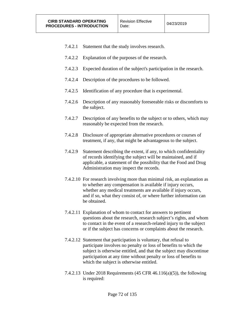- 7.4.2.1 Statement that the study involves research.
- 7.4.2.2 Explanation of the purposes of the research.
- 7.4.2.3 Expected duration of the subject's participation in the research.
- 7.4.2.4 Description of the procedures to be followed.
- 7.4.2.5 Identification of any procedure that is experimental.
- 7.4.2.6 Description of any reasonably foreseeable risks or discomforts to the subject.
- 7.4.2.7 Description of any benefits to the subject or to others, which may reasonably be expected from the research.
- 7.4.2.8 Disclosure of appropriate alternative procedures or courses of treatment, if any, that might be advantageous to the subject.
- 7.4.2.9 Statement describing the extent, if any, to which confidentiality of records identifying the subject will be maintained, and if applicable, a statement of the possibility that the Food and Drug Administration may inspect the records.
- 7.4.2.10 For research involving more than minimal risk, an explanation as to whether any compensation is available if injury occurs, whether any medical treatments are available if injury occurs, and if so, what they consist of, or where further information can be obtained.
- 7.4.2.11 Explanation of whom to contact for answers to pertinent questions about the research, research subject's rights, and whom to contact in the event of a research-related injury to the subject or if the subject has concerns or complaints about the research.
- 7.4.2.12 Statement that participation is voluntary, that refusal to participate involves no penalty or loss of benefits to which the subject is otherwise entitled, and that the subject may discontinue participation at any time without penalty or loss of benefits to which the subject is otherwise entitled.
- 7.4.2.13 Under 2018 Requirements (45 CFR 46.116(a)(5)), the following is required: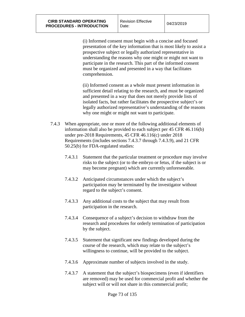(i) Informed consent must begin with a concise and focused presentation of the key information that is most likely to assist a prospective subject or legally authorized representative in understanding the reasons why one might or might not want to participate in the research. This part of the informed consent must be organized and presented in a way that facilitates comprehension.

(ii) Informed consent as a whole must present information in sufficient detail relating to the research, and must be organized and presented in a way that does not merely provide lists of isolated facts, but rather facilitates the prospective subject's or legally authorized representative's understanding of the reasons why one might or might not want to participate.

- 7.4.3 When appropriate, one or more of the following additional elements of information shall also be provided to each subject per 45 CFR 46.116(b) under pre-2018 Requirements, 45 CFR 46.116(c) under 2018 Requirements (includes sections 7.4.3.7 through 7.4.3.9), and 21 CFR 50.25(b) for FDA-regulated studies:
	- 7.4.3.1 Statement that the particular treatment or procedure may involve risks to the subject (or to the embryo or fetus, if the subject is or may become pregnant) which are currently unforeseeable.
	- 7.4.3.2 Anticipated circumstances under which the subject's participation may be terminated by the investigator without regard to the subject's consent.
	- 7.4.3.3 Any additional costs to the subject that may result from participation in the research.
	- 7.4.3.4 Consequence of a subject's decision to withdraw from the research and procedures for orderly termination of participation by the subject.
	- 7.4.3.5 Statement that significant new findings developed during the course of the research, which may relate to the subject's willingness to continue, will be provided to the subject.
	- 7.4.3.6 Approximate number of subjects involved in the study.
	- 7.4.3.7 A statement that the subject's biospecimens (even if identifiers are removed) may be used for commercial profit and whether the subject will or will not share in this commercial profit;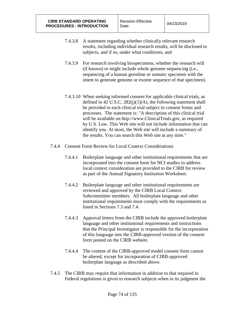- 7.4.3.8 A statement regarding whether clinically relevant research results, including individual research results, will be disclosed to subjects, and if so, under what conditions; and
- 7.4.3.9 For research involving biospecimens, whether the research will (if known) or might include whole genome sequencing (i.e., sequencing of a human germline or somatic specimen with the intent to generate genome or exome sequence of that specimen).
- 7.4.3.10 When seeking informed consent for applicable clinical trials, as defined in 42 U.S.C.  $282(i)(1)(A)$ , the following statement shall be provided to each clinical trial subject in consent forms and processes. The statement is: "A description of this clinical trial will be available on http://www.ClinicalTrials.gov, as required by U.S. Law. This Web site will not include information that can identify you. At most, the Web site will include a summary of the results. You can search this Web site at any time."
- 7.4.4 Consent Form Review for Local Context Considerations
	- 7.4.4.1 Boilerplate language and other institutional requirements that are incorporated into the consent form for NCI studies to address local context consideration are provided to the CIRB for review as part of the Annual Signatory Institution Worksheet.
	- 7.4.4.2 Boilerplate language and other institutional requirements are reviewed and approved by the CIRB Local Context Subcommittee members. All boilerplate language and other institutional requirements must comply with the requirements as listed in Sections 7.3 and 7.4.
	- 7.4.4.3 Approval letters from the CIRB include the approved boilerplate language and other institutional requirements and instructions that the Principal Investigator is responsible for the incorporation of this language into the CIRB-approved version of the consent form posted on the CIRB website.
	- 7.4.4.4 The content of the CIRB-approved model consent form cannot be altered, except for incorporation of CIRB-approved boilerplate language as described above.
- 7.4.5 The CIRB may require that information in addition to that required in Federal regulations is given to research subjects when in its judgment the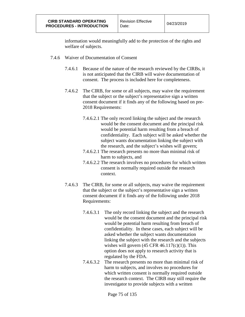information would meaningfully add to the protection of the rights and welfare of subjects.

- 7.4.6 Waiver of Documentation of Consent
	- 7.4.6.1 Because of the nature of the research reviewed by the CIRBs, it is not anticipated that the CIRB will waive documentation of consent. The process is included here for completeness.
	- 7.4.6.2 The CIRB, for some or all subjects, may waive the requirement that the subject or the subject's representative sign a written consent document if it finds any of the following based on pre-2018 Requirements:
		- 7.4.6.2.1 The only record linking the subject and the research would be the consent document and the principal risk would be potential harm resulting from a breach of confidentiality. Each subject will be asked whether the subject wants documentation linking the subject with the research, and the subject's wishes will govern;
		- 7.4.6.2.1 The research presents no more than minimal risk of harm to subjects, and
		- 7.4.6.2.2 The research involves no procedures for which written consent is normally required outside the research context.
	- 7.4.6.3 The CIRB, for some or all subjects, may waive the requirement that the subject or the subject's representative sign a written consent document if it finds any of the following under 2018 Requirements:
		- 7.4.6.3.1 The only record linking the subject and the research would be the consent document and the principal risk would be potential harm resulting from breach of confidentiality. In these cases, each subject will be asked whether the subject wants documentation linking the subject with the research and the subjects wishes will govern  $(45 \text{ CFR } 46.117(c)(1))$ . This option does not apply to research activity that is regulated by the FDA.
		- 7.4.6.3.2 The research presents no more than minimal risk of harm to subjects, and involves no procedures for which written consent is normally required outside the research context. The CIRB may still require the investigator to provide subjects with a written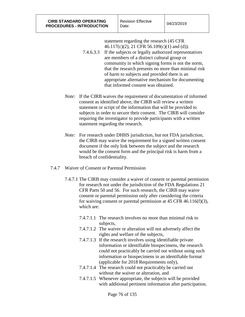statement regarding the research (45 CFR  $46.117(c)(2)$ , 21 CFR 56.109(c)(1) and (d)).

- 7.4.6.3.3 If the subjects or legally authorized representatives are members of a distinct cultural group or community in which signing forms is not the norm, that the research presents no more than minimal risk of harm to subjects and provided there is an appropriate alternative mechanism for documenting that informed consent was obtained.
- *Note:* If the CIRB waives the requirement of documentation of informed consent as identified above, the CIRB will review a written statement or script of the information that will be provided to subjects in order to secure their consent. The CIRB will consider requiring the investigator to provide participants with a written statement regarding the research.
- *Note:* For research under DHHS jurisdiction, but not FDA jurisdiction, the CIRB may waive the requirement for a signed written consent document if the only link between the subject and the research would be the consent form and the principal risk is harm from a breach of confidentiality.
- 7.4.7 Waiver of Consent or Parental Permission
	- 7.4.7.1 The CIRB may consider a waiver of consent or parental permission for research not under the jurisdiction of the FDA Regulations 21 CFR Parts 50 and 56. For such research, the CIRB may waive consent or parental permission only after considering the criteria for waiving consent or parental permission at 45 CFR 46.116(f)(3), which are:
		- 7.4.7.1.1 The research involves no more than minimal risk to subjects,
		- 7.4.7.1.2 The waiver or alteration will not adversely affect the rights and welfare of the subjects,
		- 7.4.7.1.3 If the research involves using identifiable private information or identifiable biospecimens, the research could not practicably be carried out without using such information or biospecimens in an identifiable format (applicable for 2018 Requirements only),
		- 7.4.7.1.4 The research could not practicably be carried out without the waiver or alteration, and
		- 7.4.7.1.5 Whenever appropriate, the subjects will be provided with additional pertinent information after participation.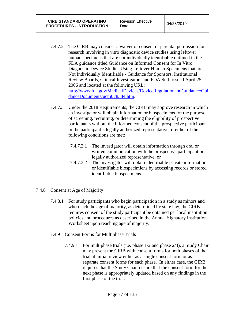- 7.4.7.2 The CIRB may consider a waiver of consent or parental permission for research involving in vitro diagnostic device studies using leftover human specimens that are not individually identifiable outlined in the FDA guidance titled Guidance on Informed Consent for In Vitro Diagnostic Device Studies Using Leftover Human Specimens that are Not Individually Identifiable - Guidance for Sponsors, Institutional Review Boards, Clinical Investigators and FDA Staff issued April 25, 2006 and located at the following URL: [http://www.fda.gov/MedicalDevices/DeviceRegulationandGuidance/Gui](http://www.fda.gov/MedicalDevices/DeviceRegulationandGuidance/GuidanceDocuments/ucm078384.htm) [danceDocuments/ucm078384.htm.](http://www.fda.gov/MedicalDevices/DeviceRegulationandGuidance/GuidanceDocuments/ucm078384.htm)
- 7.4.7.3 Under the 2018 Requirements, the CIRB may approve research in which an investigator will obtain information or biospecimens for the purpose of screening, recruiting, or determining the eligibility of prospective participants without the informed consent of the prospective participant or the participant's legally authorized representative, if either of the following conditions are met:
	- 7.4.7.3.1 The investigator will obtain information through oral or written communication with the prospective participant or legally authorized representative, or
	- 7.4.7.3.2 The investigator will obtain identifiable private information or identifiable biospecimiens by accessing records or stored identifiable biospecimens.
- 7.4.8 Consent at Age of Majority
	- 7.4.8.1 For study participants who begin participation in a study as minors and who reach the age of majority, as determined by state law, the CIRB requires consent of the study participant be obtained per local institution policies and procedures as described in the Annual Signatory Institution Worksheet upon reaching age of majority.
	- 7.4.9 Consent Forms for Multiphase Trials
		- 7.4.9.1 For multiphase trials (i.e. phase 1/2 and phase 2/3), a Study Chair may present the CIRB with consent forms for both phases of the trial at initial review either as a single consent form or as separate consent forms for each phase. In either case, the CIRB requires that the Study Chair ensure that the consent form for the next phase is appropriately updated based on any findings in the first phase of the trial.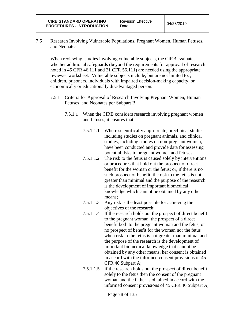7.5 Research Involving Vulnerable Populations, Pregnant Women, Human Fetuses, and Neonates

When reviewing, studies involving vulnerable subjects, the CIRB evaluates whether additional safeguards (beyond the requirements for approval of research noted in 45 CFR 46.111 and 21 CFR 56.111) are needed using the appropriate reviewer worksheet. Vulnerable subjects include, but are not limited to, , children, prisoners, individuals with impaired decision-making capacity, or economically or educationally disadvantaged person.

- 7.5.1 Criteria for Approval of Research Involving Pregnant Women, Human Fetuses, and Neonates per Subpart B
	- 7.5.1.1 When the CIRB considers research involving pregnant women and fetuses, it ensures that:
		- 7.5.1.1.1 Where scientifically appropriate, preclinical studies, including studies on pregnant animals, and clinical studies, including studies on non-pregnant women, have been conducted and provide data for assessing potential risks to pregnant women and fetuses;
		- 7.5.1.1.2 The risk to the fetus is caused solely by interventions or procedures that hold out the prospect of direct benefit for the woman or the fetus; or, if there is no such prospect of benefit, the risk to the fetus is not greater than minimal and the purpose of the research is the development of important biomedical knowledge which cannot be obtained by any other means;
		- 7.5.1.1.3 Any risk is the least possible for achieving the objectives of the research;
		- 7.5.1.1.4 If the research holds out the prospect of direct benefit to the pregnant woman, the prospect of a direct benefit both to the pregnant woman and the fetus, or no prospect of benefit for the woman nor the fetus when risk to the fetus is not greater than minimal and the purpose of the research is the development of important biomedical knowledge that cannot be obtained by any other means, her consent is obtained in accord with the informed consent provisions of 45 CFR 46 Subpart A;
		- 7.5.1.1.5 If the research holds out the prospect of direct benefit solely to the fetus then the consent of the pregnant woman and the father is obtained in accord with the informed consent provisions of 45 CFR 46 Subpart A,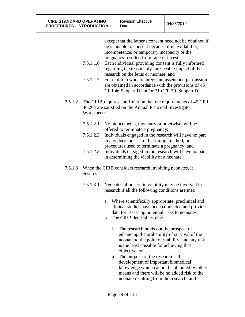except that the father's consent need not be obtained if he is unable to consent because of unavailability, incompetence, or temporary incapacity or the pregnancy resulted from rape or incest;

- 7.5.1.1.6 Each individual providing consent is fully informed regarding the reasonably foreseeable impact of the research on the fetus or neonate; and
- 7.5.1.1.7 For children who are pregnant, assent and permission are obtained in accordance with the provisions of 45 CFR 46 Subpart D and/or 21 CFR 50, Subpart D.
- 7.5.1.2 The CIRB requires confirmation that the requirements of 45 CFR 46.204 are satisfied on the Annual Principal Investigator Worksheet:
	- 7.5.1.2.1 No inducements, monetary or otherwise, will be offered to terminate a pregnancy;
	- 7.5.1.2.2 Individuals engaged in the research will have no part in any decisions as to the timing, method, or procedures used to terminate a pregnancy; and
	- 7.5.1.2.3 Individuals engaged in the research will have no part in determining the viability of a neonate.

# 7.5.1.3 When the CIRB considers research involving neonates, it ensures:

- 7.5.1.3.1 Neonates of uncertain viability may be involved in research if all the following conditions are met:
	- a. Where scientifically appropriate, preclinical and clinical studies have been conducted and provide data for assessing potential risks to neonates.
	- b. The CIRB determines that:
		- i. The research holds out the prospect of enhancing the probability of survival of the neonate to the point of viability, and any risk is the least possible for achieving that objective, or
		- ii. The purpose of the research is the development of important biomedical knowledge which cannot be obtained by other means and there will be no added risk to the neonate resulting from the research; and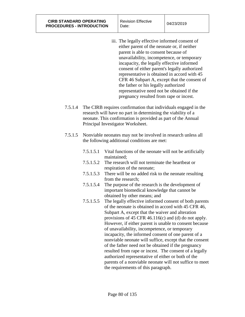- iii. The legally effective informed consent of either parent of the neonate or, if neither parent is able to consent because of unavailability, incompetence, or temporary incapacity, the legally effective informed consent of either parent's legally authorized representative is obtained in accord with 45 CFR 46 Subpart A, except that the consent of the father or his legally authorized representative need not be obtained if the pregnancy resulted from rape or incest.
- 7.5.1.4 The CIRB requires confirmation that individuals engaged in the research will have no part in determining the viability of a neonate. This confirmation is provided as part of the Annual Principal Investigator Worksheet.
- 7.5.1.5 Nonviable neonates may not be involved in research unless all the following additional conditions are met:
	- 7.5.1.5.1 Vital functions of the neonate will not be artificially maintained;
	- 7.5.1.5.2 The research will not terminate the heartbeat or respiration of the neonate;
	- 7.5.1.5.3 There will be no added risk to the neonate resulting from the research;
	- 7.5.1.5.4 The purpose of the research is the development of important biomedical knowledge that cannot be obtained by other means; and
	- 7.5.1.5.5 The legally effective informed consent of both parents of the neonate is obtained in accord with 45 CFR 46, Subpart A, except that the waiver and alteration provisions of 45 CFR 46.116(c) and (d) do not apply. However, if either parent is unable to consent because of unavailability, incompetence, or temporary incapacity, the informed consent of one parent of a nonviable neonate will suffice, except that the consent of the father need not be obtained if the pregnancy resulted from rape or incest. The consent of a legally authorized representative of either or both of the parents of a nonviable neonate will not suffice to meet the requirements of this paragraph.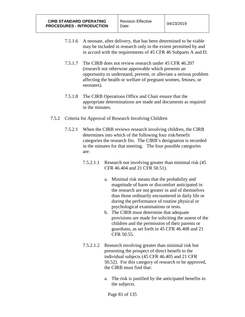- 7.5.1.6 A neonate, after delivery, that has been determined to be viable may be included in research only to the extent permitted by and in accord with the requirements of 45 CFR 46 Subparts A and D.
- 7.5.1.7 The CIRB does not review research under 45 CFR 46.207 (research not otherwise approvable which presents an opportunity to understand, prevent, or alleviate a serious problem affecting the health or welfare of pregnant women, fetuses, or neonates).
- 7.5.1.8 The CIRB Operations Office and Chair ensure that the appropriate determinations are made and documents as required in the minutes.
- 7.5.2 Criteria for Approval of Research Involving Children
	- 7.5.2.1 When the CIRB reviews research involving children, the CIRB determines into which of the following four risk/benefit categories the research fits. The CIRB's designation is recorded in the minutes for that meeting. The four possible categories are:
		- 7.5.2.1.1 Research not involving greater than minimal risk (45 CFR 46.404 and 21 CFR 50.51).
			- a. Minimal risk means that the probability and magnitude of harm or discomfort anticipated in the research are not greater in and of themselves than those ordinarily encountered in daily life or during the performance of routine physical or psychological examinations or tests.
			- b. The CIRB must determine that adequate provisions are made for soliciting the assent of the children and the permission of their parents or guardians, as set forth in 45 CFR 46.408 and 21 CFR 50.55.
		- 7.5.2.1.2 Research involving greater than minimal risk but presenting the prospect of direct benefit to the individual subjects (45 CFR 46.405 and 21 CFR 50.52). For this category of research to be approved, the CIRB must find that:
			- a. The risk is justified by the anticipated benefits to the subjects.

Page 81 of 135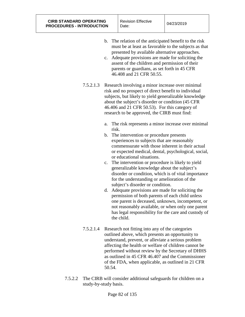- b. The relation of the anticipated benefit to the risk must be at least as favorable to the subjects as that presented by available alternative approaches.
- c. Adequate provisions are made for soliciting the assent of the children and permission of their parents or guardians, as set forth in 45 CFR 46.408 and 21 CFR 50.55.
- 7.5.2.1.3 Research involving a minor increase over minimal risk and no prospect of direct benefit to individual subjects, but likely to yield generalizable knowledge about the subject's disorder or condition (45 CFR 46.406 and 21 CFR 50.53). For this category of research to be approved, the CIRB must find:
	- a. The risk represents a minor increase over minimal risk.
	- b. The intervention or procedure presents experiences to subjects that are reasonably commensurate with those inherent in their actual or expected medical, dental, psychological, social, or educational situations.
	- c. The intervention or procedure is likely to yield generalizable knowledge about the subject's disorder or condition, which is of vital importance for the understanding or amelioration of the subject's disorder or condition.
	- d. Adequate provisions are made for soliciting the permission of both parents of each child unless one parent is deceased, unknown, incompetent, or not reasonably available, or when only one parent has legal responsibility for the care and custody of the child.
- 7.5.2.1.4 Research not fitting into any of the categories outlined above, which presents an opportunity to understand, prevent, or alleviate a serious problem affecting the health or welfare of children cannot be performed without review by the Secretary of DHHS as outlined in 45 CFR 46.407 and the Commissioner of the FDA, when applicable, as outlined in 21 CFR 50.54.
- 7.5.2.2 The CIRB will consider additional safeguards for children on a study-by-study basis.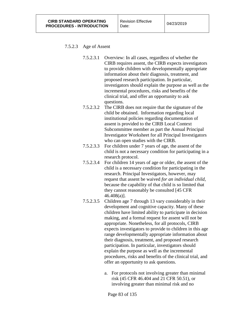### 7.5.2.3 Age of Assent

- 7.5.2.3.1 Overview: In all cases, regardless of whether the CIRB requires assent, the CIRB expects investigators to provide children with developmentally appropriate information about their diagnosis, treatment, and proposed research participation. In particular, investigators should explain the purpose as well as the incremental procedures, risks and benefits of the clinical trial, and offer an opportunity to ask questions.
- 7.5.2.3.2 The CIRB does not require that the signature of the child be obtained. Information regarding local institutional policies regarding documentation of assent is provided to the CIRB Local Context Subcommittee member as part the Annual Principal Investigator Worksheet for all Principal Investigators who can open studies with the CIRB.
- 7.5.2.3.3 For children under 7 years of age, the assent of the child is not a necessary condition for participating in a research protocol.
- 7.5.2.3.4 For children 14 years of age or older, the assent of the child is a necessary condition for participating in the research. Principal Investigators, however, may request that assent be waived *for an individual child*, because the capability of that child is so limited that they cannot reasonably be consulted [45 CFR  $46.408(a)$ ].
- 7.5.2.3.5 Children age 7 through 13 vary considerably in their development and cognitive capacity. Many of these children have limited ability to participate in decision making, and a formal request for assent will not be appropriate. Nonetheless, for all protocols, CIRB expects investigators to provide to children in this age range developmentally appropriate information about their diagnosis, treatment, and proposed research participation. In particular, investigators should explain the purpose as well as the incremental procedures, risks and benefits of the clinical trial, and offer an opportunity to ask questions.
	- a. For protocols not involving greater than minimal risk (45 CFR 46.404 and 21 CFR 50.51), or involving greater than minimal risk and no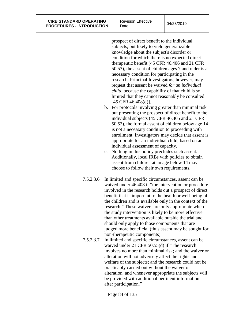prospect of direct benefit to the individual subjects, but likely to yield generalizable knowledge about the subject's disorder or condition for which there is no expected direct therapeutic benefit (45 CFR 46.406 and 21 CFR 50.53), the assent of children ages 7 and older is a necessary condition for participating in the research. Principal Investigators, however, may request that assent be waived *for an individual child*, because the capability of that child is so limited that they cannot reasonably be consulted [45 CFR 46.408(d)].

- b. For protocols involving greater than minimal risk but presenting the prospect of direct benefit to the individual subjects (45 CFR 46.405 and 21 CFR 50.52), the formal assent of children below age 14 is not a necessary condition to proceeding with enrollment. Investigators may decide that assent is appropriate for an individual child, based on an individual assessment of capacity.
- c. Nothing in this policy precludes such assent. Additionally, local IRBs with policies to obtain assent from children at an age below 14 may choose to follow their own requirements.
- 7.5.2.3.6 In limited and specific circumstances, assent can be waived under 46.408 if "the intervention or procedure involved in the research holds out a prospect of direct benefit that is important to the health or well-being of the children and is available only in the context of the research." These waivers are only appropriate when the study intervention is likely to be more effective than other treatments available outside the trial and should only apply to those components that are judged more beneficial (thus assent may be sought for non-therapeutic components).
- 7.5.2.3.7 In limited and specific circumstances, assent can be waived under 21 CFR 50.55(d) if "The research" involves no more than minimal risk; and the waiver or alteration will not adversely affect the rights and welfare of the subjects; and the research could not be practicably carried out without the waiver or alteration, and whenever appropriate the subjects will be provided with additional pertinent information after participation."

Page 84 of 135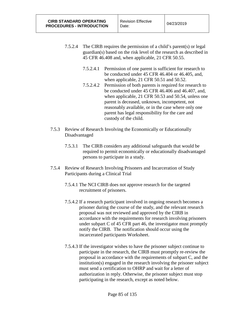- 7.5.2.4 The CIRB requires the permission of a child's parent(s) or legal guardian(s) based on the risk level of the research as described in 45 CFR 46.408 and, when applicable, 21 CFR 50.55.
	- 7.5.2.4.1 Permission of one parent is sufficient for research to be conducted under 45 CFR 46.404 or 46.405, and, when applicable, 21 CFR 50.51 and 50.52.
	- 7.5.2.4.2 Permission of both parents is required for research to be conducted under 45 CFR 46.406 and 46.407, and, when applicable, 21 CFR 50.53 and 50.54, unless one parent is deceased, unknown, incompetent, not reasonably available, or in the case where only one parent has legal responsibility for the care and custody of the child.
- 7.5.3 Review of Research Involving the Economically or Educationally Disadvantaged
	- 7.5.3.1 The CIRB considers any additional safeguards that would be required to permit economically or educationally disadvantaged persons to participate in a study.
- 7.5.4 Review of Research Involving Prisoners and Incarceration of Study Participants during a Clinical Trial
	- 7.5.4.1 The NCI CIRB does not approve research for the targeted recruitment of prisoners.
	- 7.5.4.2 If a research participant involved in ongoing research becomes a prisoner during the course of the study, and the relevant research proposal was not reviewed and approved by the CIRB in accordance with the requirements for research involving prisoners under subpart C of 45 CFR part 46, the investigator must promptly notify the CIRB. The notification should occur using the incarcerated participants Worksheet.
	- 7.5.4.3 If the investigator wishes to have the prisoner subject continue to participate in the research, the CIRB must promptly re-review the proposal in accordance with the requirements of subpart C, and the institution(s) engaged in the research involving the prisoner subject must send a certification to OHRP and wait for a letter of authorization in reply. Otherwise, the prisoner subject must stop participating in the research, except as noted below.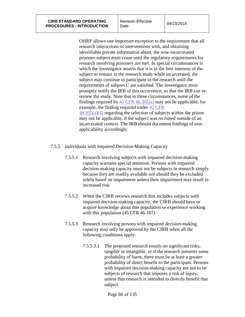OHRP allows one important exception to the requirement that all research interactions or interventions with, and obtaining identifiable private information about, the now-incarcerated prisoner-subject must cease until the regulatory requirements for research involving prisoners are met. In special circumstances in which the investigator asserts that it is in the best interests of the subject to remain in the research study while incarcerated, the subject may continue to participate in the research until the requirements of subpart C are satisfied. The investigator must promptly notify the IRB of this occurrence, so that the IRB can rereview the study. Note that in these circumstances, some of the findings required by [45 CFR 46.305\(a\)](https://www.hhs.gov/ohrp/regulations-and-policy/regulations/45-cfr-46/index.html#46.305) may not be applicable; for example, the finding required under [45 CFR](https://www.hhs.gov/ohrp/regulations-and-policy/regulations/45-cfr-46/index.html#46.305)  [46.305\(a\)\(4\)](https://www.hhs.gov/ohrp/regulations-and-policy/regulations/45-cfr-46/index.html#46.305) regarding the selection of subjects within the prison may not be applicable, if the subject was recruited outside of an incarcerated context. The IRB should document findings of nonapplicability accordingly.

- 7.5.5 Individuals with Impaired Decision-Making Capacity
	- 7.5.5.1 Research involving subjects with impaired decision-making capacity warrants special attention. Persons with impaired decision-making capacity must not be subjects in research simply because they are readily available nor should they be excluded solely based on impairment unless their impairment may result in increased risk.
	- 7.5.5.2 When the CIRB reviews research that includes subjects with impaired decision-making capacity, the CIRB should have or acquire knowledge about this population or experience working with this population (45 CFR 46.107).
	- 7.5.5.3 Research involving persons with impaired decision-making capacity may only be approved by the CIRB when all the following conditions apply:
		- 7.5.5.3.1 The proposed research entails no significant risks, tangible or intangible, or if the research presents some probability of harm, there must be at least a greater probability of direct benefit to the participant. Persons with impaired decision-making capacity are not to be subjects of research that imposes a risk of injury, unless that research is intended to directly benefit that subject.

Page 86 of 135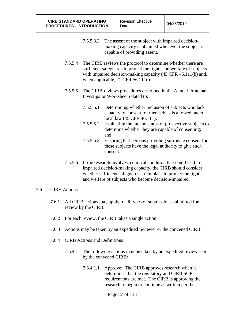- 7.5.5.3.2 The assent of the subject with impaired decisionmaking capacity is obtained whenever the subject is capable of providing assent.
- 7.5.5.4 The CIRB reviews the protocol to determine whether there are sufficient safeguards to protect the rights and welfare of subjects with impaired decision-making capacity (45 CFR 46.111(b) and, when applicable, 21 CFR 56.111(b).
- 7.5.5.5 The CIRB reviews procedures described in the Annual Principal Investigator Worksheet related to:
	- 7.5.5.5.1 Determining whether inclusion of subjects who lack capacity to consent for themselves is allowed under local law (45 CFR 46.111);
	- 7.5.5.5.2 Evaluating the mental status of prospective subjects to determine whether they are capable of consenting; and
	- 7.5.5.5.3 Ensuring that persons providing surrogate consent for these subjects have the legal authority to give such consent.
- 7.5.5.6 If the research involves a clinical condition that could lead to impaired decision-making capacity, the CIRB should consider whether sufficient safeguards are in place to protect the rights and welfare of subjects who become decision-impaired.

# 7.6 CIRB Actions

- 7.6.1 All CIRB actions may apply to all types of submissions submitted for review by the CIRB.
- 7.6.2 For each review, the CIRB takes a single action.
- 7.6.3 Actions may be taken by an expedited reviewer or the convened CIRB.
- 7.6.4 CIRB Actions and Definitions
	- 7.6.4.1 The following actions may be taken by an expedited reviewer or by the convened CIRB:
		- 7.6.4.1.1 Approve: The CIRB approves research when it determines that the regulatory and CIRB SOP requirements are met. The CIRB is approving the research to begin or continue as written per the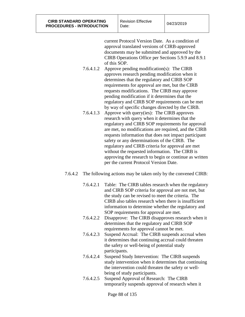current Protocol Version Date. As a condition of approval translated versions of CIRB-approved documents may be submitted and approved by the CIRB Operations Office per Sections 5.9.9 and 8.9.1 of this SOP.

- 7.6.4.1.2 Approve pending modification(s): The CIRB approves research pending modification when it determines that the regulatory and CIRB SOP requirements for approval are met, but the CIRB requests modifications. The CIRB may approve pending modification if it determines that the regulatory and CIRB SOP requirements can be met by way of specific changes directed by the CIRB.
- 7.6.4.1.3 Approve with query(ies): The CIRB approves research with query when it determines that the regulatory and CIRB SOP requirements for approval are met, no modifications are required, and the CIRB requests information that does not impact participant safety or any determinations of the CIRB. The regulatory and CIRB criteria for approval are met without the requested information. The CIRB is approving the research to begin or continue as written per the current Protocol Version Date.
- 7.6.4.2 The following actions may be taken only by the convened CIRB:
	- 7.6.4.2.1 Table: The CIRB tables research when the regulatory and CIRB SOP criteria for approval are not met, but the study can be revised to meet the criteria. The CIRB also tables research when there is insufficient information to determine whether the regulatory and SOP requirements for approval are met.
	- 7.6.4.2.2 Disapprove: The CIRB disapproves research when it determines that the regulatory and CIRB SOP requirements for approval cannot be met.
	- 7.6.4.2.3 Suspend Accrual: The CIRB suspends accrual when it determines that continuing accrual could threaten the safety or well-being of potential study participants.
	- 7.6.4.2.4 Suspend Study Intervention: The CIRB suspends study intervention when it determines that continuing the intervention could threaten the safety or wellbeing of study participants.
	- 7.6.4.2.5 Suspend Approval of Research: The CIRB temporarily suspends approval of research when it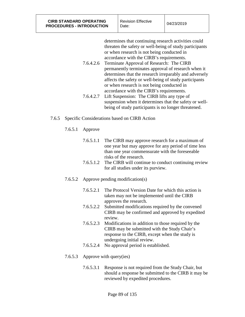determines that continuing research activities could threaten the safety or well-being of study participants or when research is not being conducted in accordance with the CIRB's requirements.

- 7.6.4.2.6 Terminate Approval of Research: The CIRB permanently terminates approval of research when it determines that the research irreparably and adversely affects the safety or well-being of study participants or when research is not being conducted in accordance with the CIRB's requirements.
- 7.6.4.2.7 Lift Suspension: The CIRB lifts any type of suspension when it determines that the safety or wellbeing of study participants is no longer threatened.

### 7.6.5 Specific Considerations based on CIRB Action

- 7.6.5.1 Approve
	- 7.6.5.1.1 The CIRB may approve research for a maximum of one year but may approve for any period of time less than one year commensurate with the foreseeable risks of the research.
	- 7.6.5.1.2 The CIRB will continue to conduct continuing review for all studies under its purview.
- 7.6.5.2 Approve pending modification(s)
	- 7.6.5.2.1 The Protocol Version Date for which this action is taken may not be implemented until the CIRB approves the research.
	- 7.6.5.2.2 Submitted modifications required by the convened CIRB may be confirmed and approved by expedited review.
	- 7.6.5.2.3 Modifications in addition to those required by the CIRB may be submitted with the Study Chair's response to the CIRB, except when the study is undergoing initial review.
	- 7.6.5.2.4 No approval period is established.
- 7.6.5.3 Approve with query(ies)
	- 7.6.5.3.1 Response is not required from the Study Chair, but should a response be submitted to the CIRB it may be reviewed by expedited procedures.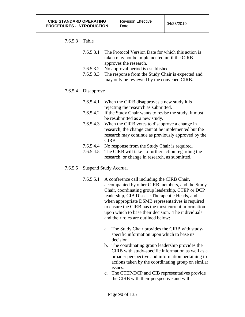### 7.6.5.3 Table

| 7.6.5.3.1 The Protocol Version Date for which this action is |
|--------------------------------------------------------------|
| taken may not be implemented until the CIRB                  |
| approves the research.                                       |

- 7.6.5.3.2 No approval period is established.
- 7.6.5.3.3 The response from the Study Chair is expected and may only be reviewed by the convened CIRB.

#### 7.6.5.4 Disapprove

- 7.6.5.4.1 When the CIRB disapproves a new study it is rejecting the research as submitted.
- 7.6.5.4.2 If the Study Chair wants to revise the study, it must be resubmitted as a new study.
- 7.6.5.4.3 When the CIRB votes to disapprove a change in research, the change cannot be implemented but the research may continue as previously approved by the CIRB.
- 7.6.5.4.4 No response from the Study Chair is required.
- 7.6.5.4.5 The CIRB will take no further action regarding the research, or change in research, as submitted.

#### 7.6.5.5 Suspend Study Accrual

- 7.6.5.5.1 A conference call including the CIRB Chair, accompanied by other CIRB members, and the Study Chair, coordinating group leadership, CTEP or DCP leadership, CIB Disease Therapeutic Heads, and when appropriate DSMB representatives is required to ensure the CIRB has the most current information upon which to base their decision. The individuals and their roles are outlined below:
	- a. The Study Chair provides the CIRB with studyspecific information upon which to base its decision.
	- b. The coordinating group leadership provides the CIRB with study-specific information as well as a broader perspective and information pertaining to actions taken by the coordinating group on similar issues.
	- c. The CTEP/DCP and CIB representatives provide the CIRB with their perspective and with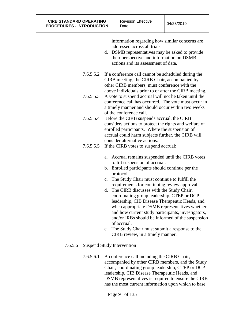information regarding how similar concerns are addressed across all trials.

- d. DSMB representatives may be asked to provide their perspective and information on DSMB actions and its assessment of data.
- 7.6.5.5.2 If a conference call cannot be scheduled during the CIRB meeting, the CIRB Chair, accompanied by other CIRB members, must conference with the above individuals prior to or after the CIRB meeting.
- 7.6.5.5.3 A vote to suspend accrual will not be taken until the conference call has occurred. The vote must occur in a timely manner and should occur within two weeks of the conference call.
- 7.6.5.5.4 Before the CIRB suspends accrual, the CIRB considers actions to protect the rights and welfare of enrolled participants. Where the suspension of accrual could harm subjects further, the CIRB will consider alternative actions.
- 7.6.5.5.5 If the CIRB votes to suspend accrual:
	- a. Accrual remains suspended until the CIRB votes to lift suspension of accrual.
	- b. Enrolled participants should continue per the protocol.
	- c. The Study Chair must continue to fulfill the requirements for continuing review approval.
	- d. The CIRB discusses with the Study Chair, coordinating group leadership, CTEP or DCP leadership, CIB Disease Therapeutic Heads, and when appropriate DSMB representatives whether and how current study participants, investigators, and/or IRBs should be informed of the suspension of accrual.
	- e. The Study Chair must submit a response to the CIRB review, in a timely manner.

# 7.6.5.6 Suspend Study Intervention

7.6.5.6.1 A conference call including the CIRB Chair, accompanied by other CIRB members, and the Study Chair, coordinating group leadership, CTEP or DCP leadership, CIB Disease Therapeutic Heads, and DSMB representatives is required to ensure the CIRB has the most current information upon which to base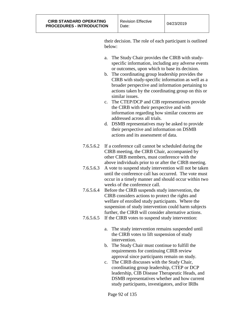their decision. The role of each participant is outlined below:

- a. The Study Chair provides the CIRB with studyspecific information, including any adverse events or outcomes, upon which to base its decision.
- b. The coordinating group leadership provides the CIRB with study-specific information as well as a broader perspective and information pertaining to actions taken by the coordinating group on this or similar issues.
- c. The CTEP/DCP and CIB representatives provide the CIRB with their perspective and with information regarding how similar concerns are addressed across all trials.
- d. DSMB representatives may be asked to provide their perspective and information on DSMB actions and its assessment of data.
- 7.6.5.6.2 If a conference call cannot be scheduled during the CIRB meeting, the CIRB Chair, accompanied by other CIRB members, must conference with the above individuals prior to or after the CIRB meeting.
- 7.6.5.6.3 A vote to suspend study intervention will not be taken until the conference call has occurred. The vote must occur in a timely manner and should occur within two weeks of the conference call.
- 7.6.5.6.4 Before the CIRB suspends study intervention, the CIRB considers actions to protect the rights and welfare of enrolled study participants. Where the suspension of study intervention could harm subjects further, the CIRB will consider alternative actions.
- 7.6.5.6.5 If the CIRB votes to suspend study intervention:
	- a. The study intervention remains suspended until the CIRB votes to lift suspension of study intervention.
	- b. The Study Chair must continue to fulfill the requirements for continuing CIRB review approval since participants remain on study.
	- c. The CIRB discusses with the Study Chair, coordinating group leadership, CTEP or DCP leadership, CIB Disease Therapeutic Heads, and DSMB representatives whether and how current study participants, investigators, and/or IRBs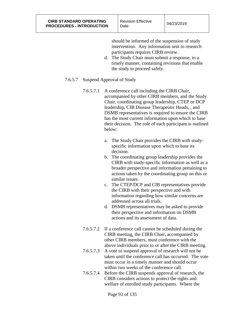should be informed of the suspension of study intervention. Any information sent to research participants requires CIRB review.

d. The Study Chair must submit a response, in a timely manner, containing revisions that enable the study to proceed safely.

### 7.6.5.7 Suspend Approval of Study

- 7.6.5.7.1 A conference call including the CIRB Chair, accompanied by other CIRB members, and the Study Chair, coordinating group leadership, CTEP or DCP leadership, CIB Disease Therapeutic Heads, , and DSMB representatives is required to ensure the CIRB has the most current information upon which to base their decision. The role of each participant is outlined below:
	- a. The Study Chair provides the CIRB with studyspecific information upon which to base its decision.
	- b. The coordinating group leadership provides the CIRB with study-specific information as well as a broader perspective and information pertaining to actions taken by the coordinating group on this or similar issues.
	- c. The CTEP/DCP and CIB representatives provide the CIRB with their perspective and with information regarding how similar concerns are addressed across all trials.
	- d. DSMB representatives may be asked to provide their perspective and information on DSMB actions and its assessment of data.
- 7.6.5.7.2 If a conference call cannot be scheduled during the CIRB meeting, the CIRB Chair, accompanied by other CIRB members, must conference with the above individuals prior to or after the CIRB meeting.
- 7.6.5.7.3 A vote to suspend approval of research will not be taken until the conference call has occurred. The vote must occur in a timely manner and should occur within two weeks of the conference call.
- 7.6.5.7.4 Before the CIRB suspends approval of research, the CIRB considers actions to protect the rights and welfare of enrolled study participants. Where the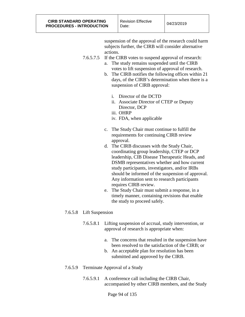suspension of the approval of the research could harm subjects further, the CIRB will consider alternative actions.

- 7.6.5.7.5 If the CIRB votes to suspend approval of research:
	- a. The study remains suspended until the CIRB votes to lift suspension of approval of research.
		- b. The CIRB notifies the following offices within 21 days, of the CIRB's determination when there is a suspension of CIRB approval:
			- i. Director of the DCTD
			- ii. Associate Director of CTEP or Deputy Director, DCP
			- iii. OHRP
			- iv. FDA, when applicable
	- c. The Study Chair must continue to fulfill the requirements for continuing CIRB review approval.
	- d. The CIRB discusses with the Study Chair, coordinating group leadership, CTEP or DCP leadership, CIB Disease Therapeutic Heads, and DSMB representatives whether and how current study participants, investigators, and/or IRBs should be informed of the suspension of approval. Any information sent to research participants requires CIRB review.
	- e. The Study Chair must submit a response, in a timely manner, containing revisions that enable the study to proceed safely.

## 7.6.5.8 Lift Suspension

- 7.6.5.8.1 Lifting suspension of accrual, study intervention, or approval of research is appropriate when:
	- a. The concerns that resulted in the suspension have been resolved to the satisfaction of the CIRB; or
	- b. An acceptable plan for resolution has been submitted and approved by the CIRB.
- 7.6.5.9 Terminate Approval of a Study
	- 7.6.5.9.1 A conference call including the CIRB Chair, accompanied by other CIRB members, and the Study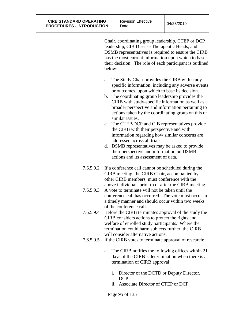Chair, coordinating group leadership, CTEP or DCP leadership, CIB Disease Therapeutic Heads, and DSMB representatives is required to ensure the CIRB has the most current information upon which to base their decision. The role of each participant is outlined below:

- a. The Study Chair provides the CIRB with studyspecific information, including any adverse events or outcomes, upon which to base its decision.
- b. The coordinating group leadership provides the CIRB with study-specific information as well as a broader perspective and information pertaining to actions taken by the coordinating group on this or similar issues.
- c. The CTEP/DCP and CIB representatives provide the CIRB with their perspective and with information regarding how similar concerns are addressed across all trials.
- d. DSMB representatives may be asked to provide their perspective and information on DSMB actions and its assessment of data.
- 7.6.5.9.2 If a conference call cannot be scheduled during the CIRB meeting, the CIRB Chair, accompanied by other CIRB members, must conference with the above individuals prior to or after the CIRB meeting.
- 7.6.5.9.3 A vote to terminate will not be taken until the conference call has occurred. The vote must occur in a timely manner and should occur within two weeks of the conference call.
- 7.6.5.9.4 Before the CIRB terminates approval of the study the CIRB considers actions to protect the rights and welfare of enrolled study participants. Where the termination could harm subjects further, the CIRB will consider alternative actions.
- 7.6.5.9.5 If the CIRB votes to terminate approval of research:
	- a. The CIRB notifies the following offices within 21 days of the CIRB's determination when there is a termination of CIRB approval:
		- i. Director of the DCTD or Deputy Director, D<sub>C</sub>P
		- ii. Associate Director of CTEP or DCP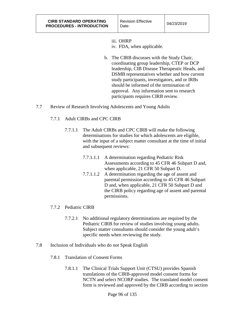- iii. OHRP
- iv. FDA, when applicable.
- b. The CIRB discusses with the Study Chair, coordinating group leadership, CTEP or DCP leadership, CIB Disease Therapeutic Heads, and DSMB representatives whether and how current study participants, investigators, and or IRBs should be informed of the termination of approval. Any information sent to research participants requires CIRB review.
- 7.7 Review of Research Involving Adolescents and Young Adults
	- 7.7.1 Adult CIRBs and CPC CIRB
		- 7.7.1.1 The Adult CIRBs and CPC CIRB will make the following determinations for studies for which adolescents are eligible, with the input of a subject matter consultant at the time of initial and subsequent reviews:
			- 7.7.1.1.1 A determination regarding Pediatric Risk Assessments according to 45 CFR 46 Subpart D and, when applicable, 21 CFR 50 Subpart D.
			- 7.7.1.1.2 A determination regarding the age of assent and parental permission according to 45 CFR 46 Subpart D and, when applicable, 21 CFR 50 Subpart D and the CIRB policy regarding age of assent and parental permissions.
	- 7.7.2 Pediatric CIRB
		- 7.7.2.1 No additional regulatory determinations are required by the Pediatric CIRB for review of studies involving young adults. Subject matter consultants should consider the young adult's specific needs when reviewing the study.
- 7.8 Inclusion of Individuals who do not Speak English
	- 7.8.1 Translation of Consent Forms
		- 7.8.1.1 The Clinical Trials Support Unit (CTSU) provides Spanish translations of the CIRB-approved model consent forms for NCTN and select NCORP studies. The translated model consent form is reviewed and approved by the CIRB according to section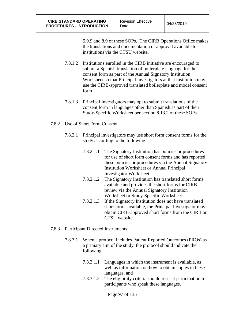5.9.9 and 8.9 of these SOPs. The CIRB Operations Office makes the translations and documentation of approval available to institutions via the CTSU website.

- 7.8.1.2 Institutions enrolled in the CIRB initiative are encouraged to submit a Spanish translation of boilerplate language for the consent form as part of the Annual Signatory Institution Worksheet so that Principal Investigators at that institution may use the CIRB-approved translated boilerplate and model consent form.
- 7.8.1.3 Principal Investigators may opt to submit translations of the consent form in languages other than Spanish as part of their Study-Specific Worksheet per section 8.13.2 of these SOPs.
- 7.8.2 Use of Short Form Consent
	- 7.8.2.1 Principal investigators may use short form consent forms for the study according to the following:
		- 7.8.2.1.1 The Signatory Institution has policies or procedures for use of short form consent forms and has reported these policies or procedures via the Annual Signatory Institution Worksheet or Annual Principal Investigator Worksheet.
		- 7.8.2.1.2 The Signatory Institution has translated short forms available and provides the short forms for CIRB review via the Annual Signatory Institution Worksheet or Study-Specific Worksheet.
		- 7.8.2.1.3 If the Signatory Institution does not have translated short forms available, the Principal Investigator may obtain CIRB-approved short forms from the CIRB or CTSU website.
- 7.8.3 Participant Directed Instruments
	- 7.8.3.1 When a protocol includes Patient Reported Outcomes (PROs) as a primary aim of the study, the protocol should indicate the following:
		- 7.8.3.1.1 Languages in which the instrument is available, as well as information on how to obtain copies in these languages, and
		- 7.8.3.1.2 The eligibility criteria should restrict participation to participants who speak these languages.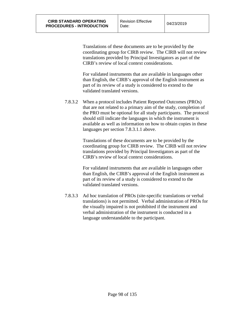Translations of these documents are to be provided by the coordinating group for CIRB review. The CIRB will not review translations provided by Principal Investigators as part of the CIRB's review of local context considerations.

For validated instruments that are available in languages other than English, the CIRB's approval of the English instrument as part of its review of a study is considered to extend to the validated translated versions.

7.8.3.2 When a protocol includes Patient Reported Outcomes (PROs) that are not related to a primary aim of the study, completion of the PRO must be optional for all study participants. The protocol should still indicate the languages in which the instrument is available as well as information on how to obtain copies in these languages per section 7.8.3.1.1 above.

> Translations of these documents are to be provided by the coordinating group for CIRB review. The CIRB will not review translations provided by Principal Investigators as part of the CIRB's review of local context considerations.

For validated instruments that are available in languages other than English, the CIRB's approval of the English instrument as part of its review of a study is considered to extend to the validated translated versions.

7.8.3.3 Ad hoc translation of PROs (site-specific translations or verbal translations) is not permitted. Verbal administration of PROs for the visually impaired is not prohibited if the instrument and verbal administration of the instrument is conducted in a language understandable to the participant.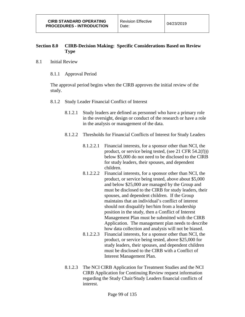# **Section 8.0 CIRB-Decision Making: Specific Considerations Based on Review Type**

8.1 Initial Review

## 8.1.1 Approval Period

The approval period begins when the CIRB approves the initial review of the study.

- 8.1.2 Study Leader Financial Conflict of Interest
	- 8.1.2.1 Study leaders are defined as personnel who have a primary role in the oversight, design or conduct of the research or have a role in the analysis or management of the data.
	- 8.1.2.2 Thresholds for Financial Conflicts of Interest for Study Leaders
		- 8.1.2.2.1 Financial interests, for a sponsor other than NCI, the product, or service being tested, (see 21 CFR 54.2(f))) below \$5,000 do not need to be disclosed to the CIRB for study leaders, their spouses, and dependent children.
		- 8.1.2.2.2 Financial interests, for a sponsor other than NCI, the product, or service being tested, above about \$5,000 and below \$25,000 are managed by the Group and must be disclosed to the CIRB for study leaders, their spouses, and dependent children. If the Group maintains that an individual's conflict of interest should not disqualify her/him from a leadership position in the study, then a Conflict of Interest Management Plan must be submitted with the CIRB Application. The management plan needs to describe how data collection and analysis will not be biased.
		- 8.1.2.2.3 Financial interests, for a sponsor other than NCI, the product, or service being tested, above \$25,000 for study leaders, their spouses, and dependent children must be disclosed to the CIRB with a Conflict of Interest Management Plan.
	- 8.1.2.3 The NCI CIRB Application for Treatment Studies and the NCI CIRB Application for Continuing Review request information regarding the Study Chair/Study Leaders financial conflicts of interest.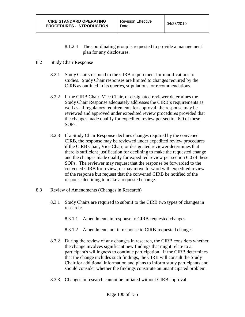8.1.2.4 The coordinating group is requested to provide a management plan for any disclosures.

### 8.2 Study Chair Response

- 8.2.1 Study Chairs respond to the CIRB requirement for modifications to studies. Study Chair responses are limited to changes required by the CIRB as outlined in its queries, stipulations, or recommendations.
- 8.2.2 If the CIRB Chair, Vice Chair, or designated reviewer determines the Study Chair Response adequately addresses the CIRB's requirements as well as all regulatory requirements for approval, the response may be reviewed and approved under expedited review procedures provided that the changes made qualify for expedited review per section 6.0 of these SOPs.
- 8.2.3 If a Study Chair Response declines changes required by the convened CIRB, the response may be reviewed under expedited review procedures if the CIRB Chair, Vice Chair, or designated reviewer determines that there is sufficient justification for declining to make the requested change and the changes made qualify for expedited review per section 6.0 of these SOPs. The reviewer may request that the response be forwarded to the convened CIRB for review, or may move forward with expedited review of the response but request that the convened CIRB be notified of the response declining to make a requested change.
- 8.3 Review of Amendments (Changes in Research)
	- 8.3.1 Study Chairs are required to submit to the CIRB two types of changes in research:
		- 8.3.1.1 Amendments in response to CIRB-requested changes
		- 8.3.1.2 Amendments not in response to CIRB-requested changes
	- 8.3.2 During the review of any changes in research, the CIRB considers whether the change involves significant new findings that might relate to a participant's willingness to continue participation. If the CIRB determines that the change includes such findings, the CIRB will consult the Study Chair for additional information and plans to inform study participants and should consider whether the findings constitute an unanticipated problem.
	- 8.3.3 Changes in research cannot be initiated without CIRB approval.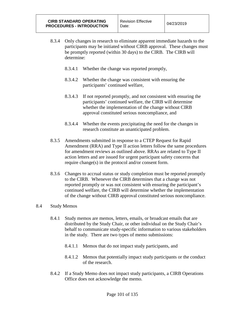- 8.3.4 Only changes in research to eliminate apparent immediate hazards to the participants may be initiated without CIRB approval. These changes must be promptly reported (within 30 days) to the CIRB. The CIRB will determine:
	- 8.3.4.1 Whether the change was reported promptly,
	- 8.3.4.2 Whether the change was consistent with ensuring the participants' continued welfare,
	- 8.3.4.3 If not reported promptly, and not consistent with ensuring the participants' continued welfare, the CIRB will determine whether the implementation of the change without CIRB approval constituted serious noncompliance, and
	- 8.3.4.4 Whether the events precipitating the need for the changes in research constitute an unanticipated problem.
- 8.3.5 Amendments submitted in response to a CTEP Request for Rapid Amendment (RRA) and Type II action letters follow the same procedures for amendment reviews as outlined above. RRAs are related to Type II action letters and are issued for urgent participant safety concerns that require change(s) in the protocol and/or consent form.
- 8.3.6 Changes to accrual status or study completion must be reported promptly to the CIRB. Whenever the CIRB determines that a change was not reported promptly or was not consistent with ensuring the participant's continued welfare, the CIRB will determine whether the implementation of the change without CIRB approval constituted serious noncompliance.

## 8.4 Study Memos

- 8.4.1 Study memos are memos, letters, emails, or broadcast emails that are distributed by the Study Chair, or other individual on the Study Chair's behalf to communicate study-specific information to various stakeholders in the study. There are two types of memo submissions:
	- 8.4.1.1 Memos that do not impact study participants, and
	- 8.4.1.2 Memos that potentially impact study participants or the conduct of the research.
- 8.4.2 If a Study Memo does not impact study participants, a CIRB Operations Office does not acknowledge the memo.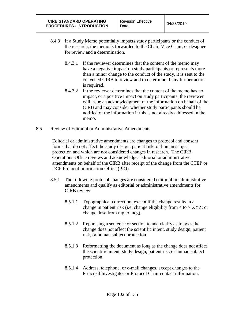- 8.4.3 If a Study Memo potentially impacts study participants or the conduct of the research, the memo is forwarded to the Chair, Vice Chair, or designee for review and a determination.
	- 8.4.3.1 If the reviewer determines that the content of the memo may have a negative impact on study participants or represents more than a minor change to the conduct of the study, it is sent to the convened CIRB to review and to determine if any further action is required.
	- 8.4.3.2 If the reviewer determines that the content of the memo has no impact, or a positive impact on study participants, the reviewer will issue an acknowledgment of the information on behalf of the CIRB and may consider whether study participants should be notified of the information if this is not already addressed in the memo.
- 8.5 Review of Editorial or Administrative Amendments

Editorial or administrative amendments are changes to protocol and consent forms that do not affect the study design, patient risk, or human subject protection and which are not considered changes in research. The CIRB Operations Office reviews and acknowledges editorial or administrative amendments on behalf of the CIRB after receipt of the change from the CTEP or DCP Protocol Information Office (PIO).

- 8.5.1 The following protocol changes are considered editorial or administrative amendments and qualify as editorial or administrative amendments for CIRB review:
	- 8.5.1.1 Typographical correction, except if the change results in a change in patient risk (i.e. change eligibility from  $<$  to  $>$  XYZ; or change dose from mg to mcg).
	- 8.5.1.2 Rephrasing a sentence or section to add clarity as long as the change does not affect the scientific intent, study design, patient risk, or human subject protection.
	- 8.5.1.3 Reformatting the document as long as the change does not affect the scientific intent, study design, patient risk or human subject protection.
	- 8.5.1.4 Address, telephone, or e-mail changes, except changes to the Principal Investigator or Protocol Chair contact information.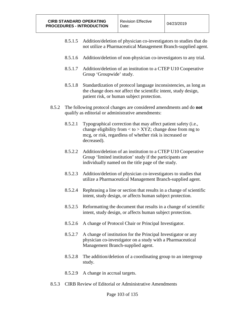- 8.5.1.5 Addition/deletion of physician co-investigators to studies that do not utilize a Pharmaceutical Management Branch-supplied agent.
- 8.5.1.6 Addition/deletion of non-physician co-investigators to any trial.
- 8.5.1.7 Addition/deletion of an institution to a CTEP U10 Cooperative Group 'Groupwide' study.
- 8.5.1.8 Standardization of protocol language inconsistencies, as long as the change does *not* affect the scientific intent, study design, patient risk, or human subject protection.
- 8.5.2 The following protocol changes are considered amendments and do **not** qualify as editorial or administrative amendments:
	- 8.5.2.1 Typographical correction that may affect patient safety (i.e., change eligibility from  $<$  to  $>$  XYZ; change dose from mg to mcg, or risk, regardless of whether risk is increased or decreased).
	- 8.5.2.2 Addition/deletion of an institution to a CTEP U10 Cooperative Group 'limited institution' study if the participants are individually named on the title page of the study.
	- 8.5.2.3 Addition/deletion of physician co-investigators to studies that utilize a Pharmaceutical Management Branch-supplied agent.
	- 8.5.2.4 Rephrasing a line or section that results in a change of scientific intent, study design, or affects human subject protection.
	- 8.5.2.5 Reformatting the document that results in a change of scientific intent, study design, or affects human subject protection.
	- 8.5.2.6 A change of Protocol Chair or Principal Investigator.
	- 8.5.2.7 A change of institution for the Principal Investigator or any physician co-investigator on a study with a Pharmaceutical Management Branch-supplied agent.
	- 8.5.2.8 The addition/deletion of a coordinating group to an intergroup study.
	- 8.5.2.9 A change in accrual targets.
- 8.5.3 CIRB Review of Editorial or Administrative Amendments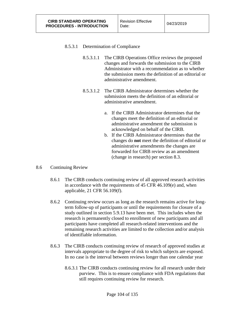- 8.5.3.1 Determination of Compliance
	- 8.5.3.1.1 The CIRB Operations Office reviews the proposed changes and forwards the submission to the CIRB Administrator with a recommendation as to whether the submission meets the definition of an editorial or administrative amendment.
	- 8.5.3.1.2 The CIRB Administrator determines whether the submission meets the definition of an editorial or administrative amendment.
		- a. If the CIRB Administrator determines that the changes meet the definition of an editorial or administrative amendment the submission is acknowledged on behalf of the CIRB.
		- b. If the CIRB Administrator determines that the changes do **not** meet the definition of editorial or administrative amendments the changes are forwarded for CIRB review as an amendment (change in research) per section 8.3.

### 8.6 Continuing Review

- 8.6.1 The CIRB conducts continuing review of all approved research activities in accordance with the requirements of 45 CFR 46.109(e) and, when applicable, 21 CFR 56.109(f).
- 8.6.2 Continuing review occurs as long as the research remains active for longterm follow-up of participants or until the requirements for closure of a study outlined in section 5.9.13 have been met. This includes when the research is permanently closed to enrollment of new participants and all participants have completed all research-related interventions and the remaining research activities are limited to the collection and/or analysis of identifiable information.
- 8.6.3 The CIRB conducts continuing review of research of approved studies at intervals appropriate to the degree of risk to which subjects are exposed. In no case is the interval between reviews longer than one calendar year
	- 8.6.3.1 The CIRB conducts continuing review for all research under their purview. This is to ensure compliance with FDA regulations that still requires continuing review for research.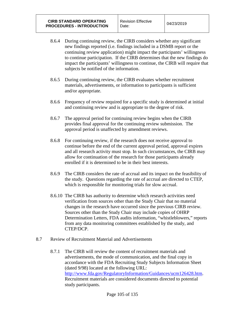- 8.6.4 During continuing review, the CIRB considers whether any significant new findings reported (i.e. findings included in a DSMB report or the continuing review application) might impact the participants' willingness to continue participation. If the CIRB determines that the new findings do impact the participants' willingness to continue, the CIRB will require that subjects be notified of the information.
- 8.6.5 During continuing review, the CIRB evaluates whether recruitment materials, advertisements, or information to participants is sufficient and/or appropriate.
- 8.6.6 Frequency of review required for a specific study is determined at initial and continuing review and is appropriate to the degree of risk.
- 8.6.7 The approval period for continuing review begins when the CIRB provides final approval for the continuing review submission. The approval period is unaffected by amendment reviews.
- 8.6.8 For continuing review, if the research does not receive approval to continue before the end of the current approval period, approval expires and all research activity must stop. In such circumstances, the CIRB may allow for continuation of the research for those participants already enrolled if it is determined to be in their best interests.
- 8.6.9 The CIRB considers the rate of accrual and its impact on the feasibility of the study. Questions regarding the rate of accrual are directed to CTEP, which is responsible for monitoring trials for slow accrual.
- 8.6.10 The CIRB has authority to determine which research activities need verification from sources other than the Study Chair that no material changes in the research have occurred since the previous CIRB review. Sources other than the Study Chair may include copies of OHRP Determination Letters, FDA audits information, "whistleblowers," reports from any data monitoring committees established by the study, and CTEP/DCP.
- 8.7 Review of Recruitment Material and Advertisements
	- 8.7.1 The CIRB will review the content of recruitment materials and advertisements, the mode of communication, and the final copy in accordance with the FDA Recruiting Study Subjects Information Sheet (dated 9/98) located at the following URL: [http://www.fda.gov/RegulatoryInformation/Guidances/ucm126428.htm.](http://www.fda.gov/RegulatoryInformation/Guidances/ucm126428.htm) Recruitment materials are considered documents directed to potential study participants.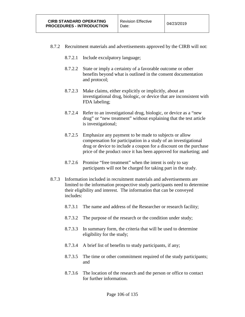- 8.7.2 Recruitment materials and advertisements approved by the CIRB will not:
	- 8.7.2.1 Include exculpatory language;
	- 8.7.2.2 State or imply a certainty of a favorable outcome or other benefits beyond what is outlined in the consent documentation and protocol;
	- 8.7.2.3 Make claims, either explicitly or implicitly, about an investigational drug, biologic, or device that are inconsistent with FDA labeling;
	- 8.7.2.4 Refer to an investigational drug, biologic, or device as a "new drug" or "new treatment" without explaining that the test article is investigational;
	- 8.7.2.5 Emphasize any payment to be made to subjects or allow compensation for participation in a study of an investigational drug or device to include a coupon for a discount on the purchase price of the product once it has been approved for marketing; and
	- 8.7.2.6 Promise "free treatment" when the intent is only to say participants will not be charged for taking part in the study.
- 8.7.3 Information included in recruitment materials and advertisements are limited to the information prospective study participants need to determine their eligibility and interest. The information that can be conveyed includes:
	- 8.7.3.1 The name and address of the Researcher or research facility;
	- 8.7.3.2 The purpose of the research or the condition under study;
	- 8.7.3.3 In summary form, the criteria that will be used to determine eligibility for the study;
	- 8.7.3.4 A brief list of benefits to study participants, if any;
	- 8.7.3.5 The time or other commitment required of the study participants; and
	- 8.7.3.6 The location of the research and the person or office to contact for further information.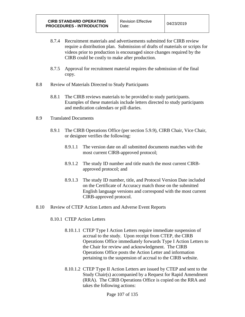- 8.7.4 Recruitment materials and advertisements submitted for CIRB review require a distribution plan. Submission of drafts of materials or scripts for videos prior to production is encouraged since changes required by the CIRB could be costly to make after production.
- 8.7.5 Approval for recruitment material requires the submission of the final copy.
- 8.8 Review of Materials Directed to Study Participants
	- 8.8.1 The CIRB reviews materials to be provided to study participants. Examples of these materials include letters directed to study participants and medication calendars or pill diaries.
- 8.9 Translated Documents
	- 8.9.1 The CIRB Operations Office (per section 5.9.9), CIRB Chair, Vice Chair, or designee verifies the following:
		- 8.9.1.1 The version date on all submitted documents matches with the most current CIRB-approved protocol;
		- 8.9.1.2 The study ID number and title match the most current CIRBapproved protocol; and
		- 8.9.1.3 The study ID number, title, and Protocol Version Date included on the Certificate of Accuracy match those on the submitted English language versions and correspond with the most current CIRB-approved protocol.
- 8.10 Review of CTEP Action Letters and Adverse Event Reports
	- 8.10.1 CTEP Action Letters
		- 8.10.1.1 CTEP Type I Action Letters require immediate suspension of accrual to the study. Upon receipt from CTEP, the CIRB Operations Office immediately forwards Type I Action Letters to the Chair for review and acknowledgment. The CIRB Operations Office posts the Action Letter and information pertaining to the suspension of accrual to the CIRB website.
		- 8.10.1.2 CTEP Type II Action Letters are issued by CTEP and sent to the Study Chair(s) accompanied by a Request for Rapid Amendment (RRA). The CIRB Operations Office is copied on the RRA and takes the following actions:

Page 107 of 135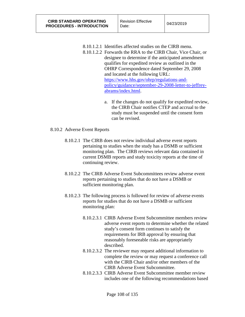- 8.10.1.2.1 Identifies affected studies on the CIRB menu.
- 8.10.1.2.2 Forwards the RRA to the CIRB Chair, Vice Chair, or designee to determine if the anticipated amendment qualifies for expedited review as outlined in the OHRP Correspondence dated September 29, 2008 and located at the following URL: [https://www.hhs.gov/ohrp/regulations-and](https://www.hhs.gov/ohrp/regulations-and-policy/guidance/september-29-2008-letter-to-jeffrey-abrams/index.html)[policy/guidance/september-29-2008-letter-to-jeffrey](https://www.hhs.gov/ohrp/regulations-and-policy/guidance/september-29-2008-letter-to-jeffrey-abrams/index.html)[abrams/index.html.](https://www.hhs.gov/ohrp/regulations-and-policy/guidance/september-29-2008-letter-to-jeffrey-abrams/index.html)
	- a. If the changes do not qualify for expedited review, the CIRB Chair notifies CTEP and accrual to the study must be suspended until the consent form can be revised.

#### 8.10.2 Adverse Event Reports

- 8.10.2.1 The CIRB does not review individual adverse event reports pertaining to studies when the study has a DSMB or sufficient monitoring plan. The CIRB reviews relevant data contained in current DSMB reports and study toxicity reports at the time of continuing review.
- 8.10.2.2 The CIRB Adverse Event Subcommittees review adverse event reports pertaining to studies that do not have a DSMB or sufficient monitoring plan.
- 8.10.2.3 The following process is followed for review of adverse events reports for studies that do not have a DSMB or sufficient monitoring plan:
	- 8.10.2.3.1 CIRB Adverse Event Subcommittee members review adverse event reports to determine whether the related study's consent form continues to satisfy the requirements for IRB approval by ensuring that reasonably foreseeable risks are appropriately described.
	- 8.10.2.3.2 The reviewer may request additional information to complete the review or may request a conference call with the CIRB Chair and/or other members of the CIRB Adverse Event Subcommittee.
	- 8.10.2.3.3 CIRB Adverse Event Subcommittee member review includes one of the following recommendations based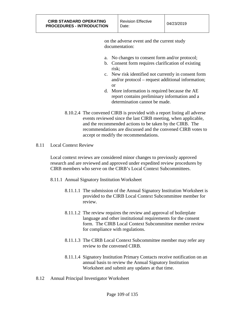on the adverse event and the current study documentation:

- a. No changes to consent form and/or protocol;
- b. Consent form requires clarification of existing risk;
- c. New risk identified not currently in consent form and/or protocol – request additional information; or
- d. More information is required because the AE report contains preliminary information and a determination cannot be made.
- 8.10.2.4 The convened CIRB is provided with a report listing all adverse events reviewed since the last CIRB meeting, when applicable, and the recommended actions to be taken by the CIRB. The recommendations are discussed and the convened CIRB votes to accept or modify the recommendations.
- 8.11 Local Context Review

Local context reviews are considered minor changes to previously approved research and are reviewed and approved under expedited review procedures by CIRB members who serve on the CIRB's Local Context Subcommittees.

- 8.11.1 Annual Signatory Institution Worksheet
	- 8.11.1.1 The submission of the Annual Signatory Institution Worksheet is provided to the CIRB Local Context Subcommittee member for review.
	- 8.11.1.2 The review requires the review and approval of boilerplate language and other institutional requirements for the consent form. The CIRB Local Context Subcommittee member review for compliance with regulations.
	- 8.11.1.3 The CIRB Local Context Subcommittee member may refer any review to the convened CIRB.
	- 8.11.1.4 Signatory Institution Primary Contacts receive notification on an annual basis to review the Annual Signatory Institution Worksheet and submit any updates at that time.
- 8.12 Annual Principal Investigator Worksheet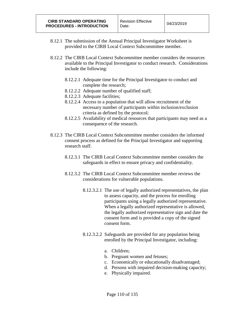- 8.12.1 The submission of the Annual Principal Investigator Worksheet is provided to the CIRB Local Context Subcommittee member.
- 8.12.2 The CIRB Local Context Subcommittee member considers the resources available to the Principal Investigator to conduct research. Considerations include the following:
	- 8.12.2.1 Adequate time for the Principal Investigator to conduct and complete the research;
	- 8.12.2.2 Adequate number of qualified staff;
	- 8.12.2.3 Adequate facilities;
	- 8.12.2.4 Access to a population that will allow recruitment of the necessary number of participants within inclusion/exclusion criteria as defined by the protocol;
	- 8.12.2.5 Availability of medical resources that participants may need as a consequence of the research.
- 8.12.3 The CIRB Local Context Subcommittee member considers the informed consent process as defined for the Principal Investigator and supporting research staff.
	- 8.12.3.1 The CIRB Local Context Subcommittee member considers the safeguards in effect to ensure privacy and confidentiality.
	- 8.12.3.2 The CIRB Local Context Subcommittee member reviews the considerations for vulnerable populations.
		- 8.12.3.2.1 The use of legally authorized representatives, the plan to assess capacity, and the process for enrolling participants using a legally authorized representative. When a legally authorized representative is allowed, the legally authorized representative sign and date the consent form and is provided a copy of the signed consent form.
		- 8.12.3.2.2 Safeguards are provided for any population being enrolled by the Principal Investigator, including:
			- a. Children;
			- b. Pregnant women and fetuses;
			- c. Economically or educationally disadvantaged;
			- d. Persons with impaired decision-making capacity;
			- e. Physically impaired.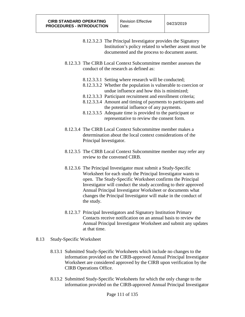- 8.12.3.2.3 The Principal Investigator provides the Signatory Institution's policy related to whether assent must be documented and the process to document assent.
- 8.12.3.3 The CIRB Local Context Subcommittee member assesses the conduct of the research as defined as:
	- 8.12.3.3.1 Setting where research will be conducted;
	- 8.12.3.3.2 Whether the population is vulnerable to coercion or undue influence and how this is minimized;
	- 8.12.3.3.3 Participant recruitment and enrollment criteria;
	- 8.12.3.3.4 Amount and timing of payments to participants and the potential influence of any payments.
	- 8.12.3.3.5 Adequate time is provided to the participant or representative to review the consent form.
- 8.12.3.4 The CIRB Local Context Subcommittee member makes a determination about the local context considerations of the Principal Investigator.
- 8.12.3.5 The CIRB Local Context Subcommittee member may refer any review to the convened CIRB.
- 8.12.3.6 The Principal Investigator must submit a Study-Specific Worksheet for each study the Principal Investigator wants to open. The Study-Specific Worksheet confirms the Principal Investigator will conduct the study according to their approved Annual Principal Investigator Worksheet or documents what changes the Principal Investigator will make in the conduct of the study.
- 8.12.3.7 Principal Investigators and Signatory Institution Primary Contacts receive notification on an annual basis to review the Annual Principal Investigator Worksheet and submit any updates at that time.
- 8.13 Study-Specific Worksheet
	- 8.13.1 Submitted Study-Specific Worksheets which include no changes to the information provided on the CIRB-approved Annual Principal Investigator Worksheet are considered approved by the CIRB upon verification by the CIRB Operations Office.
	- 8.13.2 Submitted Study-Specific Worksheets for which the only change to the information provided on the CIRB-approved Annual Principal Investigator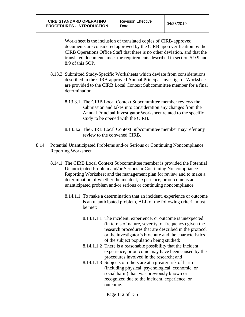Worksheet is the inclusion of translated copies of CIRB-approved documents are considered approved by the CIRB upon verification by the CIRB Operations Office Staff that there is no other deviation, and that the translated documents meet the requirements described in section 5.9.9 and 8.9 of this SOP.

- 8.13.3 Submitted Study-Specific Worksheets which deviate from considerations described in the CIRB-approved Annual Principal Investigator Worksheet are provided to the CIRB Local Context Subcommittee member for a final determination.
	- 8.13.3.1 The CIRB Local Context Subcommittee member reviews the submission and takes into consideration any changes from the Annual Principal Investigator Worksheet related to the specific study to be opened with the CIRB.
	- 8.13.3.2 The CIRB Local Context Subcommittee member may refer any review to the convened CIRB.
- 8.14 Potential Unanticipated Problems and/or Serious or Continuing Noncompliance Reporting Worksheet
	- 8.14.1 The CIRB Local Context Subcommittee member is provided the Potential Unanticipated Problem and/or Serious or Continuing Noncompliance Reporting Worksheet and the management plan for review and to make a determination of whether the incident, experience, or outcome is an unanticipated problem and/or serious or continuing noncompliance.
		- 8.14.1.1 To make a determination that an incident, experience or outcome is an unanticipated problem, ALL of the following criteria must be met:
			- 8.14.1.1.1 The incident, experience, or outcome is unexpected (in terms of nature, severity, or frequency) given the research procedures that are described in the protocol or the investigator's brochure and the characteristics of the subject population being studied;
			- 8.14.1.1.2 There is a reasonable possibility that the incident, experience, or outcome may have been caused by the procedures involved in the research; and
			- 8.14.1.1.3 Subjects or others are at a greater risk of harm (including physical, psychological, economic, or social harm) than was previously known or recognized due to the incident, experience, or outcome.

Page 112 of 135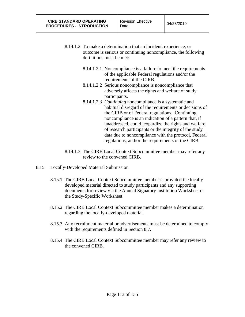- 8.14.1.2 To make a determination that an incident, experience, or outcome is serious or continuing noncompliance, the following definitions must be met:
	- 8.14.1.2.1 Noncompliance is a failure to meet the requirements of the applicable Federal regulations and/or the requirements of the CIRB.
	- 8.14.1.2.2 Serious noncompliance is noncompliance that adversely affects the rights and welfare of study participants.
	- 8.14.1.2.3 *Continuing* noncompliance is a systematic and habitual disregard of the requirements or decisions of the CIRB or of Federal regulations. Continuing noncompliance is an indication of a pattern that, if unaddressed, could jeopardize the rights and welfare of research participants or the integrity of the study data due to noncompliance with the protocol, Federal regulations, and/or the requirements of the CIRB.
- 8.14.1.3 The CIRB Local Context Subcommittee member may refer any review to the convened CIRB.
- 8.15 Locally-Developed Material Submission
	- 8.15.1 The CIRB Local Context Subcommittee member is provided the locally developed material directed to study participants and any supporting documents for review via the Annual Signatory Institution Worksheet or the Study-Specific Worksheet.
	- 8.15.2 The CIRB Local Context Subcommittee member makes a determination regarding the locally-developed material.
	- 8.15.3 Any recruitment material or advertisements must be determined to comply with the requirements defined in Section 8.7.
	- 8.15.4 The CIRB Local Context Subcommittee member may refer any review to the convened CIRB.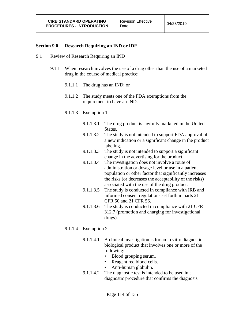### **Section 9.0 Research Requiring an IND or IDE**

- 9.1 Review of Research Requiring an IND
	- 9.1.1 When research involves the use of a drug other than the use of a marketed drug in the course of medical practice:
		- 9.1.1.1 The drug has an IND; or
		- 9.1.1.2 The study meets one of the FDA exemptions from the requirement to have an IND.
		- 9.1.1.3 Exemption 1
			- 9.1.1.3.1 The drug product is lawfully marketed in the United States.
			- 9.1.1.3.2 The study is not intended to support FDA approval of a new indication or a significant change in the product labeling.
			- 9.1.1.3.3 The study is not intended to support a significant change in the advertising for the product.
			- 9.1.1.3.4 The investigation does not involve a route of administration or dosage level or use in a patient population or other factor that significantly increases the risks (or decreases the acceptability of the risks) associated with the use of the drug product.
			- 9.1.1.3.5 The study is conducted in compliance with IRB and informed consent regulations set forth in parts 21 CFR 50 and 21 CFR 56.
			- 9.1.1.3.6 The study is conducted in compliance with 21 CFR 312.7 (promotion and charging for investigational drugs).
		- 9.1.1.4 Exemption 2
			- 9.1.1.4.1 A clinical investigation is for an in vitro diagnostic biological product that involves one or more of the following:
				- Blood grouping serum.
				- Reagent red blood cells.
				- Anti-human globulin.
			- 9.1.1.4.2 The diagnostic test is intended to be used in a diagnostic procedure that confirms the diagnosis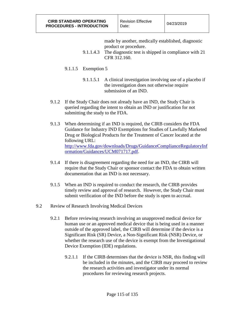made by another, medically established, diagnostic product or procedure.

9.1.1.4.3 The diagnostic test is shipped in compliance with 21 CFR 312.160.

# 9.1.1.5 Exemption 5

- 9.1.1.5.1 A clinical investigation involving use of a placebo if the investigation does not otherwise require submission of an IND.
- 9.1.2 If the Study Chair does not already have an IND, the Study Chair is queried regarding the intent to obtain an IND or justification for not submitting the study to the FDA.
- 9.1.3 When determining if an IND is required, the CIRB considers the FDA Guidance for Industry IND Exemptions for Studies of Lawfully Marketed Drug or Biological Products for the Treatment of Cancer located at the following URL: [http://www.fda.gov/downloads/Drugs/GuidanceComplianceRegulatoryInf](http://www.fda.gov/downloads/Drugs/GuidanceComplianceRegulatoryInformation/Guidances/UCM071717.pdf) [ormation/Guidances/UCM071717.pdf.](http://www.fda.gov/downloads/Drugs/GuidanceComplianceRegulatoryInformation/Guidances/UCM071717.pdf)
- 9.1.4 If there is disagreement regarding the need for an IND, the CIRB will require that the Study Chair or sponsor contact the FDA to obtain written documentation that an IND is not necessary.
- 9.1.5 When an IND is required to conduct the research, the CIRB provides timely review and approval of research. However, the Study Chair must submit verification of the IND before the study is open to accrual.
- 9.2 Review of Research Involving Medical Devices
	- 9.2.1 Before reviewing research involving an unapproved medical device for human use or an approved medical device that is being used in a manner outside of the approved label, the CIRB will determine if the device is a Significant Risk (SR) Device, a Non-Significant Risk (NSR) Device, or whether the research use of the device is exempt from the Investigational Device Exemption (IDE) regulations.
		- 9.2.1.1 If the CIRB determines that the device is NSR, this finding will be included in the minutes, and the CIRB may proceed to review the research activities and investigator under its normal procedures for reviewing research projects.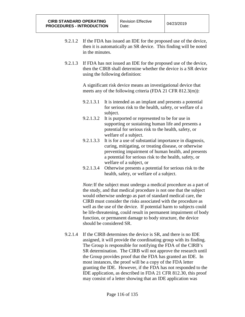- 9.2.1.2 If the FDA has issued an IDE for the proposed use of the device, then it is automatically an SR device. This finding will be noted in the minutes.
- 9.2.1.3 If FDA has not issued an IDE for the proposed use of the device, then the CIRB shall determine whether the device is a SR device using the following definition:

A significant risk device means an investigational device that meets any of the following criteria (FDA 21 CFR 812.3(m)):

- 9.2.1.3.1 It is intended as an implant and presents a potential for serious risk to the health, safety, or welfare of a subject.
- 9.2.1.3.2 It is purported or represented to be for use in supporting or sustaining human life and presents a potential for serious risk to the health, safety, or welfare of a subject.
- 9.2.1.3.3 It is for a use of substantial importance in diagnosis, curing, mitigating, or treating disease, or otherwise preventing impairment of human health, and presents a potential for serious risk to the health, safety, or welfare of a subject, or
- 9.2.1.3.4 Otherwise presents a potential for serious risk to the health, safety, or welfare of a subject.

*Note:*If the subject must undergo a medical procedure as a part of the study, and that medical procedure is not one that the subject would otherwise undergo as part of standard medical care, the CIRB must consider the risks associated with the procedure as well as the use of the device. If potential harm to subjects could be life-threatening, could result in permanent impairment of body function, or permanent damage to body structure, the device should be considered SR.

9.2.1.4 If the CIRB determines the device is SR, and there is no IDE assigned, it will provide the coordinating group with its finding. The Group is responsible for notifying the FDA of the CIRB's SR determination. The CIRB will not approve the research until the Group provides proof that the FDA has granted an IDE. In most instances, the proof will be a copy of the FDA letter granting the IDE. However, if the FDA has not responded to the IDE application, as described in FDA 21 CFR 812.30, this proof may consist of a letter showing that an IDE application was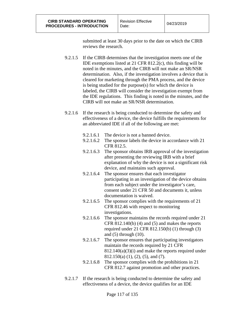submitted at least 30 days prior to the date on which the CIRB reviews the research.

- 9.2.1.5 If the CIRB determines that the investigation meets one of the IDE exemptions listed at 21 CFR 812.2(c), this finding will be noted in the minutes, and the CIRB will not make an SR/NSR determination. Also, if the investigation involves a device that is cleared for marketing through the PMA process, and the device is being studied for the purpose(s) for which the device is labeled, the CIRB will consider the investigation exempt from the IDE regulations. This finding is noted in the minutes, and the CIRB will not make an SR/NSR determination.
- 9.2.1.6 If the research is being conducted to determine the safety and effectiveness of a device, the device fulfills the requirements for an abbreviated IDE if all of the following are met:
	- 9.2.1.6.1 The device is not a banned device.
	- 9.2.1.6.2 The sponsor labels the device in accordance with 21 CFR 812.5.
	- 9.2.1.6.3 The sponsor obtains IRB approval of the investigation after presenting the reviewing IRB with a brief explanation of why the device is not a significant risk device, and maintains such approval.
	- 9.2.1.6.4 The sponsor ensures that each investigator participating in an investigation of the device obtains from each subject under the investigator's care, consent under 21 CFR 50 and documents it, unless documentation is waived.
	- 9.2.1.6.5 The sponsor complies with the requirements of 21 CFR 812.46 with respect to monitoring investigations.
	- 9.2.1.6.6 The sponsor maintains the records required under 21 CFR  $812.140(b)$  (4) and (5) and makes the reports required under  $21$  CFR  $812.150(b)$  (1) through (3) and (5) through (10).
	- 9.2.1.6.7 The sponsor ensures that participating investigators maintain the records required by 21 CFR  $812.140(a)(3)(i)$  and make the reports required under 812.150(a) (1), (2), (5), and (7).
	- 9.2.1.6.8 The sponsor complies with the prohibitions in 21 CFR 812.7 against promotion and other practices.
- 9.2.1.7 If the research is being conducted to determine the safety and effectiveness of a device, the device qualifies for an IDE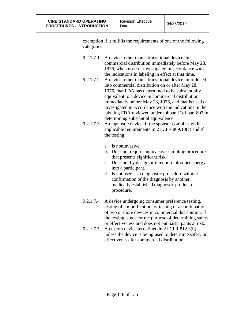exemption if it fulfills the requirements of one of the following categories:

- 9.2.1.7.1 A device, other than a transitional device, in commercial distribution immediately before May 28, 1976, when used or investigated in accordance with the indications in labeling in effect at that time.
- 9.2.1.7.2 A device, other than a transitional device, introduced into commercial distribution on or after May 28, 1976, that FDA has determined to be substantially equivalent to a device in commercial distribution immediately before May 28, 1976, and that is used or investigated in accordance with the indications in the labeling FDA reviewed under subpart E of part 807 in determining substantial equivalence.
- 9.2.1.7.3 A diagnostic device, if the sponsor complies with applicable requirements in 21 CFR 809.10(c) and if the testing:
	- a. Is noninvasive.
	- b. Does not require an invasive sampling procedure that presents significant risk.
	- c. Does not by design or intention introduce energy into a participant.
	- d. Is not used as a diagnostic procedure without confirmation of the diagnosis by another, medically established diagnostic product or procedure.
- 9.2.1.7.4 A device undergoing consumer preference testing, testing of a modification, or testing of a combination of two or more devices in commercial distribution, if the testing is not for the purpose of determining safety or effectiveness and does not put participants at risk.
- 9.2.1.7.5 A custom device as defined in 21 CFR 812.3(b), unless the device is being used to determine safety or effectiveness for commercial distribution.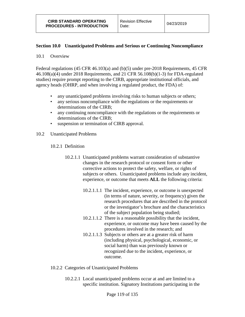# **Section 10.0 Unanticipated Problems and Serious or Continuing Noncompliance**

#### 10.1 Overview

Federal regulations (45 CFR 46.103(a) and (b)(5) under pre-2018 Requirements, 45 CFR 46.108(a)(4) under 2018 Requirements, and 21 CFR 56.108(b)(1-3) for FDA-regulated studies) require prompt reporting to the CIRB, appropriate institutional officials, and agency heads (OHRP, and when involving a regulated product, the FDA) of:

- any unanticipated problems involving risks to human subjects or others;
- any serious noncompliance with the regulations or the requirements or determinations of the CIRB;
- any continuing noncompliance with the regulations or the requirements or determinations of the CIRB;
- suspension or termination of CIRB approval.
- 10.2 Unanticipated Problems
	- 10.2.1 Definition
		- 10.2.1.1 Unanticipated problems warrant consideration of substantive changes in the research protocol or consent form or other corrective actions to protect the safety, welfare, or rights of subjects or others. Unanticipated problems include any incident, experience, or outcome that meets **ALL** the following criteria:
			- 10.2.1.1.1 The incident, experience, or outcome is unexpected (in terms of nature, severity, or frequency) given the research procedures that are described in the protocol or the investigator's brochure and the characteristics of the subject population being studied;
			- 10.2.1.1.2 There is a reasonable possibility that the incident, experience, or outcome may have been caused by the procedures involved in the research; and
			- 10.2.1.1.3 Subjects or others are at a greater risk of harm (including physical, psychological, economic, or social harm) than was previously known or recognized due to the incident, experience, or outcome.
	- 10.2.2 Categories of Unanticipated Problems
		- 10.2.2.1 Local unanticipated problems occur at and are limited to a specific institution. Signatory Institutions participating in the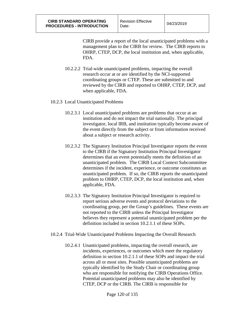CIRB provide a report of the local unanticipated problems with a management plan to the CIRB for review. The CIRB reports to OHRP, CTEP, DCP, the local institution and, when applicable, FDA.

10.2.2.2 Trial-wide unanticipated problems, impacting the overall research occur at or are identified by the NCI-supported coordinating groups or CTEP. These are submitted to and reviewed by the CIRB and reported to OHRP, CTEP, DCP, and when applicable, FDA.

#### 10.2.3 Local Unanticipated Problems

- 10.2.3.1 Local unanticipated problems are problems that occur at an institution and do not impact the trial nationally. The principal investigator, local IRB, and institution typically become aware of the event directly from the subject or from information received about a subject or research activity.
- 10.2.3.2 The Signatory Institution Principal Investigator reports the event to the CIRB if the Signatory Institution Principal Investigator determines that an event potentially meets the definition of an unanticipated problem. The CIRB Local Context Subcommittee determines if the incident, experience, or outcome constitutes an unanticipated problem. If so, the CIRB reports the unanticipated problem to OHRP, CTEP, DCP, the local institution and, when applicable, FDA.
- 10.2.3.3 The Signatory Institution Principal Investigator is required to report serious adverse events and protocol deviations to the coordinating group, per the Group's guidelines. These events are not reported to the CIRB unless the Principal Investigator believes they represent a potential unanticipated problem per the definition included in section 10.2.1.1 of these SOPs.
- 10.2.4 Trial-Wide Unanticipated Problems Impacting the Overall Research
	- 10.2.4.1 Unanticipated problems, impacting the overall research, are incidents, experiences, or outcomes which meet the regulatory definition in section 10.2.1.1 of these SOPs and impact the trial across all or most sites. Possible unanticipated problems are typically identified by the Study Chair or coordinating group who are responsible for notifying the CIRB Operations Office. Potential unanticipated problems may also be identified by CTEP, DCP or the CIRB. The CIRB is responsible for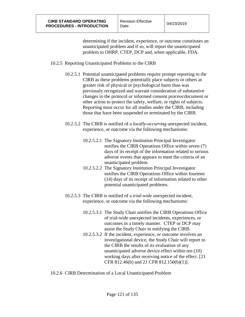determining if the incident, experience, or outcome constitutes an unanticipated problem and if so, will report the unanticipated problem to OHRP, CTEP, DCP and, when applicable, FDA.

# 10.2.5 Reporting Unanticipated Problems to the CIRB

- 10.2.5.1 Potential unanticipated problems require prompt reporting to the CIRB as these problems potentially place subjects or others at greater risk of physical or psychological harm than was previously recognized and warrant consideration of substantive changes in the protocol or informed consent process/document or other action to protect the safety, welfare, or rights of subjects. Reporting must occur for all studies under the CIRB, including those that have been suspended or terminated by the CIRB.
- 10.2.5.2 The CIRB is notified of a *locally-occurring* unexpected incident, experience, or outcome via the following mechanisms:
	- 10.2.5.2.1 The Signatory Institution Principal Investigator notifies the CIRB Operations Office within seven (7) days of its receipt of the information related to serious adverse events that appears to meet the criteria of an unanticipated problem.
	- 10.2.5.2.2 The Signatory Institution Principal Investigator notifies the CIRB Operations Office within fourteen (14) days of its receipt of information related to other potential unanticipated problems.
- 10.2.5.3 The CIRB is notified of a *trial-wide* unexpected incident, experience, or outcome via the following mechanisms:
	- 10.2.5.3.1 The Study Chair notifies the CIRB Operations Office of trial-wide unexpected incidents, experiences, or outcomes in a timely manner. CTEP or DCP may assist the Study Chair in notifying the CIRB.
	- 10.2.5.3.2 If the incident, experience, or outcome involves an investigational device, the Study Chair will report to the CIRB the results of its evaluation of any unanticipated adverse device effect within ten (10) working days after receiving notice of the effect. [21 CFR 812.46(b) and 21 CFR 812.150(b)(1)].
- 10.2.6 CIRB Determination of a Local Unanticipated Problem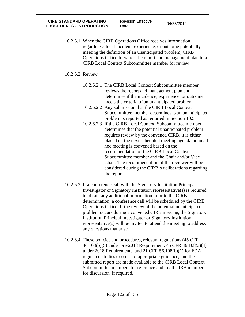- 10.2.6.1 When the CIRB Operations Office receives information regarding a local incident, experience, or outcome potentially meeting the definition of an unanticipated problem, CIRB Operations Office forwards the report and management plan to a CIRB Local Context Subcommittee member for review.
- 10.2.6.2 Review
	- 10.2.6.2.1 The CIRB Local Context Subcommittee member reviews the report and management plan and determines if the incidence, experience, or outcome meets the criteria of an unanticipated problem.
	- 10.2.6.2.2 Any submission that the CIRB Local Context Subcommittee member determines is an unanticipated problem is reported as required in Section 10.5.
	- 10.2.6.2.3 If the CIRB Local Context Subcommittee member determines that the potential unanticipated problem requires review by the convened CIRB, it is either placed on the next scheduled meeting agenda or an ad hoc meeting is convened based on the recommendation of the CIRB Local Context Subcommittee member and the Chair and/or Vice Chair. The recommendation of the reviewer will be considered during the CIRB's deliberations regarding the report.
- 10.2.6.3 If a conference call with the Signatory Institution Principal Investigator or Signatory Institution representative(s) is required to obtain any additional information prior to the CIRB's determination, a conference call will be scheduled by the CIRB Operations Office. If the review of the potential unanticipated problem occurs during a convened CIRB meeting, the Signatory Institution Principal Investigator or Signatory Institution representative(s) will be invited to attend the meeting to address any questions that arise.
- 10.2.6.4 These policies and procedures, relevant regulations (45 CFR 46.103(b)(5) under pre-2018 Requirement, 45 CFR 46.108(a)(4) under 2018 Requirements, and 21 CFR 56.108(b)(1) for FDAregulated studies), copies of appropriate guidance, and the submitted report are made available to the CIRB Local Context Subcommittee members for reference and to all CIRB members for discussion, if required.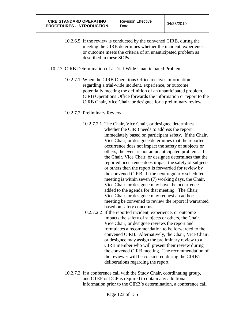- 10.2.6.5 If the review is conducted by the convened CIRB, during the meeting the CIRB determines whether the incident, experience, or outcome meets the criteria of an unanticipated problem as described in these SOPs.
- 10.2.7 CIRB Determination of a Trial-Wide Unanticipated Problem
	- 10.2.7.1 When the CIRB Operations Office receives information regarding a trial-wide incident, experience, or outcome potentially meeting the definition of an unanticipated problem, CIRB Operations Office forwards the information or report to the CIRB Chair, Vice Chair, or designee for a preliminary review.
	- 10.2.7.2 Preliminary Review
		- 10.2.7.2.1 The Chair, Vice Chair, or designee determines whether the CIRB needs to address the report immediately based on participant safety. If the Chair, Vice Chair, or designee determines that the reported occurrence does not impact the safety of subjects or others, the event is not an unanticipated problem. If the Chair, Vice Chair, or designee determines that the reported occurrence does impact the safety of subjects or others then the report is forwarded for review by the convened CIRB. If the next regularly scheduled meeting is within seven (7) working days, the Chair, Vice Chair, or designee may have the occurrence added to the agenda for that meeting. The Chair, Vice Chair, or designee may request an ad hoc meeting be convened to review the report if warranted based on safety concerns.
		- 10.2.7.2.2 If the reported incident, experience, or outcome impacts the safety of subjects or others, the Chair, Vice Chair, or designee reviews the report and formulates a recommendation to be forwarded to the convened CIRB. Alternatively, the Chair, Vice Chair, or designee may assign the preliminary review to a CIRB member who will present their review during the convened CIRB meeting. The recommendation of the reviewer will be considered during the CIRB's deliberations regarding the report.
	- 10.2.7.3 If a conference call with the Study Chair, coordinating group, and CTEP or DCP is required to obtain any additional information prior to the CIRB's determination, a conference call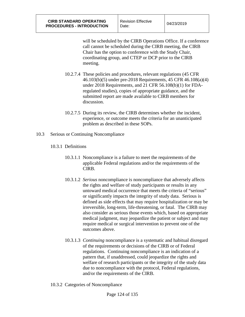will be scheduled by the CIRB Operations Office. If a conference call cannot be scheduled during the CIRB meeting, the CIRB Chair has the option to conference with the Study Chair, coordinating group, and CTEP or DCP prior to the CIRB meeting.

- 10.2.7.4 These policies and procedures, relevant regulations (45 CFR 46.103(b)(5) under pre-2018 Requirements, 45 CFR 46.108(a)(4) under 2018 Requirements, and 21 CFR 56.108(b)(1) for FDAregulated studies), copies of appropriate guidance, and the submitted report are made available to CIRB members for discussion.
- 10.2.7.5 During its review, the CIRB determines whether the incident, experience, or outcome meets the criteria for an unanticipated problem as described in these SOPs.
- 10.3 Serious or Continuing Noncompliance
	- 10.3.1 Definitions
		- 10.3.1.1 Noncompliance is a failure to meet the requirements of the applicable Federal regulations and/or the requirements of the CIRB.
		- 10.3.1.2 *Serious* noncompliance is noncompliance that adversely affects the rights and welfare of study participants or results in any untoward medical occurrence that meets the criteria of "serious" or significantly impacts the integrity of study data. Serious is defined as side effects that may require hospitalization or may be irreversible, long-term, life-threatening, or fatal. The CIRB may also consider as serious those events which, based on appropriate medical judgment, may jeopardize the patient or subject and may require medical or surgical intervention to prevent one of the outcomes above.
		- 10.3.1.3 *Continuing* noncompliance is a systematic and habitual disregard of the requirements or decisions of the CIRB or of Federal regulations. Continuing noncompliance is an indication of a pattern that, if unaddressed, could jeopardize the rights and welfare of research participants or the integrity of the study data due to noncompliance with the protocol, Federal regulations, and/or the requirements of the CIRB.
	- 10.3.2 Categories of Noncompliance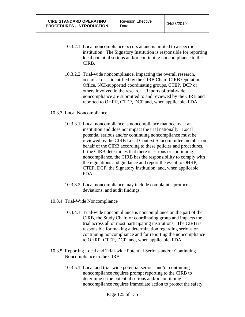- 10.3.2.1 Local noncompliance occurs at and is limited to a specific institution. The Signatory Institution is responsible for reporting local potential serious and/or continuing noncompliance to the CIRB.
- 10.3.2.2 Trial-wide noncompliance, impacting the overall research, occurs at or is identified by the CIRB Chair, CIRB Operations Office, NCI-supported coordinating groups, CTEP, DCP or others involved in the research. Reports of trial-wide noncompliance are submitted to and reviewed by the CIRB and reported to OHRP, CTEP, DCP and, when applicable, FDA.

#### 10.3.3 Local Noncompliance

- 10.3.3.1 Local noncompliance is noncompliance that occurs at an institution and does not impact the trial nationally. Local potential serious and/or continuing noncompliance must be reviewed by the CIRB Local Context Subcommittee member on behalf of the CIRB according to these policies and procedures. If the CIRB determines that there is serious or continuing noncompliance, the CIRB has the responsibility to comply with the regulations and guidance and report the event to OHRP, CTEP, DCP, the Signatory Institution, and, when applicable, FDA.
- 10.3.3.2 Local noncompliance may include complaints, protocol deviations, and audit findings.
- 10.3.4 Trial-Wide Noncompliance
	- 10.3.4.1 Trial-wide noncompliance is noncompliance on the part of the CIRB, the Study Chair, or coordinating group and impacts the trial across all or most participating institutions. The CIRB is responsible for making a determination regarding serious or continuing noncompliance and for reporting the noncompliance to OHRP, CTEP, DCP, and, when applicable, FDA.
- 10.3.5 Reporting Local and Trial-wide Potential Serious and/or Continuing Noncompliance to the CIRB
	- 10.3.5.1 Local and trial-wide potential serious and/or continuing noncompliance requires prompt reporting to the CIRB to determine if the potential serious and/or continuing noncompliance requires immediate action to protect the safety,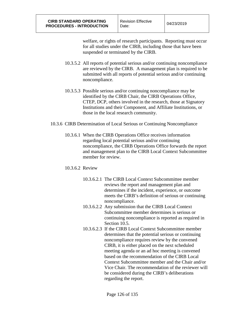welfare, or rights of research participants. Reporting must occur for all studies under the CIRB, including those that have been suspended or terminated by the CIRB.

- 10.3.5.2 All reports of potential serious and/or continuing noncompliance are reviewed by the CIRB. A management plan is required to be submitted with all reports of potential serious and/or continuing noncompliance.
- 10.3.5.3 Possible serious and/or continuing noncompliance may be identified by the CIRB Chair, the CIRB Operations Office, CTEP, DCP, others involved in the research, those at Signatory Institutions and their Component, and Affiliate Institutions, or those in the local research community.
- 10.3.6 CIRB Determination of Local Serious or Continuing Noncompliance
	- 10.3.6.1 When the CIRB Operations Office receives information regarding local potential serious and/or continuing noncompliance, the CIRB Operations Office forwards the report and management plan to the CIRB Local Context Subcommittee member for review.
	- 10.3.6.2 Review
		- 10.3.6.2.1 The CIRB Local Context Subcommittee member reviews the report and management plan and determines if the incident, experience, or outcome meets the CIRB's definition of serious or continuing noncompliance.
		- 10.3.6.2.2 Any submission that the CIRB Local Context Subcommittee member determines is serious or continuing noncompliance is reported as required in Section 10.5.
		- 10.3.6.2.3 If the CIRB Local Context Subcommittee member determines that the potential serious or continuing noncompliance requires review by the convened CIRB, it is either placed on the next scheduled meeting agenda or an ad hoc meeting is convened based on the recommendation of the CIRB Local Context Subcommittee member and the Chair and/or Vice Chair. The recommendation of the reviewer will be considered during the CIRB's deliberations regarding the report.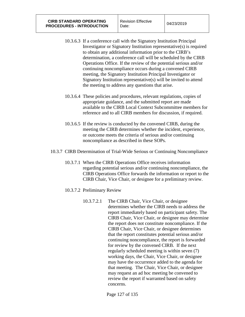- 10.3.6.3 If a conference call with the Signatory Institution Principal Investigator or Signatory Institution representative(s) is required to obtain any additional information prior to the CIRB's determination, a conference call will be scheduled by the CIRB Operations Office. If the review of the potential serious and/or continuing noncompliance occurs during a convened CIRB meeting, the Signatory Institution Principal Investigator or Signatory Institution representative(s) will be invited to attend the meeting to address any questions that arise.
- 10.3.6.4 These policies and procedures, relevant regulations, copies of appropriate guidance, and the submitted report are made available to the CIRB Local Context Subcommittee members for reference and to all CIRB members for discussion, if required.
- 10.3.6.5 If the review is conducted by the convened CIRB, during the meeting the CIRB determines whether the incident, experience, or outcome meets the criteria of serious and/or continuing noncompliance as described in these SOPs.
- 10.3.7 CIRB Determination of Trial-Wide Serious or Continuing Noncompliance
	- 10.3.7.1 When the CIRB Operations Office receives information regarding potential serious and/or continuing noncompliance, the CIRB Operations Office forwards the information or report to the CIRB Chair, Vice Chair, or designee for a preliminary review.
	- 10.3.7.2 Preliminary Review
		- 10.3.7.2.1 The CIRB Chair, Vice Chair, or designee determines whether the CIRB needs to address the report immediately based on participant safety. The CIRB Chair, Vice Chair, or designee may determine the report does not constitute noncompliance. If the CIRB Chair, Vice Chair, or designee determines that the report constitutes potential serious and/or continuing noncompliance, the report is forwarded for review by the convened CIRB. If the next regularly scheduled meeting is within seven (7) working days, the Chair, Vice Chair, or designee may have the occurrence added to the agenda for that meeting. The Chair, Vice Chair, or designee may request an ad hoc meeting be convened to review the report if warranted based on safety concerns.

Page 127 of 135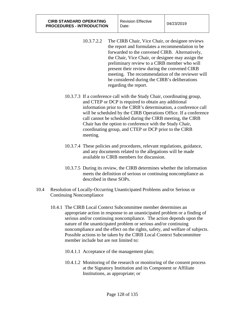- 10.3.7.2.2 The CIRB Chair, Vice Chair, or designee reviews the report and formulates a recommendation to be forwarded to the convened CIRB. Alternatively, the Chair, Vice Chair, or designee may assign the preliminary review to a CIRB member who will present their review during the convened CIRB meeting. The recommendation of the reviewer will be considered during the CIRB's deliberations regarding the report.
- 10.3.7.3 If a conference call with the Study Chair, coordinating group, and CTEP or DCP is required to obtain any additional information prior to the CIRB's determination, a conference call will be scheduled by the CIRB Operations Office. If a conference call cannot be scheduled during the CIRB meeting, the CIRB Chair has the option to conference with the Study Chair, coordinating group, and CTEP or DCP prior to the CIRB meeting.
- 10.3.7.4 These policies and procedures, relevant regulations, guidance, and any documents related to the allegations will be made available to CIRB members for discussion.
- 10.3.7.5 During its review, the CIRB determines whether the information meets the definition of serious or continuing noncompliance as described in these SOPs.
- 10.4 Resolution of Locally-Occurring Unanticipated Problems and/or Serious or Continuing Noncompliance
	- 10.4.1 The CIRB Local Context Subcommittee member determines an appropriate action in response to an unanticipated problem or a finding of serious and/or continuing noncompliance. The action depends upon the nature of the unanticipated problem or serious and/or continuing noncompliance and the effect on the rights, safety, and welfare of subjects. Possible actions to be taken by the CIRB Local Context Subcommittee member include but are not limited to:
		- 10.4.1.1 Acceptance of the management plan;
		- 10.4.1.2 Monitoring of the research or monitoring of the consent process at the Signatory Institution and its Component or Affiliate Institutions, as appropriate; or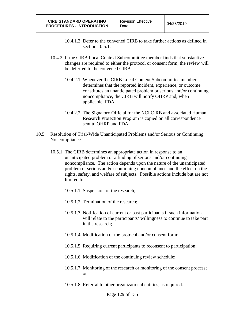- 10.4.1.3 Defer to the convened CIRB to take further actions as defined in section 10.5.1.
- 10.4.2 If the CIRB Local Context Subcommittee member finds that substantive changes are required to either the protocol or consent form, the review will be deferred to the convened CIRB.
	- 10.4.2.1 Whenever the CIRB Local Context Subcommittee member determines that the reported incident, experience, or outcome constitutes an unanticipated problem or serious and/or continuing noncompliance, the CIRB will notify OHRP and, when applicable, FDA.
	- 10.4.2.2 The Signatory Official for the NCI CIRB and associated Human Research Protection Program is copied on all correspondence sent to OHRP and FDA.
- 10.5 Resolution of Trial-Wide Unanticipated Problems and/or Serious or Continuing Noncompliance
	- 10.5.1 The CIRB determines an appropriate action in response to an unanticipated problem or a finding of serious and/or continuing noncompliance. The action depends upon the nature of the unanticipated problem or serious and/or continuing noncompliance and the effect on the rights, safety, and welfare of subjects. Possible actions include but are not limited to:
		- 10.5.1.1 Suspension of the research;
		- 10.5.1.2 Termination of the research;
		- 10.5.1.3 Notification of current or past participants if such information will relate to the participants' willingness to continue to take part in the research;
		- 10.5.1.4 Modification of the protocol and/or consent form;
		- 10.5.1.5 Requiring current participants to reconsent to participation;
		- 10.5.1.6 Modification of the continuing review schedule;
		- 10.5.1.7 Monitoring of the research or monitoring of the consent process; or
		- 10.5.1.8 Referral to other organizational entities, as required.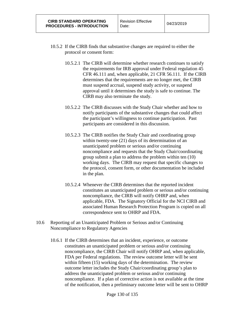- 10.5.2 If the CIRB finds that substantive changes are required to either the protocol or consent form:
	- 10.5.2.1 The CIRB will determine whether research continues to satisfy the requirements for IRB approval under Federal regulation 45 CFR 46.111 and, when applicable, 21 CFR 56.111. If the CIRB determines that the requirements are no longer met, the CIRB must suspend accrual, suspend study activity, or suspend approval until it determines the study is safe to continue. The CIRB may also terminate the study.
	- 10.5.2.2 The CIRB discusses with the Study Chair whether and how to notify participants of the substantive changes that could affect the participant's willingness to continue participation. Past participants are considered in this discussion.
	- 10.5.2.3 The CIRB notifies the Study Chair and coordinating group within twenty-one (21) days of its determination of an unanticipated problem or serious and/or continuing noncompliance and requests that the Study Chair/coordinating group submit a plan to address the problem within ten (10) working days. The CIRB may request that specific changes to the protocol, consent form, or other documentation be included in the plan.
	- 10.5.2.4 Whenever the CIRB determines that the reported incident constitutes an unanticipated problem or serious and/or continuing noncompliance, the CIRB will notify OHRP and, when applicable, FDA. The Signatory Official for the NCI CIRB and associated Human Research Protection Program is copied on all correspondence sent to OHRP and FDA.
- 10.6 Reporting of an Unanticipated Problem or Serious and/or Continuing Noncompliance to Regulatory Agencies
	- 10.6.1 If the CIRB determines that an incident, experience, or outcome constitutes an unanticipated problem or serious and/or continuing noncompliance, the CIRB Chair will notify OHRP and, when applicable, FDA per Federal regulations. The review outcome letter will be sent within fifteen (15) working days of the determination. The review outcome letter includes the Study Chair/coordinating group's plan to address the unanticipated problem or serious and/or continuing noncompliance. If a plan of corrective action is not available at the time of the notification, then a preliminary outcome letter will be sent to OHRP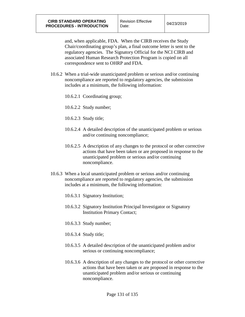and, when applicable, FDA. When the CIRB receives the Study Chair/coordinating group's plan, a final outcome letter is sent to the regulatory agencies. The Signatory Official for the NCI CIRB and associated Human Research Protection Program is copied on all correspondence sent to OHRP and FDA.

- 10.6.2 When a trial-wide unanticipated problem or serious and/or continuing noncompliance are reported to regulatory agencies, the submission includes at a minimum, the following information:
	- 10.6.2.1 Coordinating group;
	- 10.6.2.2 Study number;
	- 10.6.2.3 Study title;
	- 10.6.2.4 A detailed description of the unanticipated problem or serious and/or continuing noncompliance;
	- 10.6.2.5 A description of any changes to the protocol or other corrective actions that have been taken or are proposed in response to the unanticipated problem or serious and/or continuing noncompliance.
- 10.6.3 When a local unanticipated problem or serious and/or continuing noncompliance are reported to regulatory agencies, the submission includes at a minimum, the following information:
	- 10.6.3.1 Signatory Institution;
	- 10.6.3.2 Signatory Institution Principal Investigator or Signatory Institution Primary Contact;
	- 10.6.3.3 Study number;
	- 10.6.3.4 Study title;
	- 10.6.3.5 A detailed description of the unanticipated problem and/or serious or continuing noncompliance;
	- 10.6.3.6 A description of any changes to the protocol or other corrective actions that have been taken or are proposed in response to the unanticipated problem and/or serious or continuing noncompliance.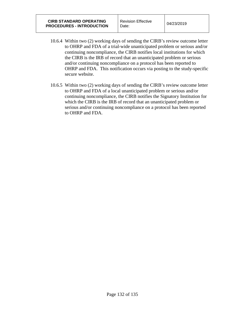- 10.6.4 Within two (2) working days of sending the CIRB's review outcome letter to OHRP and FDA of a trial-wide unanticipated problem or serious and/or continuing noncompliance, the CIRB notifies local institutions for which the CIRB is the IRB of record that an unanticipated problem or serious and/or continuing noncompliance on a protocol has been reported to OHRP and FDA. This notification occurs via posting to the study-specific secure website.
- 10.6.5 Within two (2) working days of sending the CIRB's review outcome letter to OHRP and FDA of a local unanticipated problem or serious and/or continuing noncompliance, the CIRB notifies the Signatory Institution for which the CIRB is the IRB of record that an unanticipated problem or serious and/or continuing noncompliance on a protocol has been reported to OHRP and FDA.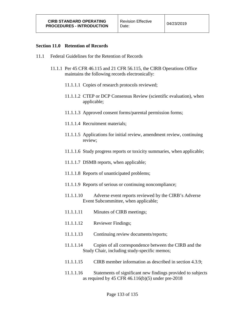### **Section 11.0 Retention of Records**

- 11.1 Federal Guidelines for the Retention of Records
	- 11.1.1 Per 45 CFR 46.115 and 21 CFR 56.115, the CIRB Operations Office maintains the following records electronically:
		- 11.1.1.1 Copies of research protocols reviewed;
		- 11.1.1.2 CTEP or DCP Consensus Review (scientific evaluation), when applicable;
		- 11.1.1.3 Approved consent forms/parental permission forms;
		- 11.1.1.4 Recruitment materials;
		- 11.1.1.5 Applications for initial review, amendment review, continuing review;
		- 11.1.1.6 Study progress reports or toxicity summaries, when applicable;
		- 11.1.1.7 DSMB reports, when applicable;
		- 11.1.1.8 Reports of unanticipated problems;
		- 11.1.1.9 Reports of serious or continuing noncompliance;
		- 11.1.1.10 Adverse event reports reviewed by the CIRB's Adverse Event Subcommittee, when applicable;
		- 11.1.1.11 Minutes of CIRB meetings;
		- 11.1.1.12 Reviewer Findings;
		- 11.1.1.13 Continuing review documents/reports;
		- 11.1.1.14 Copies of all correspondence between the CIRB and the Study Chair, including study-specific memos;
		- 11.1.1.15 CIRB member information as described in section 4.3.9;
		- 11.1.1.16 Statements of significant new findings provided to subjects as required by 45 CFR 46.116(b)(5) under pre-2018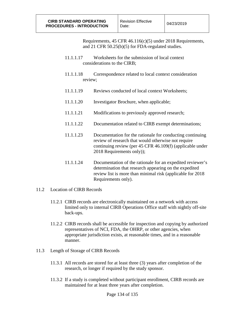Requirements, 45 CFR 46.116(c)(5) under 2018 Requirements, and 21 CFR 50.25(b)(5) for FDA-regulated studies.

- 11.1.1.17 Worksheets for the submission of local context considerations to the CIRB;
- 11.1.1.18 Correspondence related to local context consideration review;
- 11.1.1.19 Reviews conducted of local context Worksheets;
- 11.1.1.20 Investigator Brochure, when applicable;
- 11.1.1.21 Modifications to previously approved research;
- 11.1.1.22 Documentation related to CIRB exempt determinations;
- 11.1.1.23 Documentation for the rationale for conducting continuing review of research that would otherwise not require continuing review (per 45 CFR 46.109(f) (applicable under 2018 Requirements only));
- 11.1.1.24 Documentation of the rationale for an expedited reviewer's determination that research appearing on the expedited review list is more than minimal risk (applicable for 2018 Requirements only).
- 11.2 Location of CIRB Records
	- 11.2.1 CIRB records are electronically maintained on a network with access limited only to internal CIRB Operations Office staff with nightly off-site back-ups.
	- 11.2.2 CIRB records shall be accessible for inspection and copying by authorized representatives of NCI, FDA, the OHRP, or other agencies, when appropriate jurisdiction exists, at reasonable times, and in a reasonable manner.
- 11.3 Length of Storage of CIRB Records
	- 11.3.1 All records are stored for at least three (3) years after completion of the research, or longer if required by the study sponsor.
	- 11.3.2 If a study is completed without participant enrollment, CIRB records are maintained for at least three years after completion.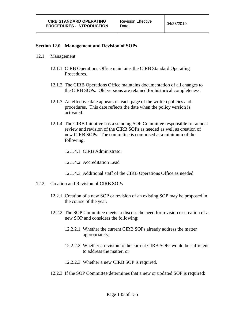### **Section 12.0 Management and Revision of SOPs**

- 12.1 Management
	- 12.1.1 CIRB Operations Office maintains the CIRB Standard Operating Procedures.
	- 12.1.2 The CIRB Operations Office maintains documentation of all changes to the CIRB SOPs. Old versions are retained for historical completeness.
	- 12.1.3 An effective date appears on each page of the written policies and procedures. This date reflects the date when the policy version is activated.
	- 12.1.4 The CIRB Initiative has a standing SOP Committee responsible for annual review and revision of the CIRB SOPs as needed as well as creation of new CIRB SOPs. The committee is comprised at a minimum of the following:
		- 12.1.4.1 CIRB Administrator
		- 12.1.4.2 Accreditation Lead
		- 12.1.4.3. Additional staff of the CIRB Operations Office as needed
- 12.2 Creation and Revision of CIRB SOPs
	- 12.2.1 Creation of a new SOP or revision of an existing SOP may be proposed in the course of the year.
	- 12.2.2 The SOP Committee meets to discuss the need for revision or creation of a new SOP and considers the following:
		- 12.2.2.1 Whether the current CIRB SOPs already address the matter appropriately,
		- 12.2.2.2 Whether a revision to the current CIRB SOPs would be sufficient to address the matter, or
		- 12.2.2.3 Whether a new CIRB SOP is required.
	- 12.2.3 If the SOP Committee determines that a new or updated SOP is required: